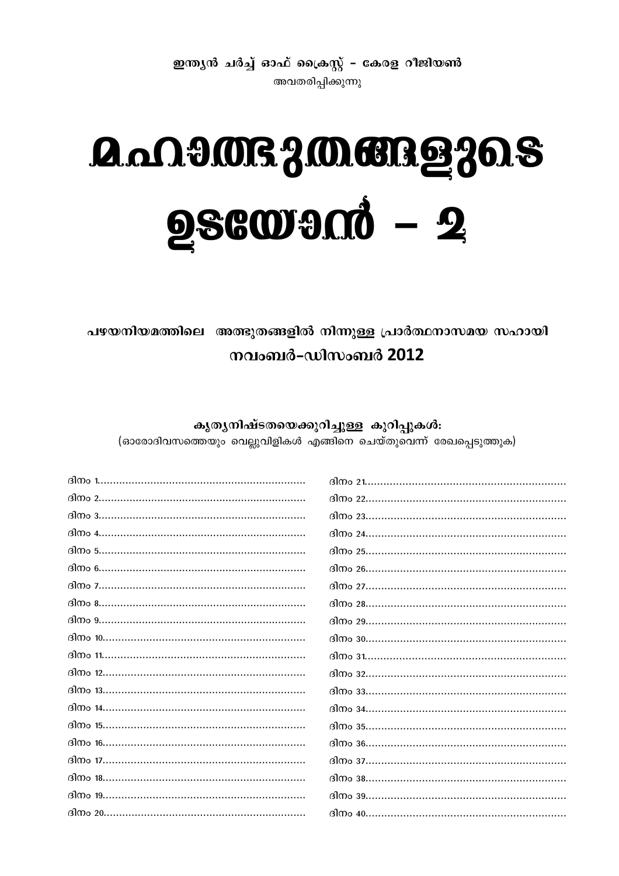ഇന്ത്യൻ ചർച്ച് ഓഫ് ക്രൈസ്റ്റ് - കേരള റീജിയൺ അവതരിപ്പിക്കുന്നു

# **A.MITSJMERg30.S 256000mmd - 2**

പഴയനിയമത്തിലെ അത്ഭുതങ്ങളിൽ നിന്നുള്ള പ്രാർത്ഥനാസമയ സഹായി നവംബർ-ഡിസംബർ 2012

കൃതൃനിഷ്ടതയെക്കുറിച്ചുള്ള കുറിപ്പുകൾ: (ഓരോദിവസത്തെയും വെല്ലുവിളികൾ എങ്ങിനെ ചെയ്തുവെന്ന് രേഖപ്പെടുത്തുക)

| 30004 |        |
|-------|--------|
|       |        |
|       |        |
|       |        |
|       |        |
|       |        |
|       |        |
|       |        |
|       |        |
|       |        |
|       |        |
|       |        |
|       | 300036 |
|       |        |
|       |        |
|       |        |
|       |        |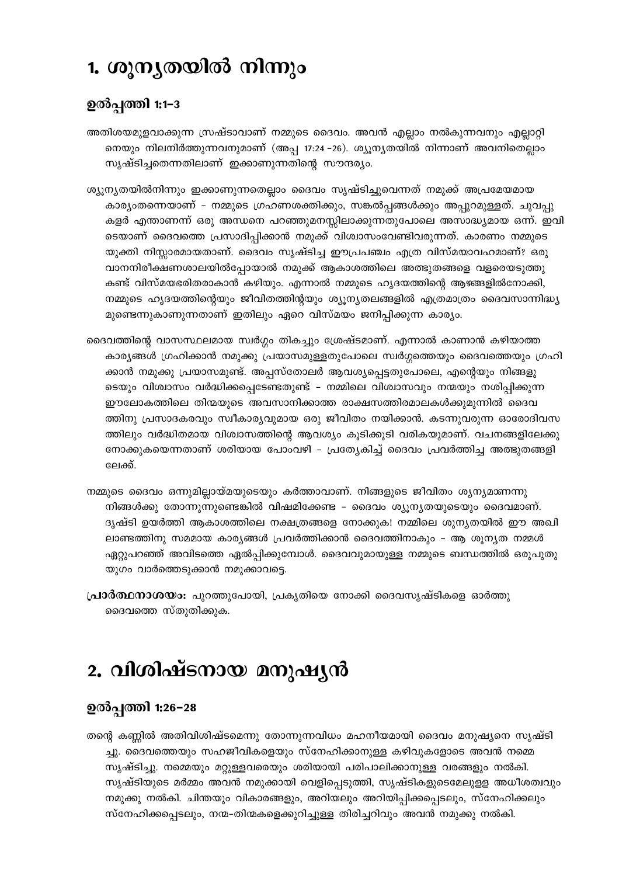## 1. ശൂനൃതയിൽ നിന്നും

### ഉൽപ്പത്തി 1:1-3

അതിശയമുളവാക്കുന്ന സ്രഷ്ടാവാണ് നമ്മുടെ ദൈവം. അവൻ എല്ലാം നൽകുന്നവനും എല്ലാറ്റി നെയും നിലനിർത്തുന്നവനുമാണ് (അപ്പ 17:24 –26). ശ്യൂന്യതയിൽ നിന്നാണ് അവനിതെല്ലാം സൃഷ്ടിച്ചതെന്നതിലാണ് ഇക്കാണുന്നതിന്റെ സൗന്ദര്യം.

- ശ്യൂന്യതയിൽനിന്നും ഇക്കാണുന്നതെല്ലാം ദൈവം സൃഷ്ടിച്ചുവെന്നത് നമുക്ക് അപ്രമേയമായ കാര്യംതന്നെയാണ് – നമ്മുടെ ഗ്രഹണശക്തിക്കും, സങ്കൽപ്പങ്ങൾക്കും അപ്പുറമുള്ളത്. ചുവപ്പു കളർ എന്താണന്ന് ഒരു അന്ധനെ പറഞ്ഞുമനസ്സിലാക്കുന്നതുപോലെ അസാദ്ധ്യമായ ഒന്ന്. ഇവി ടെയാണ് ദൈവത്തെ പ്രസാദിപ്പിക്കാൻ നമുക്ക് വിശ്വാസംവേണ്ടിവരുന്നത്. കാരണം നമ്മുടെ യുക്തി നിസ്സാരമായതാണ്. ദൈവം സൃഷ്ടിച്ച ഈപ്രപഞ്ചം എത്ര വിസ്മയാവഹമാണ്? ഒരു വാനനിരീക്ഷണശാലയിൽപ്പോയാൽ നമുക്ക് ആകാശത്തിലെ അത്ഭുതങ്ങളെ വളരെയടുത്തു കണ്ട് വിസ്മയഭരിതരാകാൻ കഴിയും. എന്നാൽ നമ്മുടെ ഹൃദയത്തിന്റെ ആഴങ്ങളിൽനോക്കി, നമ്മുടെ ഹൃദയത്തിന്റെയും ജീവിതത്തിന്റയും ശ്യൂന്യതലങ്ങളിൽ എത്രമാത്രം ദൈവസാന്നിദ്ധ്യ മുണ്ടെന്നുകാണുന്നതാണ് ഇതിലും ഏറെ വിസ്മയം ജനിപ്പിക്കുന്ന കാര്യം.
- ദൈവത്തിന്റെ വാസസ്ഥലമായ സ്വർഗ്ഗം തികച്ചും ശ്രേഷ്ടമാണ്. എന്നാൽ കാണാൻ കഴിയാത്ത കാര്യങ്ങൾ ഗ്രഹിക്കാൻ നമുക്കു പ്രയാസമുള്ളതുപോലെ സ്വർഗ്ഗത്തെയും ദൈവത്തെയും ഗ്രഹി ക്കാൻ നമുക്കു പ്രയാസമുണ്ട്. അപ്പസ്തോലർ ആവശ്യപ്പെട്ടതുപോലെ, എന്റെയും നിങ്ങളു ടെയും വിശ്വാസം വർദ്ധിക്കപ്പെടേണ്ടതുണ്ട് – നമ്മിലെ വിശ്വാസവും നന്മയും നശിപ്പിക്കുന്ന ഈലോകത്തിലെ തിന്മയുടെ അവസാനിക്കാത്ത രാക്ഷസത്തിരമാലകൾക്കുമുന്നിൽ ദൈവ ത്തിനു പ്രസാദകരവും സ്വീകാര്യവുമായ ഒരു ജീവിതം നയിക്കാൻ. കടന്നുവരുന്ന ഓരോദിവസ ത്തിലും വർദ്ധിതമായ വിശ്വാസത്തിന്റെ ആവശ്യം കൂടിക്കൂടി വരികയുമാണ്. വചനങ്ങളിലേക്കു നോക്കുകയെന്നതാണ് ശരിയായ പോംവഴി – പ്രത്യേകിച്ച് ദൈവം പ്രവർത്തിച്ച അത്ഭുതങ്ങളി ലേക്ക്.
- നമ്മുടെ ദൈവം ഒന്നുമില്ലായ്മയുടെയും കർത്താവാണ്. നിങ്ങളുടെ ജീവിതം ശ്യന്യമാണന്നു നിങ്ങൾക്കു തോന്നുന്നുണ്ടെങ്കിൽ വിഷമിക്കേണ്ട - ദൈവം ശ്യുനൃതയുടെയും ദൈവമാണ്. ദൃഷ്ടി ഉയർത്തി ആകാശത്തിലെ നക്ഷത്രങ്ങളെ നോക്കുക! നമ്മിലെ ശുനൃതയിൽ ഈ അഖി ലാണ്ടത്തിനു സമമായ കാര്യങ്ങൾ പ്രവർത്തിക്കാൻ ദൈവത്തിനാകും - ആ ശൂന്യത നമ്മൾ ഏറ്റുപറഞ്ഞ് അവിടത്തെ ഏൽപ്പിക്കുമ്പോൾ. ദൈവവുമായുള്ള നമ്മുടെ ബന്ധത്തിൽ ഒരുപുതു യുഗം വാർത്തെടുക്കാൻ നമുക്കാവട്ടെ.
- **പ്രാർത്ഥനാശയാ:** പുറത്തുപോയി, പ്രകൃതിയെ നോക്കി ദൈവസൃഷ്ടികളെ ഓർത്തു ദൈവത്തെ സ്തുതിക്കുക.

# 2. വിശിഷ്ടനായ മനുഷൃൻ

### ഉൽപ്പത്തി 1:26–28

തന്റെ കണ്ണിൽ അതിവിശിഷ്ടമെന്നു തോന്നുന്നവിധം മഹനീയമായി ദൈവം മനുഷ്യനെ സൃഷ്ടി ച്ചു. ദൈവത്തെയും സഹജീവികളെയും സ്നേഹിക്കാനുള്ള കഴിവുകളോടെ അവൻ നമ്മെ സൃഷ്ടിച്ചു. നമ്മെയും മറ്റുള്ളവരെയും ശരിയായി പരിപാലിക്കാനുള്ള വരങ്ങളും നൽകി. സൃഷ്ടിയുടെ മർമ്മം അവൻ നമുക്കായി വെളിപ്പെടുത്തി, സൃഷ്ടികളുടെമേലുളള അധീശത്വവും നമുക്കു നൽകി. ചിന്തയും വികാരങ്ങളും, അറിയലും അറിയിപ്പിക്കപ്പെടലും, സ്നേഹിക്കലും സ്നേഹിക്കപ്പെടലും, നന്മ-തിന്മകളെക്കുറിച്ചുള്ള തിരിച്ചറിവും അവൻ നമുക്കു നൽകി.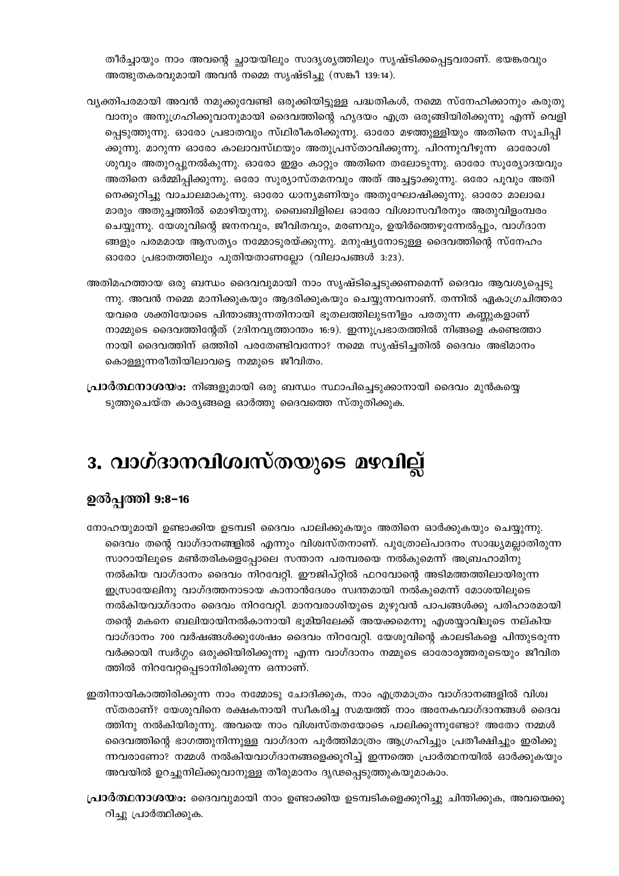തീർച്ചായും നാം അവന്റെ ച്ഛായയിലും സാദൃശ്യത്തിലും സൃഷ്ടിക്കപ്പെട്ടവരാണ്. ഭയങ്കരവും അത്ഭുതകരവുമായി അവൻ നമ്മെ സൃഷ്ടിച്ചു (സങ്കീ 139:14).

- വ്യക്തിപരമായി അവൻ നമുക്കുവേണ്ടി ഒരുക്കിയിട്ടുള്ള പദ്ധതികൾ, നമ്മെ സ്നേഹിക്കാനും കരുതു വാനും അനുഗ്രഹിക്കുവാനുമായി ദൈവത്തിന്റെ ഹൃദയം എത്ര ഒരുങ്ങിയിരിക്കുന്നു എന്ന് വെളി പ്പെടുത്തുന്നു. ഓരോ പ്രഭാതവും സ്ഥിരീകരിക്കുന്നു. ഓരോ മഴത്തുള്ളിയും അതിനെ സൂചിപ്പി ക്കുന്നു. മാറുന്ന ഓരോ കാലാവസ്ഥയും അതുപ്രസ്താവിക്കുന്നു. പിറന്നുവീഴുന്ന ഓരോശി ശുവും അതുറപ്പുനൽകുന്നു. ഓരോ ഇളം കാറ്റും അതിനെ തലോടുന്നു. ഓരോ സൂര്യോദയവും അതിനെ ഒർമ്മിപ്പിക്കുന്നു. ഒരോ സുര്യാസ്തമനവും അത് അച്ചട്ടാക്കുന്നു. ഒരോ പൂവും അതി നെക്കുറിച്ചു വാചാലമാകുന്നു. ഓരോ ധാന്യമണിയും അതുഘോഷിക്കുന്നു. ഓരോ മാലാഖ മാരും അതുച്ചത്തിൽ മൊഴിയുന്നു. ബൈബിളിലെ ഓരോ വിശ്വാസവീരനും അതുവിളംമ്പരം ചെയ്യുന്നു. യേശുവിന്റെ ജനനവും, ജീവിതവും, മരണവും, ഉയിർത്തെഴുന്നേൽപ്പും, വാഗ്ദാന ങ്ങളും പരമമായ ആസത്യം നമ്മോടുരയ്ക്കുന്നു. മനുഷ്യനോടുള്ള ദൈവത്തിന്റെ സ്നേഹം ഓരോ പ്രഭാതത്തിലും പുതിയതാണല്ലോ (വിലാപങ്ങൾ 3:23).
- അതിമഹത്തായ ഒരു ബന്ധം ദൈവവുമായി നാം സൃഷ്ടിച്ചെടുക്കണമെന്ന് ദൈവം ആവശ്യപ്പെടു ന്നു. അവൻ നമ്മെ മാനിക്കുകയും ആദരിക്കുകയും ചെയ്യുന്നവനാണ്. തന്നിൽ ഏകാഗ്രചിത്തരാ യവരെ ശക്തിയോടെ പിന്താങ്ങുന്നതിനായി ഭൂതലത്തിലുടനീളം പരതുന്ന കണ്ണുകളാണ് നാമ്മുടെ ദൈവത്തിന്റേത് (2ദിനവൃത്താന്തം 16:9). ഇന്നുപ്രഭാതത്തിൽ നിങ്ങളെ കണ്ടെത്താ നായി ദൈവത്തിന് ഒത്തിരി പരതേണ്ടിവന്നോ? നമ്മെ സൃഷ്ടിച്ചതിൽ ദൈവം അഭിമാനം കൊള്ളുന്നരീതിയിലാവട്ടെ നമ്മുടെ ജീവിതം.
- **പ്രാർത്ഥനാശയം:** നിങ്ങളുമായി ഒരു ബന്ധം സ്ഥാപിച്ചെടുക്കാനായി ദൈവം മുൻകയ്യെ ടുത്തുചെയ്ത കാര്യങ്ങളെ ഓർത്തു ദൈവത്തെ സ്തുതിക്കുക.

# 3. വാഗ്ദാനവിശ്വസ്തയുടെ മഴവില്ല്

### ഉൽപ്പത്തി 9:8–16

- നോഹയുമായി ഉണ്ടാക്കിയ ഉടമ്പടി ദൈവം പാലിക്കുകയും അതിനെ ഓർക്കുകയും ചെയ്യുന്നു. ദൈവം തന്റെ വാഗ്ദാനങ്ങളിൽ എന്നും വിശ്വസ്തനാണ്. പുത്രോല്പാദനം സാദ്ധ്യമല്ലാതിരുന്ന സാറായിലൂടെ മൺതരികളെപ്പോലെ സന്താന പരമ്പരയെ നൽകുമെന്ന് അബ്രഹാമിനു നൽകിയ വാഗ്ദാനം ദൈവം നിറവേറ്റി. ഈജിപ്റ്റിൽ ഫറവോന്റെ അടിമത്തത്തിലായിരുന്ന ഇസ്രായേലിനു വാഗ്ദത്തനാടായ കാനാൻദേശം സ്വന്തമായി നൽകുമെന്ന് മോശയിലൂടെ നൽകിയവാ്ദാനം ദൈവം നിറവേറ്റി. മാനവരാശിയുടെ മുഴുവൻ പാപങ്ങൾക്കു പരിഹാരമായി തന്റെ മകനെ ബലിയായിനൽകാനായി ഭൂമിയിലേക്ക് അയക്കമെന്നു എശയ്യാവിലൂടെ നല്കിയ വാഗ്ദാനം 700 വർഷങ്ങൾക്കുശേഷം ദൈവം നിറവേറ്റി. യേശുവിന്റെ കാലടികളെ പിന്തുടരുന്ന വർക്കായി സ്വർഗ്ഗം ഒരുക്കിയിരിക്കുന്നു എന്ന വാഗ്ദാനം നമ്മുടെ ഓരോരുത്തരുടെയും ജീവിത ത്തിൽ നിറവേറ്റപ്പെടാനിരിക്കുന്ന ഒന്നാണ്.
- ഇതിനായികാത്തിരിക്കുന്ന നാം നമ്മോടു ചോദിക്കുക, നാം എത്രമാത്രം വാഗ്ദാനങ്ങളിൽ വിശ്വ സ്തരാണ്? യേശുവിനെ രക്ഷകനായി സ്ഥീകരിച്ച സമയത്ത് നാം അനേകവാഗ്ദാനങ്ങൾ ദൈവ ത്തിനു നൽകിയിരുന്നു. അവയെ നാം വിശ്വസ്തതയോടെ പാലിക്കുന്നുണ്ടോ? അതോ നമ്മൾ ദൈവത്തിന്റെ ഭാഗത്തുനിന്നുള്ള വാഗ്ദാന പൂർത്തിമാത്രം ആഗ്രഹിച്ചും പ്രതീക്ഷിച്ചും ഇരിക്കു ന്നവരാണോ? നമ്മൾ നൽകിയവാഗ്ദാനങ്ങളെക്കുറിച്ച് ഇന്നത്തെ പ്രാർത്ഥനയിൽ ഓർക്കുകയും അവയിൽ ഉറച്ചുനില്ക്കുവാനുള്ള തീരുമാനം ദൃഢപ്പെടുത്തുകയുമാകാം.
- **പ്രാർത്ഥനാശയാ:** ദൈവവുമായി നാം ഉണ്ടാക്കിയ ഉടമ്പടികളെക്കുറിച്ചു ചിന്തിക്കുക, അവയെക്കു റിച്ചു പ്രാർത്ഥിക്കുക.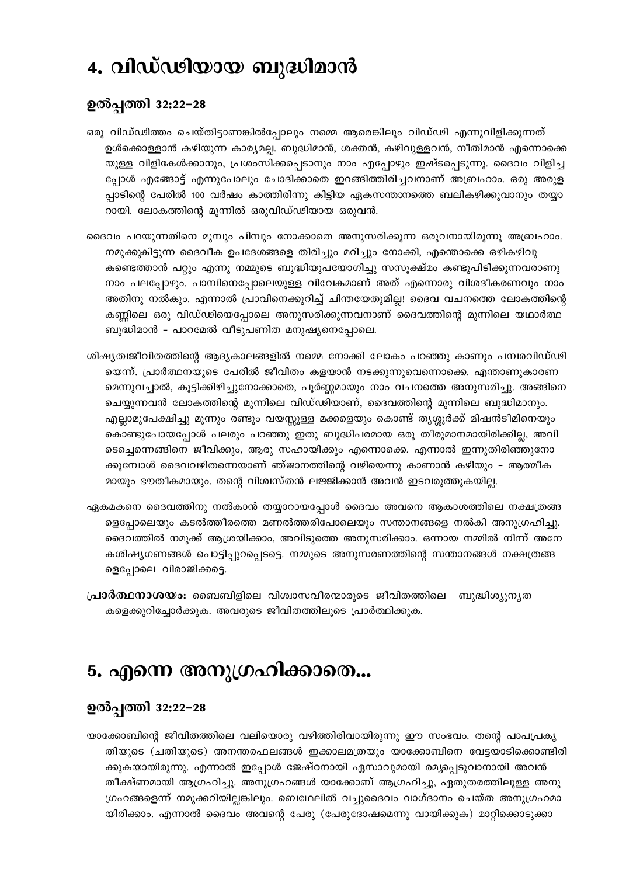### 4. വിഡ്ഢിയായ ബുദ്ധിമാൻ

#### ഉൽപ്പത്തി 32:22-28

- ഒരു വിഡ്ഢിത്തം ചെയ്തിട്ടാണങ്കിൽപ്പോലും നമ്മെ ആരെങ്കിലും വിഡ്ഢി എന്നുവിളിക്കുന്നത് ഉൾക്കൊള്ളാൻ കഴിയുന്ന കാര്യമല്ല. ബുദ്ധിമാൻ, ശക്തൻ, കഴിവുള്ളവൻ, നീതിമാൻ എന്നൊക്കെ യുള്ള വിളികേൾക്കാനും, പ്രശംസിക്കപ്പെടാനും നാം എപ്പോഴും ഇഷ്ടപ്പെടുന്നു. ദൈവം വിളിച്ച പ്പോൾ എങ്ങോട്ട് എന്നുപോലും ചോദിക്കാതെ ഇറങ്ങിത്തിരിച്ചവനാണ് അബ്രഹാം. ഒരു അരുള പ്പാടിന്റെ പേരിൽ 100 വർഷം കാത്തിരിന്നു കിട്ടിയ ഏകസന്താനത്തെ ബലികഴിക്കുവാനും തയ്യാ റായി. ലോകത്തിന്റെ മുന്നിൽ ഒരുവിഡ്ഢിയായ ഒരുവൻ.
- ദൈവം പറയുന്നതിനെ മുമ്പും പിമ്പും നോക്കാതെ അനുസരിക്കുന്ന ഒരുവനായിരുന്നു അബ്രഹാം. നമുക്കുകിട്ടുന്ന ദൈവീക ഉപദേശങ്ങളെ തിരിച്ചും മറിച്ചും നോക്കി, എന്തൊക്കെ ഒഴികഴിവു കണ്ടെത്താൻ പറ്റും എന്നു നമ്മുടെ ബുദ്ധിയുപയോഗിച്ചു സസൂക്ഷ്മം കണ്ടുപിടിക്കുന്നവരാണു നാം പലപ്പോഴും. പാമ്പിനെപ്പോലെയുള്ള വിവേകമാണ് അത് എന്നൊരു വിശദീകരണവും നാം അതിനു നൽകും. എന്നാൽ പ്രാവിനെക്കുറിച്ച് ചിന്തയേതുമില്ല! ദൈവ വചനത്തെ ലോകത്തിന്റെ കണ്ണിലെ ഒരു വിഡ്ഢിയെപ്പോലെ അനുസരിക്കുന്നവനാണ് ദൈവത്തിന്റെ മുന്നിലെ യഥാർത്ഥ ബുദ്ധിമാൻ - പാറമേൽ വീടുപണിത മനുഷ്യനെപ്പോലെ.
- ശിഷ്യത്വജീവിതത്തിന്റെ ആദ്യകാലങ്ങളിൽ നമ്മെ നോക്കി ലോകം പറഞ്ഞു കാണും പമ്പരവിഡ്ഢി യെന്ന്. പ്രാർത്ഥനയുടെ പേരിൽ ജീവിതം കളയാൻ നടക്കുന്നുവെന്നൊക്കെ. എന്താണുകാരണ മെന്നുവച്ചാൽ, കൂട്ടിക്കിഴിച്ചുനോക്കാതെ, പൂർണ്ണമായും നാം വചനത്തെ അനുസരിച്ചു. അങ്ങിനെ ചെയ്യുന്നവൻ ലോകത്തിന്റെ മുന്നിലെ വിഡ്ഢിയാണ്, ദൈവത്തിന്റെ മുന്നിലെ ബുദ്ധിമാനും. എല്ലാമുപേക്ഷിച്ചു മൂന്നും രണ്ടും വയസ്സുള്ള മക്കളെയും കൊണ്ട് തൃശ്ശൂർക്ക് മിഷൻടീമിനെയും കൊണ്ടുപോയപ്പോൾ പലരും പറഞ്ഞു ഇതു ബുദ്ധിപരമായ ഒരു തീരുമാനമായിരിക്കില്ല, അവി ടെച്ചെന്നെങ്ങിനെ ജീവിക്കും, ആരു സഹായിക്കും എന്നൊക്കെ. എന്നാൽ ഇന്നുതിരിഞ്ഞുനോ ക്കുമ്പോൾ ദൈവവഴിതന്നെയാണ് ഞ്ജാനത്തിന്റെ വഴിയെന്നു കാണാൻ കഴിയും – ആത്മീക മായും ഭൗതീകമായും. തന്റെ വിശ്വസ്തൻ ലജ്ജിക്കാൻ അവൻ ഇടവരുത്തുകയില്ല.
- ഏകമകനെ ദൈവത്തിനു നൽകാൻ തയ്യാറായപ്പോൾ ദൈവം അവനെ ആകാശത്തിലെ നക്ഷത്രങ്ങ ളെപ്പോലെയും കടൽത്തീരത്തെ മണൽത്തരിപോലെയും സന്താനങ്ങളെ നൽകി അനുഗ്രഹിച്ചു. ദൈവത്തിൽ നമുക്ക് ആശ്രയിക്കാം, അവിടുത്തെ അനുസരിക്കാം. ഒന്നായ നമ്മിൽ നിന്ന് അനേ കശിഷ്യഗണങ്ങൾ പൊട്ടിപ്പുറപ്പെടട്ടെ. നമ്മുടെ അനുസരണത്തിന്റെ സന്താനങ്ങൾ നക്ഷത്രങ്ങ ളെപ്പോലെ വിരാജിക്കട്ടെ.
- **പ്രാർത്ഥനാശയം:** ബൈബിളിലെ വിശ്വാസവീരന്മാരുടെ ജീവിതത്തിലെ ബുദ്ധിശ്യൂന്യത കളെക്കുറിച്ചോർക്കുക. അവരുടെ ജീവിതത്തിലൂടെ പ്രാർത്ഥിക്കുക.

### 5. എന്നെ അനുഗ്രഹിക്കാതെ...

### ഉൽപ്പത്തി 32:22-28

യാക്കോബിന്റെ ജീവിതത്തിലെ വലിയൊരു വഴിത്തിരിവായിരുന്നു ഈ സംഭവം. തന്റെ പാപപ്രകൃ തിയുടെ (ചതിയുടെ) അനന്തരഫലങ്ങൾ ഇക്കാലമത്രയും യാക്കോബിനെ വേട്ടയാടിക്കൊണ്ടിരി ക്കുകയായിരുന്നു. എന്നാൽ ഇപ്പോൾ ജേഷ്ഠനായി ഏസാവുമായി രമ്യപ്പെടുവാനായി അവൻ തീക്ഷ്ണമായി ആഗ്രഹിച്ചു. അനുഗ്രഹങ്ങൾ യാക്കോബ് ആഗ്രഹിച്ചു, ഏതുതരത്തിലുള്ള അനു ഗ്രഹങ്ങളെന്ന് നമുക്കറിയില്ലങ്കിലും. ബെഥേലിൽ വച്ചുദൈവം വാഗ്ദാനം ചെയ്ത അനുഗ്രഹമാ യിരിക്കാം. എന്നാൽ ദൈവം അവന്റെ പേരു (പേരുദോഷമെന്നു വായിക്കുക) മാറ്റിക്കൊടുക്കാ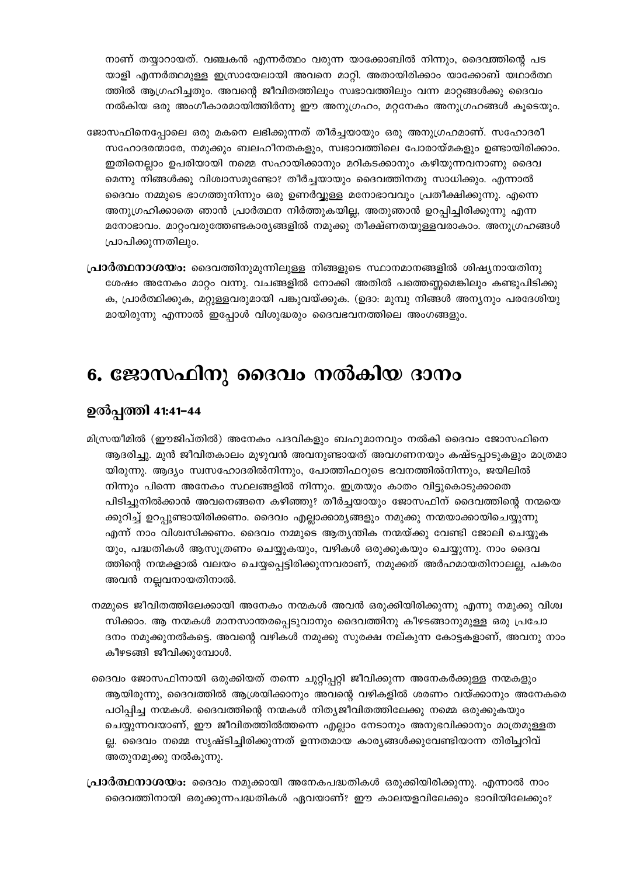നാണ് തയ്യാറായത്. വഞ്ചകൻ എന്നർത്ഥം വരുന്ന യാക്കോബിൽ നിന്നും, ദൈവത്തിന്റെ പട യാളി എന്നർത്ഥമുള്ള ഇസ്രായേലായി അവനെ മാറ്റി. അതായിരിക്കാം യാക്കോബ് യഥാർത്ഥ ത്തിൽ ആഗ്രഹിച്ചതും. അവന്റെ ജീവിതത്തിലും സ്വഭാവത്തിലും വന്ന മാറ്റങ്ങൾക്കു ദൈവം നൽകിയ ഒരു അംഗീകാരമായിത്തിർന്നു ഈ അനുഗ്രഹം, മറ്റനേകം അനുഗ്രഹങ്ങൾ കൂടെയും.

- ജോസഫിനെപ്പോലെ ഒരു മകനെ ലഭിക്കുന്നത് തീർച്ചയായും ഒരു അനുഗ്രഹമാണ്. സഹോദരീ സഹോദരന്മാരേ, നമുക്കും ബലഹീനതകളും, സ്വഭാവത്തിലെ പോരായ്മകളും ഉണ്ടായിരിക്കാം. ഇതിനെല്ലാം ഉപരിയായി നമ്മെ സഹായിക്കാനും മറികടക്കാനും കഴിയുന്നവനാണു ദൈവ മെന്നു നിങ്ങൾക്കു വിശ്വാസമുണ്ടോ? തീർച്ചയായും ദൈവത്തിനതു സാധിക്കും. എന്നാൽ ദൈവം നമ്മുടെ ഭാഗത്തുനിന്നും ഒരു ഉണർവ്വുള്ള മനോഭാവവും പ്രതീക്ഷിക്കുന്നു. എന്നെ അനുഗ്രഹിക്കാതെ ഞാൻ പ്രാർത്ഥന നിർത്തുകയില്ല, അതുഞാൻ ഉറപ്പിച്ചിരിക്കുന്നു എന്ന മനോഭാവം. മാറ്റംവരുത്തേണ്ടകാര്യങ്ങളിൽ നമുക്കു തീക്ഷ്ണതയുള്ളവരാകാം. അനുഗ്രഹങ്ങൾ പ്രാപിക്കുന്നതിലും.
- **പ്രാർത്ഥനാശയം:** ദൈവത്തിനുമുന്നിലുള്ള നിങ്ങളുടെ സ്ഥാനമാനങ്ങളിൽ ശിഷ്യനായതിനു ശേഷം അനേകം മാറ്റം വന്നു. വചങ്ങളിൽ നോക്കി അതിൽ പത്തെണ്ണമെങ്കിലും കണ്ടുപിടിക്കു ക, പ്രാർത്ഥിക്കുക, മറ്റുള്ളവരുമായി പങ്കുവയ്ക്കുക. (ഉദാ: മുമ്പു നിങ്ങൾ അന്യനും പരദേശിയു മായിരുന്നു എന്നാൽ ഇപ്പോൾ വിശുദ്ധരും ദൈവഭവനത്തിലെ അംഗങ്ങളും.

### 6. ജോസഫിനു ദൈവം നൽകിയ ദാനം

### ഉൽപ്പത്തി 41:41-44

- മിസ്രയീമിൽ (ഈജിപ്തിൽ) അനേകം പദവികളും ബഹുമാനവും നൽകി ദൈവം ജോസഫിനെ ആദരിച്ചു. മുൻ ജീവിതകാലം മുഴുവൻ അവനുണ്ടായത് അവഗണനയും കഷ്ടപ്പാടുകളും മാത്രമാ യിരുന്നു. ആദ്യം സ്വസഹോദരിൽനിന്നും, പോത്തിഫറുടെ ഭവനത്തിൽനിന്നും, ജയിലിൽ നിന്നും പിന്നെ അനേകം സ്ഥലങ്ങളിൽ നിന്നും. ഇത്രയും കാതം വിട്ടുകൊടുക്കാതെ പിടിച്ചുനിൽക്കാൻ അവനെങ്ങനെ കഴിഞ്ഞു? തീർച്ചയായും ജോസഫിന് ദൈവത്തിന്റെ നന്മയെ ക്കുറിച്ച് ഉറപ്പുണ്ടായിരിക്കണം. ദൈവം എല്ലാക്കാര്യങ്ങളും നമുക്കു നന്മയാക്കായിചെയ്യുന്നു എന്ന് നാം വിശ്വസിക്കണം. ദൈവം നമ്മുടെ ആത്യന്തിക നന്മയ്ക്കു വേണ്ടി ജോലി ചെയ്യുക യും, പദ്ധതികൾ ആസൂത്രണം ചെയ്യുകയും, വഴികൾ ഒരുക്കുകയും ചെയ്യുന്നു. നാം ദൈവ ത്തിന്റെ നന്മകളാൽ വലയം ചെയ്യപ്പെട്ടിരിക്കുന്നവരാണ്, നമുക്കത് അർഹമായതിനാലല്ല, പകരം അവൻ നല്ലവനായതിനാൽ.
- നമ്മുടെ ജീവിതത്തിലേക്കായി അനേകം നന്മകൾ അവൻ ഒരുക്കിയിരിക്കുന്നു എന്നു നമുക്കു വിശ്വ സിക്കാം. ആ നന്മകൾ മാനസാന്തരപ്പെടുവാനും ദൈവത്തിനു കീഴടങ്ങാനുമുള്ള ഒരു പ്രചോ ദനം നമുക്കുനൽകട്ടെ. അവന്റെ വഴികൾ നമുക്കു സുരക്ഷ നല്കുന്ന കോട്ടകളാണ്, അവനു നാം കീഴടങ്ങി ജീവിക്കുമ്പോൾ.
- ദൈവം ജോസഫിനായി ഒരുക്കിയത് തന്നെ ചുറ്റിപ്പറ്റി ജീവിക്കുന്ന അനേകർക്കുള്ള നന്മകളും ആയിരുന്നു, ദൈവത്തിൽ ആശ്രയിക്കാനും അവന്റെ വഴികളിൽ ശരണം വയ്ക്കാനും അനേകരെ പഠിപ്പിച്ച നന്മകൾ. ദൈവത്തിന്റെ നന്മകൾ നിത്യജീവിതത്തിലേക്കു നമ്മെ ഒരുക്കുകയും ചെയ്യുന്നവയാണ്, ഈ ജീവിതത്തിൽത്തന്നെ എല്ലാം നേടാനും അനുഭവിക്കാനും മാത്രമുള്ളത ല്ല. ദൈവം നമ്മെ സൃഷ്ടിച്ചിരിക്കുന്നത് ഉന്നതമായ കാര്യങ്ങൾക്കുവേണ്ടിയാന്ന തിരിച്ചറിവ് അതുനമുക്കു നൽകുന്നു.
- **പ്രാർത്ഥനാശയം:** ദൈവം നമുക്കായി അനേകപദ്ധതികൾ ഒരുക്കിയിരിക്കുന്നു. എന്നാൽ നാം ദൈവത്തിനായി ഒരുക്കുന്നപദ്ധതികൾ ഏവയാണ്? ഈ കാലയളവിലേക്കും ഭാവിയിലേക്കും?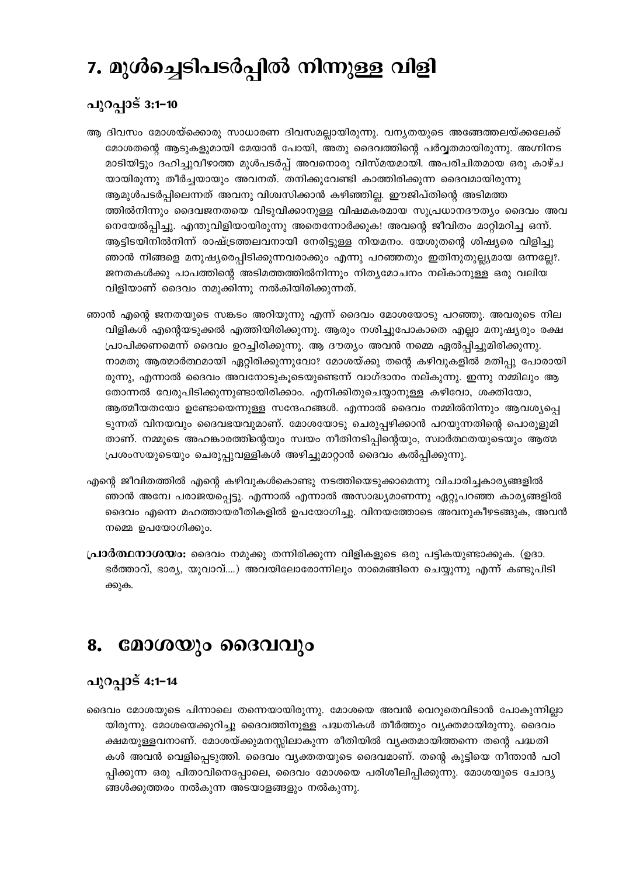# 7. മുൾച്ചെടിപടർപ്പിൽ നിന്നുള്ള വിളി

### പുറപ്പാട് 3:1-10

- ആ ദിവസം മോശയ്ക്കൊരു സാധാരണ ദിവസമല്ലായിരുന്നു. വന്യതയുടെ അങ്ങേത്തലയ്ക്കലേക്ക് മോശതന്റെ ആടുകളുമായി മേയാൻ പോയി, അതു ദൈവത്തിന്റെ പർവ്വതമായിരുന്നു. അഗ്നിനട മാടിയിട്ടും ദഹിച്ചുവീഴാത്ത മുൾപടർപ്പ് അവനൊരു വിസ്മയമായി. അപരിചിതമായ ഒരു കാഴ്ച യായിരുന്നു തീർച്ചയായും അവനത്. തനിക്കുവേണ്ടി കാത്തിരിക്കുന്ന ദൈവമായിരുന്നു ആമുൾപടർപ്പിലെന്നത് അവനു വിശ്വസിക്കാൻ കഴിഞ്ഞില്ല. ഈജിപ്തിന്റെ അടിമത്ത ത്തിൽനിന്നും ദൈവജനതയെ വിടുവിക്കാനുള്ള വിഷമകരമായ സുപ്രധാനദൗത്യം ദൈവം അവ നെയേൽപ്പിച്ചു. എന്തുവിളിയായിരുന്നു അതെന്നോർക്കുക! അവന്റെ ജീവിതം മാറ്റിമറിച്ച ഒന്ന്. ആട്ടിടയിനിൽനിന്ന് രാഷ്ട്രത്തലവനായി നേരിട്ടുള്ള നിയമനം. യേശുതന്റെ ശിഷ്യരെ വിളിച്ചു ഞാൻ നിങ്ങളെ മനുഷ്യരെപ്പിടിക്കുന്നവരാക്കും എന്നു പറഞ്ഞതും ഇതിനുതുല്ല്യമായ ഒന്നല്ലേ?. ജനതകൾക്കു പാപത്തിന്റെ അടിമത്തത്തിൽനിന്നും നിതൃമോചനം നല്കാനുള്ള ഒരു വലിയ വിളിയാണ് ദൈവം നമുക്കിന്നു നൽകിയിരിക്കുന്നത്.
- ഞാൻ എന്റെ ജനതയുടെ സങ്കടം അറിയുന്നു എന്ന് ദൈവം മോശയോടു പറഞ്ഞു. അവരുടെ നില വിളികൾ എന്റെയടുക്കൽ എത്തിയിരിക്കുന്നു. ആരും നശിച്ചുപോകാതെ എല്ലാ മനുഷ്യരും രക്ഷ പ്രാപിക്കണമെന്ന് ദൈവം ഉറച്ചിരിക്കുന്നു. ആ ദൗത്യം അവൻ നമ്മെ ഏൽപ്പിച്ചുമിരിക്കുന്നു. നാമതു ആത്മാർത്ഥമായി ഏറ്റിരിക്കുന്നുവോ? മോശയ്ക്കു തന്റെ കഴിവുകളിൽ മതിപ്പു പോരായി രുന്നു, എന്നാൽ ദൈവം അവനോടുകൂടെയുണ്ടെന്ന് വാഗ്ദാനം നല്കുന്നു. ഇന്നു നമ്മിലും ആ തോന്നൽ വേരുപിടിക്കുന്നുണ്ടായിരിക്കാം. എനിക്കിതുചെയ്യാനുള്ള കഴിവോ, ശക്തിയോ, ആത്മീയതയോ ഉണ്ടോയെന്നുള്ള സന്ദേഹങ്ങൾ. എന്നാൽ ദൈവം നമ്മിൽനിന്നും ആവശ്യപ്പെ ടുന്നത് വിനയവും ദൈവഭയവുമാണ്. മോശയോടു ചെരുപ്പഴിക്കാൻ പറയുന്നതിന്റെ പൊരുളുമി താണ്. നമ്മുടെ അഹങ്കാരത്തിന്റെയും സ്വയം നീതിനടിപ്പിന്റെയും, സ്വാർത്ഥതയുടെയും ആത്മ പ്രശംസയുടെയും ചെരുപ്പുവള്ളികൾ അഴിച്ചുമാറ്റാൻ ദൈവം കൽപ്പിക്കുന്നു.
- എന്റെ ജീവിതത്തിൽ എന്റെ കഴിവുകൾകൊണ്ടു നടത്തിയെടുക്കാമെന്നു വിചാരിച്ചകാര്യങ്ങളിൽ ഞാൻ അമ്പേ പരാജയപ്പെട്ടു. എന്നാൽ എന്നാൽ അസാദ്ധ്യമാണന്നു ഏറ്റുപറഞ്ഞ കാര്യങ്ങളിൽ ദൈവം എന്നെ മഹത്തായരീതികളിൽ ഉപയോഗിച്ചു. വിനയത്തോടെ അവനുകീഴടങ്ങുക, അവൻ നമ്മെ ഉപയോഗിക്കും.
- **പ്രാർത്ഥനാശയം:** ദൈവം നമുക്കു തന്നിരിക്കുന്ന വിളികളുടെ ഒരു പട്ടികയുണ്ടാക്കുക. (ഉദാ. ഭർത്താവ്, ഭാര്യ, യുവാവ്....) അവയിലോരോന്നിലും നാമെങ്ങിനെ ചെയ്യുന്നു എന്ന് കണ്ടുപിടി ക്കുക.

#### മോശയും ദൈവവും 8.

### പുറപ്പാട് 4:1-14

ദൈവം മോശയുടെ പിന്നാലെ തന്നെയായിരുന്നു. മോശയെ അവൻ വെറുതെവിടാൻ പോകുന്നില്ലാ യിരുന്നു. മോശയെക്കുറിച്ചു ദൈവത്തിനുള്ള പദ്ധതികൾ തീർത്തും വൃക്തമായിരുന്നു. ദൈവം ക്ഷമയുള്ളവനാണ്. മോശയ്ക്കുമനസ്സിലാകുന്ന രീതിയിൽ വ്യക്തമായിത്തന്നെ തന്റെ പദ്ധതി കൾ അവൻ വെളിപ്പെടുത്തി. ദൈവം വ്യക്തതയുടെ ദൈവമാണ്. തന്റെ കുട്ടിയെ നീന്താൻ പഠി പ്പിക്കുന്ന ഒരു പിതാവിനെപ്പോലെ, ദൈവം മോശയെ പരിശീലിപ്പിക്കുന്നു. മോശയുടെ ചോദ്യ ങ്ങൾക്കുത്തരം നൽകുന്ന അടയാളങ്ങളും നൽകുന്നു.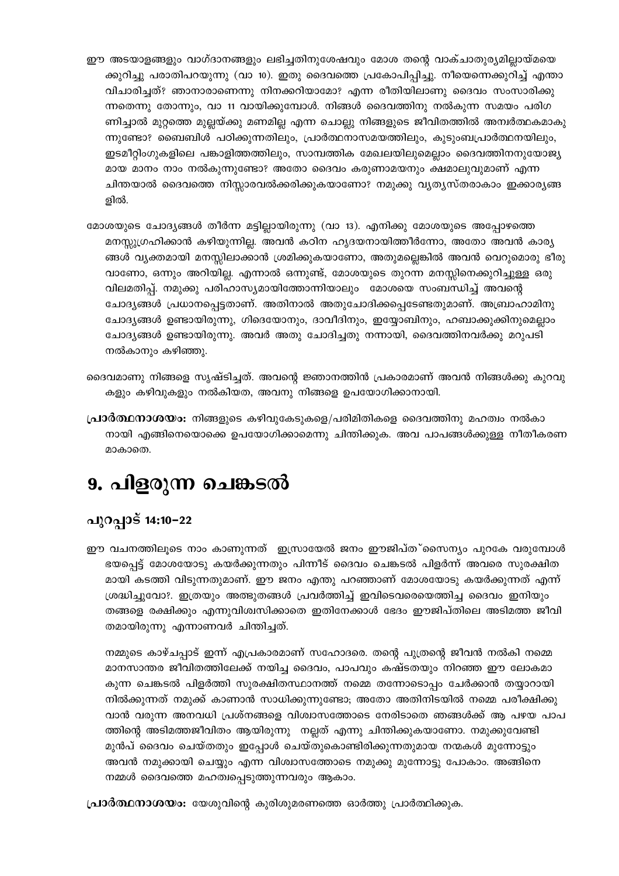- ഈ അടയാളങ്ങളും വാഗ്ദാനങ്ങളും ലഭിച്ചതിനുശേഷവും മോശ തന്റെ വാക്ചാതുര്യമില്ലായ്മയെ ക്കുറിച്ചു പരാതിപറയുന്നു (വാ 10). ഇതു ദൈവത്തെ പ്രകോപിപ്പിച്ചു. നീയെന്നെക്കുറിച്ച് എന്താ വിചാരിച്ചത്? ഞാനാരാണെന്നു നിനക്കറിയാമോ? എന്ന രീതിയിലാണു ദൈവം സംസാരിക്കു ന്നതെന്നു തോന്നും, വാ 11 വായിക്കുമ്പോൾ. നിങ്ങൾ ദൈവത്തിനു നൽകുന്ന സമയം പരിഗ ണിച്ചാൽ മുറ്റത്തെ മുല്ലയ്ക്കു മണമില്ല എന്ന ചൊല്ലു നിങ്ങളുടെ ജീവിതത്തിൽ അന്വർത്ഥകമാകു ന്നുണ്ടോ? ബൈബിൾ പഠിക്കുന്നതിലും, പ്രാർത്ഥനാസമയത്തിലും, കുടുംബപ്രാർത്ഥനയിലും, ഇടമീറ്റിംഗുകളിലെ പങ്കാളിത്തത്തിലും, സാമ്പത്തിക മേഖലയിലുമെല്ലാം ദൈവത്തിനനുയോജ്യ മായ മാനം നാം നൽകുന്നുണ്ടോ? അതോ ദൈവം കരുണാമയനും ക്ഷമാലുവുമാണ് എന്ന ചിന്തയാൽ ദൈവത്തെ നിസ്സാരവൽക്കരിക്കുകയാണോ? നമുക്കു വൃത്യസ്തരാകാം ഇക്കാരൃങ്ങ ളിൽ.
- മോശയുടെ ചോദ്യങ്ങൾ തീർന്ന മട്ടില്ലായിരുന്നു (വാ 13). എനിക്കു മോശയുടെ അപ്പോഴത്തെ മനസ്സുഗ്രഹിക്കാൻ കഴിയുന്നില്ല. അവൻ കഠിന ഹൃദയനായിത്തീർന്നോ, അതോ അവൻ കാര്യ ങ്ങൾ വൃക്തമായി മനസ്സിലാക്കാൻ ശ്രമിക്കുകയാണോ, അതുമല്ലെങ്കിൽ അവൻ വെറുമൊരു ഭീരു വാണോ, ഒന്നും അറിയില്ല. എന്നാൽ ഒന്നുണ്ട്, മോശയുടെ തുറന്ന മനസ്സിനെക്കുറിച്ചുള്ള ഒരു വിലമതിപ്പ്. നമുക്കു പരിഹാസ്യമായിത്തോന്നിയാലും മോശയെ സംബന്ധിച്ച് അവന്റെ ചോദ്യങ്ങൾ പ്രധാനപ്പെട്ടതാണ്. അതിനാൽ അതുചോദിക്കപ്പെടേണ്ടതുമാണ്. അബ്രാഹാമിനു ചോദ്യങ്ങൾ ഉണ്ടായിരുന്നു, ഗിദെയോനും, ദാവീദിനും, ഇയ്യോബിനും, ഹബാക്കുക്കിനുമെല്ലാം ചോദ്യങ്ങൾ ഉണ്ടായിരുന്നു. അവർ അതു ചോദിച്ചതു നന്നായി, ദൈവത്തിനവർക്കു മറുപടി നൽകാനും കഴിഞ്ഞു.
- ദൈവമാണു നിങ്ങളെ സൃഷ്ടിച്ചത്. അവന്റെ ജ്ഞാനത്തിൻ പ്രകാരമാണ് അവൻ നിങ്ങൾക്കു കുറവു കളും കഴിവുകളും നൽകിയത, അവനു നിങ്ങളെ ഉപയോഗിക്കാനായി.
- **പ്രാർത്ഥനാശയം:** നിങ്ങളുടെ കഴിവുകേടുകളെ/പരിമിതികളെ ദൈവത്തിനു മഹത്വം നൽകാ നായി എങ്ങിനെയൊക്കെ ഉപയോഗിക്കാമെന്നു ചിന്തിക്കുക. അവ പാപങ്ങൾക്കുള്ള നീതീകരണ മാകാതെ.

### 9. പിളരുന്ന ചെങ്കടൽ

### പുറപ്പാട് 14:10−22

ഈ വചനത്തിലൂടെ നാം കാണുന്നത് ഇസ്രായേൽ ജനം ഈജിപ്ത്കസെന്യം പുറകേ വരുമ്പോൾ ഭയപ്പെട്ട് മോശയോടു കയർക്കുന്നതും പിന്നീട് ദൈവം ചെങ്കടൽ പിളർന്ന് അവരെ സുരക്ഷിത മായി കടത്തി വിടുന്നതുമാണ്. ഈ ജനം എന്തു പറഞ്ഞാണ് മോശയോടു കയർക്കുന്നത് എന്ന് ശ്രദ്ധിച്ചുവോ?. ഇത്രയും അത്ഭുതങ്ങൾ പ്രവർത്തിച്ച് ഇവിടെവരെയെത്തിച്ച ദൈവം ഇനിയും തങ്ങളെ രക്ഷിക്കും എന്നുവിശ്വസിക്കാതെ ഇതിനേക്കാൾ ഭേദം ഈജിപ്തിലെ അടിമത്ത ജീവി തമായിരുന്നു എന്നാണവർ ചിന്തിച്ചത്.

നമ്മുടെ കാഴ്ചപ്പാട് ഇന്ന് എപ്രകാരമാണ് സഹോദരെ. തന്റെ പുത്രന്റെ ജീവൻ നൽകി നമ്മെ മാനസാന്തര ജീവിതത്തിലേക്ക് നയിച്ച ദൈവം, പാപവും കഷ്ടതയും നിറഞ്ഞ ഈ ലോകമാ കുന്ന ചെങ്കടൽ പിളർത്തി സുരക്ഷിതസ്ഥാനത്ത് നമ്മെ തന്നോടൊപ്പം ചേർക്കാൻ തയ്യാറായി നിൽക്കുന്നത് നമുക്ക് കാണാൻ സാധിക്കുന്നുണ്ടോ; അതോ അതിനിടയിൽ നമ്മെ പരീക്ഷിക്കു വാൻ വരുന്ന അനവധി പ്രശ്നങ്ങളെ വിശ്വാസത്തോടെ നേരിടാതെ ഞങ്ങൾക്ക് ആ പഴയ പാപ ത്തിന്റെ അടിമത്തജീവിതം ആയിരുന്നു നല്ലത് എന്നു ചിന്തിക്കുകയാണോ. നമുക്കുവേണ്ടി മുൻപ് ദൈവം ചെയ്തതും ഇപ്പോൾ ചെയ്തുകൊണ്ടിരിക്കുന്നതുമായ നന്മകൾ മുന്നോട്ടും അവൻ നമുക്കായി ചെയ്യും എന്ന വിശ്വാസത്തോടെ നമുക്കു മുന്നോട്ടു പോകാം. അങ്ങിനെ നമ്മൾ ദൈവത്തെ മഹത്വപ്പെടുത്തുന്നവരും ആകാം.

**പ്രാർത്ഥനാശയം:** യേശുവിന്റെ കുരിശുമരണത്തെ ഓർത്തു പ്രാർത്ഥിക്കുക.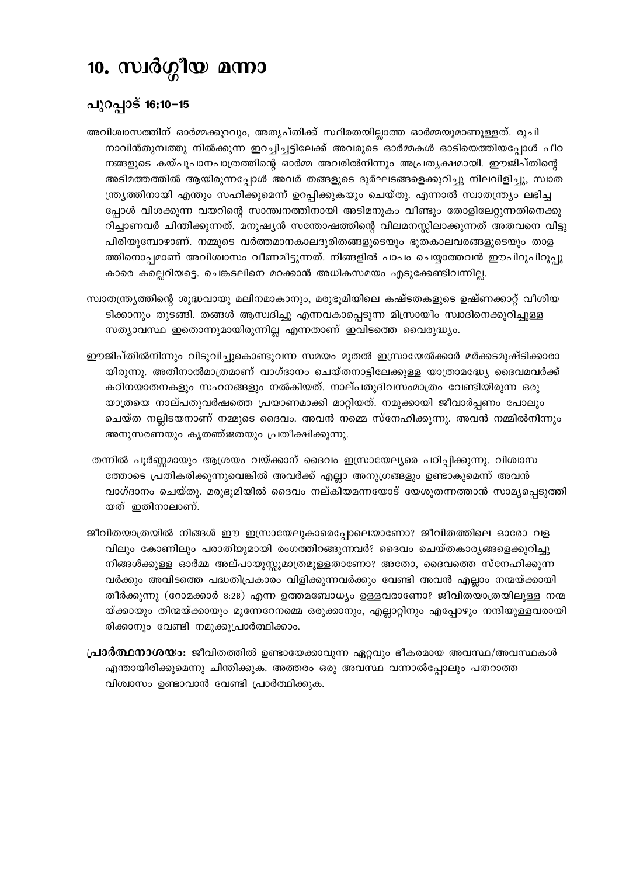# 10. സ്വർഗ്ഗീയ മന്നാ

### പുറപ്പാട് 16:10−15

- അവിശ്വാസത്തിന് ഓർമ്മക്കുറവും, അതൃപ്തിക്ക് സ്ഥിരതയില്ലാത്ത ഓർമ്മയുമാണുള്ളത്. രുചി നാവിൻതുമ്പത്തു നിൽക്കുന്ന ഇറച്ചിച്ചട്ടിലേക്ക് അവരുടെ ഓർമ്മകൾ ഓടിയെത്തിയപ്പോൾ പീഠ നങ്ങളുടെ കയ്പുപാനപാത്രത്തിന്റെ ഓർമ്മ അവരിൽനിന്നും അപ്രത്യക്ഷമായി. ഈജിപ്തിന്റെ അടിമത്തത്തിൽ ആയിരുന്നപ്പോൾ അവർ തങ്ങളുടെ ദുർഘടങ്ങളെക്കുറിച്ചു നിലവിളിച്ചു, സ്വാത ന്ത്ര്യത്തിനായി എന്തും സഹിക്കുമെന്ന് ഉറപ്പിക്കുകയും ചെയ്തു. എന്നാൽ സ്വാതന്ത്ര്യം ലഭിച്ച പ്പോൾ വിശക്കുന്ന വയറിന്റെ സാന്ത്വനത്തിനായി അടിമനുകം വീണ്ടും തോളിലേറ്റുന്നതിനെക്കു റിച്ചാണവർ ചിന്തിക്കുന്നത്. മനുഷ്യൻ സന്തോഷത്തിന്റെ വിലമനസ്സിലാക്കുന്നത് അതവനെ വിട്ടു പിരിയുമ്പോഴാണ്. നമ്മുടെ വർത്തമാനകാലദുരിതങ്ങളുടെയും ഭൂതകാലവരങ്ങളുടെയും താള ത്തിനൊപ്പമാണ് അവിശ്വാസം വീണമീട്ടുന്നത്. നിങ്ങളിൽ പാപം ചെയ്യാത്തവൻ ഈപിറുപിറുപ്പു കാരെ കല്ലെറിയട്ടെ. ചെങ്കടലിനെ മറക്കാൻ അധികസമയം എടുക്കേണ്ടിവന്നില്ല.
- സ്വാതന്ത്ര്യത്തിന്റെ ശുദ്ധവായു മലിനമാകാനും, മരുഭൂമിയിലെ കഷ്ടതകളുടെ ഉഷ്ണക്കാറ്റ് വീശിയ ടിക്കാനും തുടങ്ങി. തങ്ങൾ ആസ്വദിച്ചു എന്നവകാപ്പെടുന്ന മിസ്രായീം സ്വാദിനെക്കുറിച്ചുള്ള സത്യാവസ്ഥ ഇതൊന്നുമായിരുന്നില്ല എന്നതാണ് ഇവിടത്തെ വൈരുദ്ധ്യം.
- ഈജിപ്തിൽനിന്നും വിടുവിച്ചുകൊണ്ടുവന്ന സമയം മുതൽ ഇസ്രായേൽക്കാർ മർക്കടമുഷ്ടിക്കാരാ യിരുന്നു. അതിനാൽമാത്രമാണ് വാഗ്ദാനം ചെയ്തനാട്ടിലേക്കുള്ള യാത്രാമദ്ധ്യേ ദൈവമവർക്ക് കഠിനയാതനകളും സഹനങ്ങളും നൽകിയത്. നാല്പതുദിവസംമാത്രം വേണ്ടിയിരുന്ന ഒരു യാത്രയെ നാല്പതുവർഷത്തെ പ്രയാണമാക്കി മാറ്റിയത്. നമുക്കായി ജീവാർപ്പണം പോലും ചെയ്ത നല്ലിടയനാണ് നമ്മുടെ ദൈവം. അവൻ നമ്മെ സ്നേഹിക്കുന്നു. അവൻ നമ്മിൽനിന്നും അനുസരണയും കൃതഞ്ജതയും പ്രതീക്ഷിക്കുന്നു.
- തന്നിൽ പൂർണ്ണമായും ആശ്രയം വയ്ക്കാന് ദൈവം ഇസ്രായേല്യരെ പഠിപ്പിക്കുന്നു. വിശ്വാസ ത്തോടെ പ്രതികരിക്കുന്നുവെങ്കിൽ അവർക്ക് എല്ലാ അനുഗ്രങ്ങളും ഉണ്ടാകുമെന്ന് അവൻ വാഗ്ദാനം ചെയ്തു. മരുഭൂമിയിൽ ദൈവം നല്കിയമന്നയോട് യേശുതന്നത്താൻ സാമൃപ്പെടുത്തി യത് ഇതിനാലാണ്.
- ജീവിതയാത്രയിൽ നിങ്ങൾ ഈ ഇസ്രായേലുകാരെപ്പോലെയാണോ? ജീവിതത്തിലെ ഓരോ വള വിലും കോണിലും പരാതിയുമായി രംഗത്തിറങ്ങുന്നവർ? ദൈവം ചെയ്തകാര്യങ്ങളെക്കുറിച്ചു നിങ്ങൾക്കുള്ള ഓർമ്മ അല്പായുസ്സുമാത്രമുള്ളതാണോ? അതോ, ദൈവത്തെ സ്നേഹിക്കുന്ന വർക്കും അവിടത്തെ പദ്ധതിപ്രകാരം വിളിക്കുന്നവർക്കും വേണ്ടി അവൻ എല്ലാം നന്മയ്ക്കായി തീർക്കുന്നു (റോമക്കാർ 8:28) എന്ന ഉത്തമബോധ്യം ഉള്ളവരാണോ? ജീവിതയാത്രയിലുള്ള നന്മ യ്ക്കായും തിന്മയ്ക്കായും മുന്നേറേനമ്മെ ഒരുക്കാനും, എല്ലാറ്റിനും എപ്പോഴും നന്ദിയുള്ളവരായി രിക്കാനും വേണ്ടി നമുക്കുപ്രാർത്ഥിക്കാം.
- **പ്രാർത്ഥനാശയം:** ജീവിതത്തിൽ ഉണ്ടായേക്കാവുന്ന ഏറ്റവും ഭീകരമായ അവസ്ഥ/അവസ്ഥകൾ എന്തായിരിക്കുമെന്നു ചിന്തിക്കുക. അത്തരം ഒരു അവസ്ഥ വന്നാൽപ്പോലും പതറാത്ത വിശ്വാസം ഉണ്ടാവാൻ വേണ്ടി പ്രാർത്ഥിക്കുക.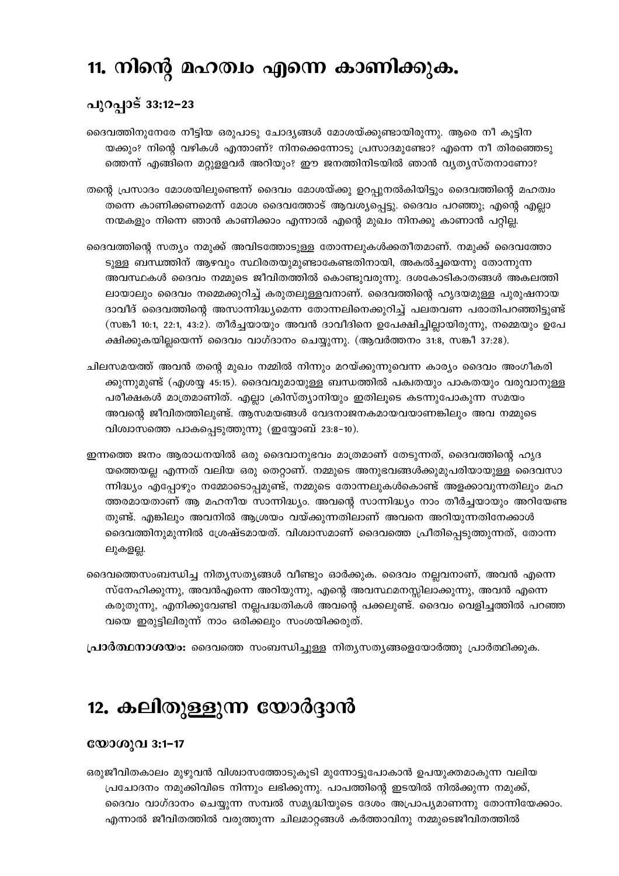### 11. നിന്റെ മഹത്വം എന്നെ കാണിക്കുക.

### പുറപ്പാട് 33:12−23

ദൈവത്തിനുനേരേ നീട്ടിയ ഒരുപാടു ചോദ്യങ്ങൾ മോശയ്ക്കുണ്ടായിരുന്നു. ആരെ നീ കുട്ടിന യക്കും? നിന്റെ വഴികൾ എന്താണ്? നിനക്കെന്നോടു പ്രസാദമുണ്ടോ? എന്നെ നീ തിരഞ്ഞെടു ത്തെന്ന് എങ്ങിനെ മറ്റുള്ളവർ അറിയും? ഈ ജനത്തിനിടയിൽ ഞാൻ വ്യത്യസ്തനാണോ?

തന്റെ പ്രസാദം മോശയിലുണ്ടെന്ന് ദൈവം മോശയ്ക്കു ഉറപ്പുനൽകിയിട്ടും ദൈവത്തിന്റെ മഹത്വം തന്നെ കാണിക്കണമെന്ന് മോശ ദൈവത്തോട് ആവശ്യപ്പെട്ടു. ദൈവം പറഞ്ഞു; എന്റെ എല്ലാ നന്മകളും നിന്നെ ഞാൻ കാണിക്കാം എന്നാൽ എന്റെ മുഖം നിനക്കു കാണാൻ പറ്റില്ല.

ദൈവത്തിന്റെ സത്യം നമുക്ക് അവിടത്തോടുള്ള തോന്നലുകൾക്കതീതമാണ്. നമുക്ക് ദൈവത്തോ ടുള്ള ബന്ധത്തിന് ആഴവും സ്ഥിരതയുമുണ്ടാകേണ്ടതിനായി, അകൽച്ചയെന്നു തോന്നുന്ന അവസ്ഥകൾ ദൈവം നമ്മുടെ ജീവിതത്തിൽ കൊണ്ടുവരുന്നു. ദശകോടികാതങ്ങൾ അകലത്തി ലായാലും ദൈവം നമ്മെക്കുറിച്ച് കരുതലുള്ളവനാണ്. ദൈവത്തിന്റെ ഹൃദയമുള്ള പുരുഷനായ ദാവീദ് ദൈവത്തിന്റെ അസാന്നിദ്ധ്യമെന്ന തോന്നലിനെക്കുറിച്ച് പലതവണ പരാതിപറഞ്ഞിട്ടുണ്ട് (സങ്കീ 10:1, 22:1, 43:2). തീർച്ചയായും അവൻ ദാവീദിനെ ഉപേക്ഷിച്ചില്ലായിരുന്നു, നമ്മെയും ഉപേ ക്ഷിക്കുകയില്ലയെന്ന് ദൈവം വാഗ്ദാനം ചെയ്യുന്നു. (ആവർത്തനം 31:8, സങ്കീ 37:28).

ചിലസമയത്ത് അവൻ തന്റെ മുഖം നമ്മിൽ നിന്നും മറയ്ക്കുന്നുവെന്ന കാര്യം ദൈവം അംഗീകരി ക്കുന്നുമുണ്ട് (എശയ്യ 45:15). ദൈവവുമായുള്ള ബന്ധത്തിൽ പക്വതയും പാകതയും വരുവാനുള്ള പരീക്ഷകൾ മാത്രമാണിത്. എല്ലാ ക്രിസ്ത്യാനിയും ഇതിലൂടെ കടന്നുപോകുന്ന സമയം അവന്റെ ജീവിതത്തിലുണ്ട്. ആസമയങ്ങൾ വേദനാജനകമായവയാണങ്കിലും അവ നമ്മുടെ വിശ്വാസത്തെ പാകപ്പെടുത്തുന്നു (ഇയ്യോബ് 23:8-10).

ഇന്നത്തെ ജനം ആരാധനയിൽ ഒരു ദൈവാനുഭവം മാത്രമാണ് തേടുന്നത്. ദൈവത്തിന്റെ ഹൃദ യത്തെയല്ല എന്നത് വലിയ ഒരു തെറ്റാണ്. നമ്മുടെ അനുഭവങ്ങൾക്കുമുപരിയായുള്ള ദൈവസാ ന്നിദ്ധ്യം എപ്പോഴും നമ്മോടൊപ്പമുണ്ട്, നമ്മുടെ തോന്നലുകൾകൊണ്ട് അളക്കാവുന്നതിലും മഹ ത്തരമായതാണ് ആ മഹനീയ സാന്നിദ്ധ്യം. അവന്റെ സാന്നിദ്ധ്യം നാം തീർച്ചയായും അറിയേണ്ട തുണ്ട്. എങ്കിലും അവനിൽ ആശ്രയം വയ്ക്കുന്നതിലാണ് അവനെ അറിയുന്നതിനേക്കാൾ ദൈവത്തിനുമുന്നിൽ ശ്രേഷ്ടമായത്. വിശ്വാസമാണ് ദൈവത്തെ പ്രീതിപ്പെടുത്തുന്നത്, തോന്ന ലുകളല്ല.

ദൈവത്തെസംബന്ധിച്ച നിത്യസത്യങ്ങൾ വീണ്ടും ഓർക്കുക. ദൈവം നല്ലവനാണ്, അവൻ എന്നെ സ്നേഹിക്കുന്നു, അവൻഎന്നെ അറിയുന്നു, എന്റെ അവസ്ഥമനസ്സിലാക്കുന്നു, അവൻ എന്നെ കരുതുന്നു, എനിക്കുവേണ്ടി നല്ലപദ്ധതികൾ അവന്റെ പക്കലുണ്ട്. ദൈവം വെളിച്ചത്തിൽ പറഞ്ഞ വയെ ഇരുട്ടിലിരുന്ന് നാം ഒരിക്കലും സംശയിക്കരുത്.

**പ്രാർത്ഥനാശയം:** ദൈവത്തെ സംബന്ധിച്ചുള്ള നിത്യസത്യങ്ങളെയോർത്തു പ്രാർത്ഥിക്കുക.

### 12. കലിതുള്ളുന്ന യോർദ്ദാൻ

#### യോശുവ 3:1-17

ഒരുജീവിതകാലം മുഴുവൻ വിശ്വാസത്തോടുകൂടി മുന്നോട്ടുപോകാൻ ഉപയുക്തമാകുന്ന വലിയ പ്രചോദനം നമുക്കിവിടെ നിന്നും ലഭിക്കുന്നു. പാപത്തിന്റെ ഇടയിൽ നിൽക്കുന്ന നമുക്ക്, ദൈവം വാഗ്ദാനം ചെയ്യുന്ന സമ്പൽ സമൃദ്ധിയുടെ ദേശം അപ്രാപൃമാണന്നു തോന്നിയേക്കാം. എന്നാൽ ജീവിതത്തിൽ വരുത്തുന്ന ചിലമാറ്റങ്ങൾ കർത്താവിനു നമ്മുടെജീവിതത്തിൽ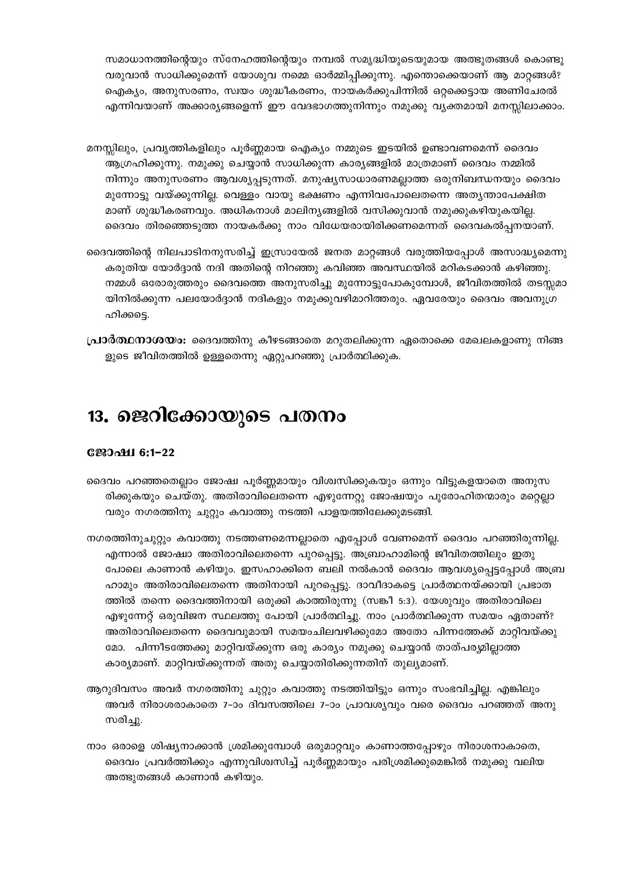സമാധാനത്തിന്റെയും സ്നേഹത്തിന്റെയും നമ്പൽ സമൃദ്ധിയുടെയുമായ അത്ഭുതങ്ങൾ കൊണ്ടു വരുവാൻ സാധിക്കുമെന്ന് യോശുവ നമ്മെ ഓർമ്മിപ്പിക്കുന്നു. എന്തൊക്കെയാണ് ആ മാറ്റങ്ങൾ? ഐക്യം, അനുസരണം, സ്വയം ശുദ്ധീകരണം, നായകർക്കുപിന്നിൽ ഒറ്റക്കെട്ടായ അണിചേരൽ എന്നിവയാണ് അക്കാര്യങ്ങളെന്ന് ഈ വേദഭാഗത്തുനിന്നും നമുക്കു വ്യക്തമായി മനസ്സിലാക്കാം.

- മനസ്സിലും, പ്രവൃത്തികളിലും പൂർണ്ണമായ ഐക്യം നമ്മുടെ ഇടയിൽ ഉണ്ടാവണമെന്ന് ദൈവം ആഗ്രഹിക്കുന്നു. നമുക്കു ചെയ്യാൻ സാധിക്കുന്ന കാര്യങ്ങളിൽ മാത്രമാണ് ദൈവം നമ്മിൽ നിന്നും അനുസരണം ആവശ്യപ്പടുന്നത്. മനുഷ്യസാധാരണമല്ലാത്ത ഒരുനിബന്ധനയും ദൈവം മുന്നോട്ടു വയ്ക്കുന്നില്ല. വെള്ളം വായു ഭക്ഷണം എന്നിവപോലെതന്നെ അതൃന്താപേക്ഷിത മാണ് ശുദ്ധീകരണവും. അധികനാൾ മാലിന്യങ്ങളിൽ വസിക്കുവാൻ നമുക്കുകഴിയുകയില്ല. ദൈവം തിരഞ്ഞെടുത്ത നായകർക്കു നാം വിധേയരായിരിക്കണമെന്നത് ദൈവകൽപ്പനയാണ്.
- ദൈവത്തിന്റെ നിലപാടിനനുസരിച്ച് ഇസ്രായേൽ ജനത മാറ്റങ്ങൾ വരുത്തിയപ്പോൾ അസാദ്ധ്യമെന്നു കരുതിയ യോർദ്ദാൻ നദി അതിന്റെ നിറഞ്ഞു കവിഞ്ഞ അവസ്ഥയിൽ മറികടക്കാൻ കഴിഞ്ഞു. നമ്മൾ ഒരോരുത്തരും ദൈവത്തെ അനുസരിച്ചു മുന്നോട്ടുപോകുമ്പോൾ, ജീവിതത്തിൽ തടസ്സമാ യിനിൽക്കുന്ന പലയോർദ്ദാൻ നദികളും നമുക്കുവഴിമാറിത്തരും. ഏവരേയും ദൈവം അവനുഗ്ര ഹിക്കട്ടെ.
- **പ്രാർത്ഥനാശയം:** ദൈവത്തിനു കീഴടങ്ങാതെ മറുതലിക്കുന്ന ഏതൊക്കെ മേഖലകളാണു നിങ്ങ ളുടെ ജീവിതത്തിൽ ഉള്ളതെന്നു ഏറ്റുപറഞ്ഞു പ്രാർത്ഥിക്കുക.

# 13. ജെറിക്കോയുടെ പതനം

#### **С2200116:1-22**

- ദൈവം പറഞ്ഞതെല്ലാം ജോഷ്വ പൂർണ്ണമായും വിശ്വസിക്കുകയും ഒന്നും വിട്ടുകളയാതെ അനുസ രിക്കുകയും ചെയ്തു. അതിരാവിലെതന്നെ എഴുന്നേറ്റു ജോഷ്വയും പുരോഹിതന്മാരും മറ്റെല്ലാ വരും നഗരത്തിനു ചുറ്റും കവാത്തു നടത്തി പാളയത്തിലേക്കുമടങ്ങി.
- നഗരത്തിനുചുറ്റും കവാത്തു നടത്തണമെന്നല്ലാതെ എപ്പോൾ വേണമെന്ന് ദൈവം പറഞ്ഞിരുന്നില്ല. എന്നാൽ ജോഷ്വാ അതിരാവിലെതന്നെ പുറപ്പെട്ടു. അബ്രാഹാമിന്റെ ജീവിതത്തിലും ഇതു പോലെ കാണാൻ കഴിയും. ഇസഹാക്കിനെ ബലി നൽകാൻ ദൈവം ആവശ്യപ്പെട്ടപ്പോൾ അബ്ര ഹാമും അതിരാവിലെതന്നെ അതിനായി പുറപ്പെട്ടു. ദാവീദാകട്ടെ പ്രാർത്ഥനയ്ക്കായി പ്രഭാത ത്തിൽ തന്നെ ദൈവത്തിനായി ഒരുക്കി കാത്തിരുന്നു (സങ്കീ 5:3). യേശുവും അതിരാവിലെ എഴുന്നേറ്റ് ഒരുവിജന സ്ഥലത്തു പോയി പ്രാർത്ഥിച്ചു. നാം പ്രാർത്ഥിക്കുന്ന സമയം ഏതാണ്? അതിരാവിലെതന്നെ ദൈവവുമായി സമയംചിലവഴിക്കുമോ അതോ പിന്നത്തേക്ക് മാറ്റിവയ്ക്കു മോ. പിന്നീടത്തേക്കു മാറ്റിവയ്ക്കുന്ന ഒരു കാര്യം നമുക്കു ചെയ്യാൻ താത്പര്യമില്ലാത്ത കാര്യമാണ്. മാറ്റിവയ്ക്കുന്നത് അതു ചെയ്യാതിരിക്കുന്നതിന് തുല്യമാണ്.
- ആറുദിവസം അവർ നഗരത്തിനു ചുറ്റും കവാത്തു നടത്തിയിട്ടും ഒന്നും സംഭവിച്ചില്ല. എങ്കിലും അവർ നിരാശരാകാതെ 7-ാം ദിവസത്തിലെ 7-ാം പ്രാവശ്യവും വരെ ദൈവം പറഞ്ഞത് അനു സരിച്ചു.
- നാം ഒരാളെ ശിഷ്യനാക്കാൻ ശ്രമിക്കുമ്പോൾ ഒരുമാറ്റവും കാണാത്തപ്പോഴും നിരാശനാകാതെ, ദൈവം പ്രവർത്തിക്കും എന്നുവിശ്വസിച്ച് പൂർണ്ണമായും പരിശ്രമിക്കുമെങ്കിൽ നമുക്കു വലിയ അത്ഭുതങ്ങൾ കാണാൻ കഴിയും.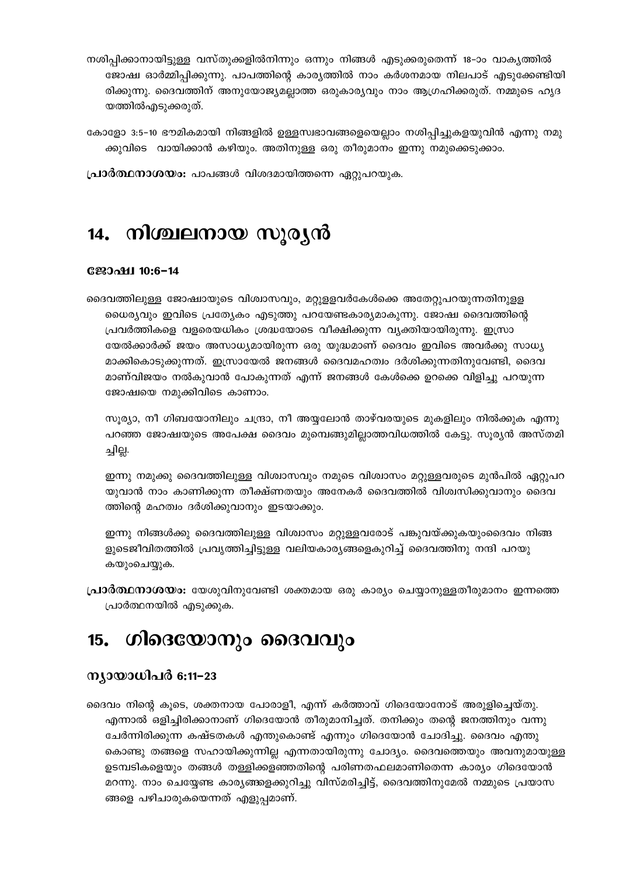- നശിപ്പിക്കാനായിട്ടുള്ള വസ്തുക്കളിൽനിന്നും ഒന്നും നിങ്ങൾ എടുക്കരുതെന്ന് 18–ാം വാകൃത്തിൽ ജോഷ്വ ഓർമ്മിപ്പിക്കുന്നു. പാപത്തിന്റെ കാര്യത്തിൽ നാം കർശനമായ നിലപാട് എടുക്കേണ്ടിയി രിക്കുന്നു. ദൈവത്തിന് അനുയോജ്യമല്ലാത്ത ഒരുകാര്യവും നാം ആഗ്രഹിക്കരുത്. നമ്മുടെ ഹൃദ യത്തിൽഎടുക്കരുത്.
- കോളോ 3:5–10 ഭൗമികമായി നിങ്ങളിൽ ഉള്ളസ്വഭാവങ്ങളെയെല്ലാം നശിപ്പിച്ചുകളയുവിൻ എന്നു നമു ക്കുവിടെ വായിക്കാൻ കഴിയും. അതിനുള്ള ഒരു തീരുമാനം ഇന്നു നമുക്കെടുക്കാം.

**പ്രാർത്ഥനാശയം:** പാപങ്ങൾ വിശദമായിത്തന്നെ ഏറ്റുപറയുക.

### 14. നിശ്ചലനായ സൂര്യൻ

#### **Сஜാഷ1 10:6-14**

ദൈവത്തിലുള്ള ജോഷ്വായുടെ വിശ്വാസവും, മറ്റുളളവർകേൾക്കെ അതേറ്റുപറയുന്നതിനുളള ധൈര്യവും ഇവിടെ പ്രത്യേകം എടുത്തു പറയേണ്ടകാര്യമാകുന്നു. ജോഷ്വ ദൈവത്തിന്റെ പ്രവർത്തികളെ വളരെയധികം ശ്രദ്ധയോടെ വീക്ഷിക്കുന്ന വ്യക്തിയായിരുന്നു. ഇസ്രാ യേൽക്കാർക്ക് ജയം അസാധ്യമായിരുന്ന ഒരു യുദ്ധമാണ് ദൈവം ഇവിടെ അവർക്കു സാധ്യ മാക്കികൊടുക്കുന്നത്. ഇസ്രായേൽ ജനങ്ങൾ ദൈവമഹത്വം ദർശിക്കുന്നതിനുവേണ്ടി, ദൈവ മാണ്വിജയം നൽകുവാൻ പോകുന്നത് എന്ന് ജനങ്ങൾ കേൾക്കെ ഉറക്കെ വിളിച്ചു പറയുന്ന ജോഷ്വയെ നമുക്കിവിടെ കാണാം.

സൂര്യാ, നീ ഗിബയോനിലും ചന്ദ്രാ, നീ അയ്യലോൻ താഴ്വരയുടെ മുകളിലും നിൽക്കുക എന്നു പറഞ്ഞ ജോഷ്വയുടെ അപേക്ഷ ദൈവം മുമ്പെങ്ങുമില്ലാത്തവിധത്തിൽ കേട്ടു. സൂര്യൻ അസ്തമി ച്ചില്ല.

ഇന്നു നമുക്കു ദൈവത്തിലുള്ള വിശ്വാസവും നമുടെ വിശ്വാസം മറ്റുള്ളവരുടെ മുൻപിൽ ഏറ്റുപറ യുവാൻ നാം കാണിക്കുന്ന തീക്ഷ്ണതയും അനേകർ ദൈവത്തിൽ വിശ്വസിക്കുവാനും ദൈവ ത്തിന്റെ മഹത്വം ദർശിക്കുവാനും ഇടയാക്കും.

ഇന്നു നിങ്ങൾക്കു ദൈവത്തിലുള്ള വിശ്വാസം മറ്റുള്ളവരോട് പങ്കുവയ്ക്കുകയുംദൈവം നിങ്ങ ളുടെജീവിതത്തിൽ പ്രവൃത്തിച്ചിട്ടുള്ള വലിയകാര്യങ്ങളെകുറിച്ച് ദൈവത്തിനു നന്ദി പറയു കയുംചെയ്യുക.

**പ്രാർത്ഥനാശയം:** യേശുവിനുവേണ്ടി ശക്തമായ ഒരു കാര്യം ചെയ്യാനുള്ളതീരുമാനം ഇന്നത്തെ പ്രാർത്ഥനയിൽ എടുക്കുക.

#### ഗിദെയോനും ദൈവവും 15.

#### ന്യായാധിപർ 6:11–23

ദൈവം നിന്റെ കൂടെ, ശക്തനായ പോരാളീ, എന്ന് കർത്താവ് ഗിദെയോനോട് അരുളിച്ചെയ്തു. എന്നാൽ ഒളിച്ചിരിക്കാനാണ് ഗിദെയോൻ തീരുമാനിച്ചത്. തനിക്കും തന്റെ ജനത്തിനും വന്നു ചേർന്നിരിക്കുന്ന കഷ്ടതകൾ എന്തുകൊണ്ട് എന്നും ഗിദെയോൻ ചോദിച്ചു. ദൈവം എന്തു കൊണ്ടു തങ്ങളെ സഹായിക്കുന്നില്ല എന്നതായിരുന്നു ചോദ്യം. ദൈവത്തെയും അവനുമായുള്ള ഉടമ്പടികളെയും തങ്ങൾ തള്ളിക്കളഞ്ഞതിന്റെ പരിണതഫലമാണിതെന്ന കാര്യം ഗിദെയോൻ മറന്നു. നാം ചെയ്യേണ്ട കാര്യങ്ങളെക്കുറിച്ചു വിസ്മരിച്ചിട്ട്, ദൈവത്തിനുമേൽ നമ്മുടെ പ്രയാസ ങ്ങളെ പഴിചാരുകയെന്നത് എളുപ്പമാണ്.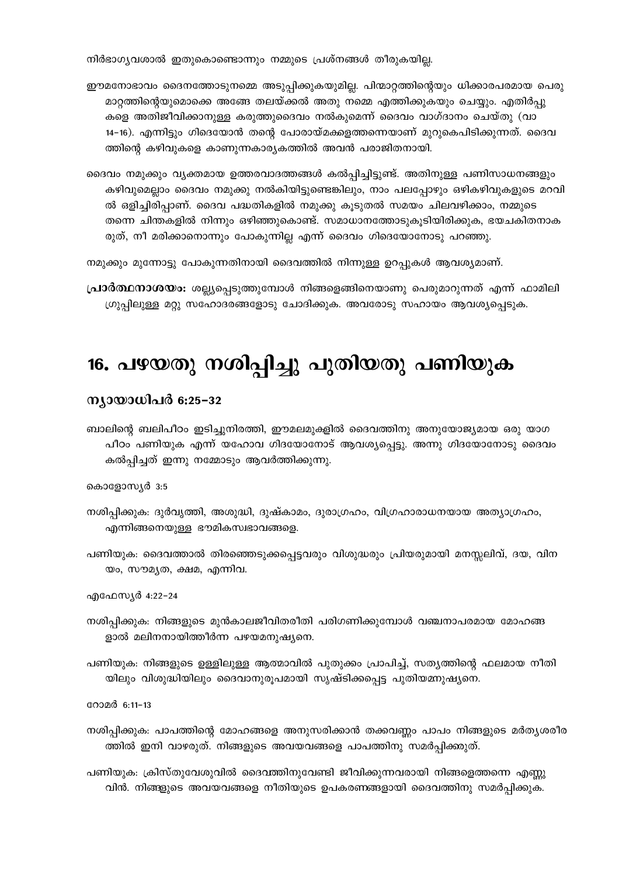നിർഭാഗ്യവശാൽ ഇതുകൊണ്ടൊന്നും നമ്മുടെ പ്രശ്നങ്ങൾ തീരുകയില്ല.

- ഈമനോഭാവം ദൈനത്തോടുനമ്മെ അടുപ്പിക്കുകയുമില്ല. പിന്മാറ്റത്തിന്റെയും ധിക്കാരപരമായ പെരു മാറ്റത്തിന്റെയുമൊക്കെ അങ്ങേ തലയ്ക്കൽ അതു നമ്മെ എത്തിക്കുകയും ചെയ്യും. എതിർപ്പു കളെ അതിജീവിക്കാനുള്ള കരുത്തുദൈവം നൽകുമെന്ന് ദൈവം വാഗ്ദാനം ചെയ്തു (വാ 14–16). എന്നിട്ടും ഗിദെയോൻ തന്റെ പോരായ്മക്കളത്തന്നെയാണ് മുറുകെപിടിക്കുന്നത്. ദൈവ ത്തിന്റെ കഴിവുകളെ കാണുന്നകാര്യകത്തിൽ അവൻ പരാജിതനായി.
- ദൈവം നമുക്കും വ്യക്തമായ ഉത്തരവാദത്തങ്ങൾ കൽപ്പിച്ചിട്ടുണ്ട്. അതിനുള്ള പണിസാധനങ്ങളും കഴിവുമെല്ലാം ദൈവം നമുക്കു നൽകിയിട്ടുണ്ടെങ്കിലും, നാം പലപ്പോഴും ഒഴികഴിവുകളുടെ മറവി ൽ ഒളിച്ചിരിപ്പാണ്. ദൈവ പദ്ധതികളിൽ നമുക്കു കൂടുതൽ സമയം ചിലവഴിക്കാം, നമ്മുടെ തന്നെ ചിന്തകളിൽ നിന്നും ഒഴിഞ്ഞുകൊണ്ട്. സമാധാനത്തോടുകൂടിയിരിക്കുക, ഭയചകിതനാക രുത്, നീ മരിക്കാനൊന്നും പോകുന്നില്ല എന്ന് ദൈവം ഗിദെയോനോടു പറഞ്ഞു.

നമുക്കും മുന്നോട്ടു പോകുന്നതിനായി ദൈവത്തിൽ നിന്നുള്ള ഉറപ്പുകൾ ആവശ്യമാണ്.

**പ്രാർത്ഥനാശയം:** ശല്ല്യപ്പെടുത്തുമ്പോൾ നിങ്ങളെങ്ങിനെയാണു പെരുമാറുന്നത് എന്ന് ഫാമിലി ഗ്രുപ്പിലുള്ള മറ്റു സഹോദരങ്ങളോടു ചോദിക്കുക. അവരോടു സഹായം ആവശ്യപ്പെടുക.

# 16. പഴയതു നശിപ്പിച്ചു പുതിയതു പണിയുക

#### ന്യായാധിപർ 6:25–32

ബാലിന്റെ ബലിപീഠം ഇടിച്ചുനിരത്തി, ഈമലമുക്കൂിൽ ദൈവത്തിനു അനുയോജ്യമായ ഒരു യാഗ പീഠം പണിയുക എന്ന് യഹോവ ഗിദയോനോട് ആവശ്യപ്പെട്ടു. അന്നു ഗിദയോനോടു ദൈവം കൽപ്പിച്ചത് ഇന്നു നമ്മോടും ആവർത്തിക്കുന്നു.

#### കൊളോസ്യർ 3:5

- നശിപ്പിക്കുക: ദുർവൃത്തി, അശുദ്ധി, ദുഷ്കാമം, ദുരാഗ്രഹം, വിഗ്രഹാരാധനയായ അത്യാഗ്രഹം, എന്നിങ്ങനെയുള്ള ഭൗമികസ്വഭാവങ്ങളെ.
- പണിയുക: ദൈവത്താൽ തിരഞ്ഞെടുക്കപ്പെട്ടവരും വിശുദ്ധരും പ്രിയരുമായി മനസ്സലിവ്, ദയ, വിന യം, സൗമൃത, ക്ഷമ, എന്നിവ.

എഫേസ്യർ 4:22-24

നശിപ്പിക്കുക: നിങ്ങളുടെ മുൻകാലജീവിതരീതി പരിഗണിക്കുമ്പോൾ വഞ്ചനാപരമായ മോഹങ്ങ ളാൽ മലിനനായിത്തീർന്ന പഴയമനുഷ്യനെ.

പണിയുക: നിങ്ങളുടെ ഉള്ളിലുള്ള ആത്മാവിൽ പുതുക്കം പ്രാപിച്ച്, സതൃത്തിന്റെ ഫലമായ നീതി യിലും വിശുദ്ധിയിലും ദൈവാനുരൂപമായി സൃഷ്ടിക്കപ്പെട്ട പുതിയമ്നുഷ്യനെ.

റോമർ 6:11-13

നശിപ്പിക്കുക: പാപത്തിന്റെ മോഹങ്ങളെ അനുസരിക്കാൻ തക്കവണ്ണം പാപം നിങ്ങളുടെ മർതൃശരീര ത്തിൽ ഇനി വാഴരുത്. നിങ്ങളുടെ അവയവങ്ങളെ പാപത്തിനു സമർപ്പിക്കുത്.

പണിയുക: ക്രിസ്തുവേശുവിൽ ദൈവത്തിനുവേണ്ടി ജീവിക്കുന്നവരായി നിങ്ങളെത്തന്നെ എണ്ണു വിൻ. നിങ്ങളുടെ അവയവങ്ങളെ നീതിയുടെ ഉപകരണങ്ങളായി ദൈവത്തിനു സമർപ്പിക്കുക.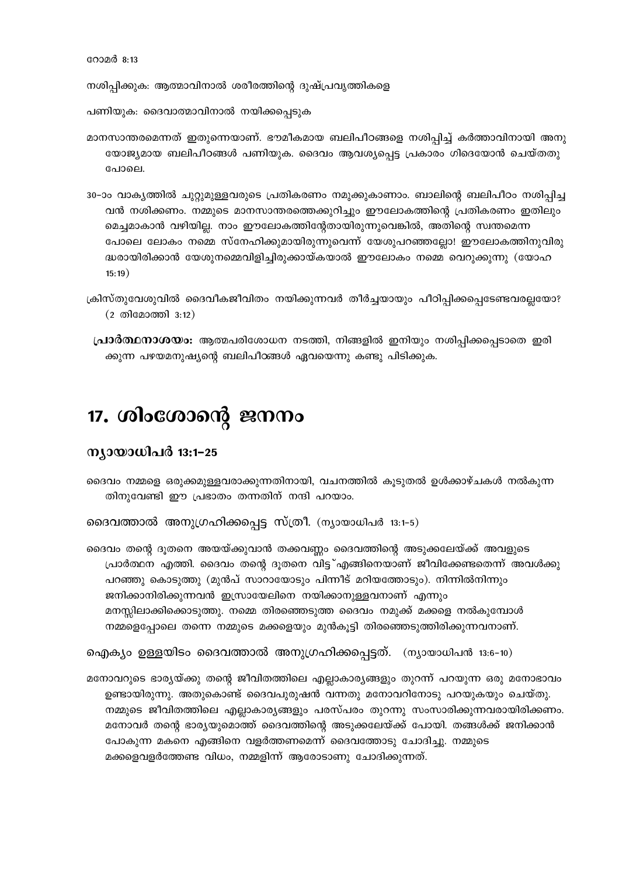നശിപ്പിക്കുക: ആത്മാവിനാൽ ശരീരത്തിന്റെ ദുഷ്പ്രവൃത്തികളെ

- പണിയുക: ദൈവാത്മാവിനാൽ നയിക്കപ്പെടുക
- മാനസാന്തരമെന്നത് ഇതുന്നെയാണ്. ഭൗമീകമായ ബലിപീഠങ്ങളെ നശിപ്പിച്ച് കർത്താവിനായി അനു യോജ്യമായ ബലിപീഠങ്ങൾ പണിയുക. ദൈവം ആവശ്യപ്പെട്ട പ്രകാരം ഗിദെയോൻ ചെയ്തതു പോലെ.
- 30-ാം വാകൃത്തിൽ ചുറ്റുമുള്ളവരുടെ പ്രതികരണം നമുക്കുകാണാം. ബാലിന്റെ ബലിപീഠം നശിപ്പിച്ച വൻ നശിക്കണം. നമ്മുടെ മാനസാന്തരത്തെക്കുറിച്ചും ഈലോകത്തിന്റെ പ്രതികരണം ഇതിലും മെച്ചമാകാൻ വഴിയില്ല. നാം ഈലോകത്തിന്റേതായിരുന്നുവെങ്കിൽ, അതിന്റെ സ്വന്തമെന്ന പോലെ ലോകം നമ്മെ സ്നേഹിക്കുമായിരുന്നുവെന്ന് യേശുപറഞ്ഞല്ലോ! ഈലോകത്തിനുവിരു ദ്ധരായിരിക്കാൻ യേശുനമ്മെവിളിച്ചിരുക്കായ്കയാൽ ഈലോകം നമ്മെ വെറുക്കുന്നു (യോഹ  $15:19)$
- ക്രിസ്തുവേശുവിൽ ദൈവീകജീവിതം നയിക്കുന്നവർ തീർച്ചയായും പീഠിപ്പിക്കപ്പെടേണ്ടവരല്ലയോ?  $(2 \n *①*|*0*|*0*|*0*|*0*|*0*|*0*|*0*|*0*|*0*|*0*|*0*|*0*|*0*|*0*|*0*|*0*|*0*|*0*|*0*|*0*|*0*|*0*|*0*|*0*|*0*|*0*|*0*|*0*|*0*|*0*$
- **പ്രാർത്ഥനാശയം:** ആത്മപരിശോധന നടത്തി, നിങ്ങളിൽ ഇനിയും നശിപ്പിക്കപ്പെടാതെ ഇരി ക്കുന്ന പഴയമനുഷ്യന്റെ ബലിപീഠങ്ങൾ ഏവയെന്നു കണ്ടു പിടിക്കുക.

# 17. ശിംശോന്റെ ജനനം

#### ന്യായാധിപർ 13:1-25

ദൈവം നമ്മളെ ഒരുക്കമുള്ളവരാക്കുന്നതിനായി, വചനത്തിൽ കൂടുതൽ ഉൾക്കാഴ്ചകൾ നൽകുന്ന തിനുവേണ്ടി ഈ പ്രഭാതം തന്നതിന് നന്ദി പറയാം.

ദൈവത്താൽ അനുഗ്രഹിക്കപ്പെട്ട സ്ത്രീ. (ന്യായാധിപർ 13:1-5)

ദൈവം തന്റെ ദൂതനെ അയയ്ക്കുവാൻ തക്കവണ്ണം ദൈവത്തിന്റെ അടുക്കലേയ്ക്ക് അവളുടെ പ്രാർത്ഥന എത്തി. ദൈവം തന്റെ ദൂതനെ വിട്ട് എങ്ങിനെയാണ് ജീവിക്കേണ്ടതെന്ന് അവൾക്കു പറഞ്ഞു കൊടുത്തു (മുൻപ് സാറായോടും പിന്നീട് മറിയത്തോടും). നിന്നിൽനിന്നും ജനിക്കാനിരിക്കുന്നവൻ ഇസ്രായേലിനെ നയിക്കാനുള്ളവനാണ് എന്നും മനസ്സിലാക്കിക്കൊടുത്തു. നമ്മെ തിരഞ്ഞെടുത്ത ദൈവം നമുക്ക് മക്കളെ നൽകുമ്പോൾ നമ്മളെപ്പോലെ തന്നെ നമ്മുടെ മക്കളെയും മുൻകൂട്ടി തിരഞ്ഞെടുത്തിരിക്കുന്നവനാണ്.

ഐക്യം ഉള്ളയിടം ദൈവത്താൽ അനുഗ്രഹിക്കപ്പെട്ടത്. (ന്യായാധിപൻ 13:6-10)

മനോവറുടെ ഭാര്യയ്ക്കു തന്റെ ജീവിതത്തിലെ എല്ലാകാര്യങ്ങളും തുറന്ന് പറയുന്ന ഒരു മനോഭാവം ഉണ്ടായിരുന്നു. അതുകൊണ്ട് ദൈവപുരുഷൻ വന്നതു മനോവറിനോടു പറയുകയും ചെയ്തു. നമ്മുടെ ജീവിതത്തിലെ എല്ലാകാര്യങ്ങളും പരസ്പരം തുറന്നു സംസാരിക്കുന്നവരായിരിക്കണം. മനോവർ തന്റെ ഭാര്യയുമൊത്ത് ദൈവത്തിന്റെ അടുക്കലേയ്ക്ക് പോയി. തങ്ങൾക്ക് ജനിക്കാൻ പോകുന്ന മകനെ എങ്ങിനെ വളർത്തണമെന്ന് ദൈവത്തോടു ചോദിച്ചു. നമ്മുടെ മക്കളെവളർത്തേണ്ട വിധം, നമ്മളിന്ന് ആരോടാണു ചോദിക്കുന്നത്.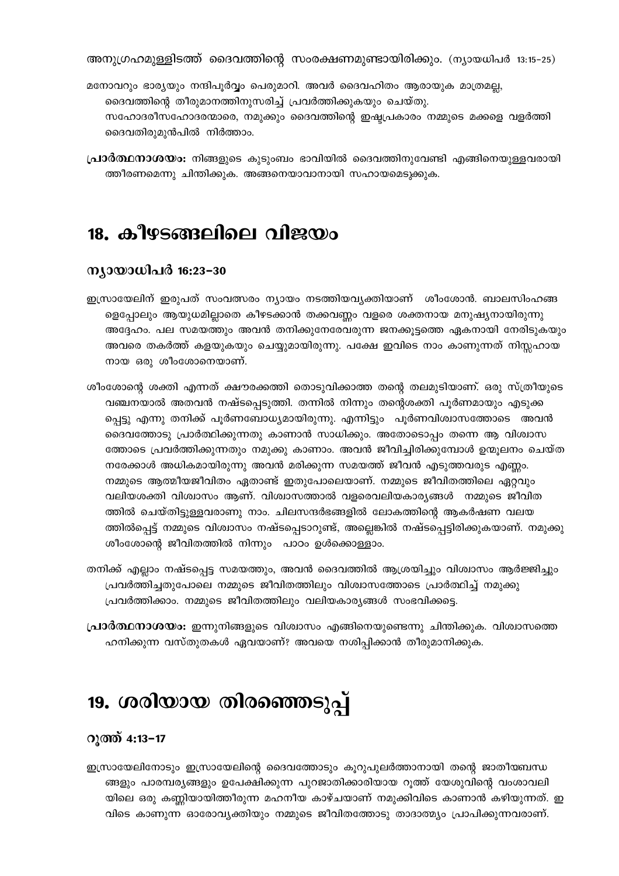അനുഗ്രഹമുള്ളിടത്ത് ദൈവത്തിന്റെ സംരക്ഷണമുണ്ടായിരിക്കും. (ന്യായധിപർ 13:15-25)

- മനോവറും ഭാര്യയും നന്ദിപൂർവ്വം പെരുമാറി. അവർ ദൈവഹിതം ആരായുക മാത്രമല്ല, ദൈവത്തിന്റെ തീരുമാനത്തിനുസരിച്ച് പ്രവർത്തിക്കുകയും ചെയ്തു. സഹോദരീസഹോദരന്മാരെ, നമുക്കും ദൈവത്തിന്റെ ഇഷ്ടപ്രകാരം നമ്മുടെ മക്കളെ വളർത്തി ദൈവതിരുമുൻപിൽ നിർത്താം.
- **പ്രാർത്ഥനാശയം:** നിങ്ങളുടെ കുടുംബം ഭാവിയിൽ ദൈവത്തിനുവേണ്ടി എങ്ങിനെയുള്ളവരായി ത്തീരണമെന്നു ചിന്തിക്കുക. അങ്ങനെയാവാനായി സഹായമെടുക്കുക.

### 18. കീഴടങ്ങലിലെ വിജയം

#### ന്യായാധിപർ 16:23-30

- ഇസ്രായേലിന് ഇരുപത് സംവത്സരം ന്യായം നടത്തിയവ്യക്തിയാണ് ശീംശോൻ. ബാലസിംഹങ്ങ ളെപ്പോലും ആയുധമില്ലാതെ കീഴടക്കാൻ തക്കവണ്ണം വളരെ ശക്തനായ മനുഷ്യനായിരുന്നു അദ്ദേഹം. പല സമയത്തും അവൻ തനിക്കുനേരേവരുന്ന ജനക്കുട്ടത്തെ ഏകനായി നേരിടുകയും അവരെ തകർത്ത് കളയുകയും ചെയ്യുമായിരുന്നു. പക്ഷേ ഇവിടെ നാം കാണുന്നത് നിസ്സഹായ നായ ഒരു ശീംശോനെയാണ്.
- ശീംശോന്റെ ശക്തി എന്നത് ക്ഷൗരക്കത്തി തൊടുവിക്കാത്ത തന്റെ തലമുടിയാണ്. ഒരു സ്ത്രീയുടെ വഞ്ചനയാൽ അതവൻ നഷ്ടപ്പെടുത്തി. തന്നിൽ നിന്നും തന്റെശക്തി പൂർണമായും എടുക്ക പ്പെട്ടു എന്നു തനിക്ക് പൂർണബോധ്യമായിരുന്നു. എന്നിട്ടും പൂർണവിശ്വാസത്തോടെ അവൻ ദൈവത്തോടു പ്രാർത്ഥിക്കുന്നതു കാണാൻ സാധിക്കും. അതോടൊപ്പം തന്നെ ആ വിശ്വാസ ത്തോടെ പ്രവർത്തിക്കുന്നതും നമുക്കു കാണാം. അവൻ ജീവിച്ചിരിക്കുമ്പോൾ ഉന്മൂലനം ചെയ്ത നരേക്കാൾ അധികമായിരുന്നു അവൻ മരിക്കുന്ന സമയത്ത് ജീവൻ എടുത്തവരുട എണ്ണം. നമ്മുടെ ആത്മീയജീവിതം ഏതാണ്ട് ഇതുപോലെയാണ്. നമ്മുടെ ജീവിതത്തിലെ ഏറ്റവും വലിയശക്തി വിശ്വാസം ആണ്. വിശ്വാസത്താൽ വളരെവലിയകാര്യങ്ങൾ നമ്മുടെ ജീവിത ത്തിൽ ചെയ്തിട്ടുള്ളവരാണു നാം. ചിലസന്ദർഭങ്ങളിൽ ലോകത്തിന്റെ ആകർഷണ വലയ ത്തിൽപ്പെട്ട് നമ്മുടെ വിശ്വാസം നഷ്ടപ്പെടാറുണ്ട്, അല്ലെങ്കിൽ നഷ്ടപ്പെട്ടിരിക്കുകയാണ്. നമുക്കു ശീംശോന്റെ ജീവിതത്തിൽ നിന്നും പാഠം ഉൾക്കൊള്ളാം.
- തനിക്ക് എല്ലാം നഷ്ടപ്പെട്ട സമയത്തും, അവൻ ദൈവത്തിൽ ആശ്രയിച്ചും വിശ്വാസം ആർജ്ജിച്ചും പ്രവർത്തിച്ചതുപോലെ നമ്മുടെ ജീവിതത്തിലും വിശ്വാസത്തോടെ പ്രാർത്ഥിച്ച് നമുക്കു പ്രവർത്തിക്കാം. നമ്മുടെ ജീവിതത്തിലും വലിയകാര്യങ്ങൾ സംഭവിക്കട്ടെ.
- **പ്രാർത്ഥനാശയം:** ഇന്നുനിങ്ങളുടെ വിശ്വാസം എങ്ങിനെയുണ്ടെന്നു ചിന്തിക്കുക. വിശ്വാസത്തെ ഹനിക്കുന്ന വസ്തുതകൾ ഏവയാണ്? അവയെ നശിപ്പിക്കാൻ തീരുമാനിക്കുക.

### 19. ശരിയായ തിരഞ്ഞെടുപ്പ്

#### റുത്ത് 4:13-17

ഇസ്രായേലിനോടും ഇസ്രായേലിന്റെ ദൈവത്തോടും കൂറുപുലർത്താനായി തന്റെ ജാതീയബന്ധ ങ്ങളും പാരമ്പര്യങ്ങളും ഉപേക്ഷിക്കുന്ന പുറജാതിക്കാരിയായ റൂത്ത് യേശുവിന്റെ വംശാവലി യിലെ ഒരു കണ്ണിയായിത്തീരുന്ന മഹനീയ കാഴ്ചയാണ് നമുക്കിവിടെ കാണാൻ കഴിയുന്നത്. ഇ വിടെ കാണുന്ന ഓരോവ്യക്തിയും നമ്മുടെ ജീവിതത്തോടു താദാത്മ്യം പ്രാപിക്കുന്നവരാണ്.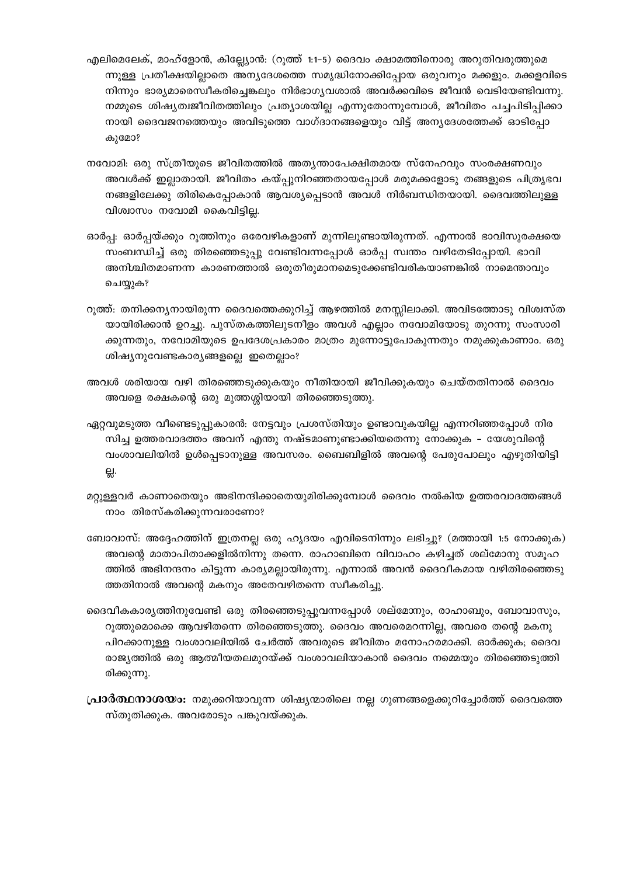- എലിമെലേക്, മാഹ്ളോൻ, കില്ല്യോൻ: (റൂത്ത് 1:1-5) ദൈവം ക്ഷാമത്തിനൊരു അറുതിവരുത്തുമെ ന്നുള്ള പ്രതീക്ഷയില്ലാതെ അന്യദേശത്തെ സമൃദ്ധിനോക്കിപ്പോയ ഒരുവനും മക്കളും. മക്കളവിടെ നിന്നും ഭാര്യമാരെസ്വീകരിച്ചെങ്കലും നിർഭാഗ്യവശാൽ അവർക്കവിടെ ജീവൻ വെടിയേണ്ടിവന്നു. നമ്മുടെ ശിഷ്യത്വജീവിതത്തിലും പ്രത്യാശയില്ല എന്നുതോന്നുമ്പോൾ, ജീവിതം പച്ചപിടിപ്പിക്കാ നായി ദൈവജനത്തെയും അവിടുത്തെ വാഗ്ദാനങ്ങളെയും വിട്ട് അനൃദേശത്തേക്ക് ഓടിപ്പോ കുമോ?
- നവോമി: ഒരു സ്ത്രീയുടെ ജീവിതത്തിൽ അതൃന്താപേക്ഷിതമായ സ്നേഹവും സംരക്ഷണവും അവൾക്ക് ഇല്ലാതായി. ജീവിതം കയ്പ്പുനിറഞ്ഞതായപ്പോൾ മരുമക്കളോടു തങ്ങളുടെ പിത്രൃഭവ നങ്ങളിലേക്കു തിരികെപ്പോകാൻ ആവശ്യപ്പെടാൻ അവൾ നിർബന്ധിതയായി. ദൈവത്തിലുള്ള വിശ്വാസം നവോമി കൈവിട്ടില്ല.
- ഓർപ്പ: ഓർപ്പയ്ക്കും റുത്തിനും ഒരേവഴികളാണ് മുന്നിലുണ്ടായിരുന്നത്. എന്നാൽ ഭാവിസുരക്ഷയെ സംബന്ധിച്ച് ഒരു തിരഞ്ഞെടുപ്പു വേണ്ടിവന്നപ്പോൾ ഓർപ്പ സ്വന്തം വഴിതേടിപ്പോയി. ഭാവി അനിശ്ചിതമാണന്ന കാരണത്താൽ ഒരുതീരുമാനമെടുക്കേണ്ടിവരികയാണങ്കിൽ നാമെന്താവും ചെയ്യുക?
- റൂത്ത്: തനിക്കന്യനായിരുന്ന ദൈവത്തെക്കുറിച്ച് ആഴത്തിൽ മനസ്സിലാക്കി. അവിടത്തോടു വിശ്വസ്ത യായിരിക്കാൻ ഉറച്ചു. പുസ്തകത്തിലുടനീളം അവൾ എല്ലാം നവോമിയോടു തുറന്നു സംസാരി ക്കുന്നതും, നവോമിയുടെ ഉപദേശപ്രകാരം മാത്രം മുന്നോട്ടുപോകുന്നതും നമുക്കുകാണാം. ഒരു ശിഷ്യനുവേണ്ടകാര്യങ്ങളല്ലെ ഇതെല്ലാം?
- അവൾ ശരിയായ വഴി തിരഞ്ഞെടുക്കുകയും നീതിയായി ജീവിക്കുകയും ചെയ്തതിനാൽ ദൈവം അവളെ രക്ഷകന്റെ ഒരു മുത്തശ്ശിയായി തിരഞ്ഞെടുത്തു.
- ഏറ്റവുമടുത്ത വീണ്ടെടുപ്പുകാരൻ: നേട്ടവും പ്രശസ്തിയും ഉണ്ടാവുകയില്ല എന്നറിഞ്ഞപ്പോൾ നിര സിച്ച ഉത്തരവാദത്തം അവന് എന്തു നഷ്ടമാണുണ്ടാക്കിയതെന്നു നോക്കുക – യേശുവിന്റെ വംശാവലിയിൽ ഉൾപ്പെടാനുള്ള അവസരം. ബൈബിളിൽ അവന്റെ പേരുപോലും എഴുതിയിട്ടി 읝.
- മറ്റുള്ളവർ കാണാതെയും അഭിനന്ദിക്കാതെയുമിരിക്കുമ്പോൾ ദൈവം നൽകിയ ഉത്തരവാദത്തങ്ങൾ നാം തിരസ്കരിക്കുന്നവരാണോ?
- ബോവാസ്: അദ്ദേഹത്തിന് ഇത്രനല്ല ഒരു ഹൃദയം എവിടെനിന്നും ലഭിച്ചു? (മത്തായി 1:5 നോക്കുക) അവന്റെ മാതാപിതാക്കളിൽനിന്നു തന്നെ. രാഹാബിനെ വിവാഹം കഴിച്ചത് ശല്മോനു സമൂഹ ത്തിൽ അഭിനന്ദനം കിട്ടുന്ന കാര്യമല്ലായിരുന്നു. എന്നാൽ അവൻ ദൈവീകമായ വഴിതിരഞ്ഞെടു ത്തതിനാൽ അവന്റെ മകനും അതേവഴിതന്നെ സ്വീകരിച്ചു.
- ദൈവീകകാര്യത്തിനുവേണ്ടി ഒരു തിരഞ്ഞെടുപ്പുവന്നപ്പോൾ ശല്മേന്നും, രാഹാബും, ബോവാസും, റൂത്തുമൊക്കെ ആവഴിതന്നെ തിരഞ്ഞെടുത്തു. ദൈവം അവരെമറന്നില്ല, അവരെ തന്റെ മകനു പിറക്കാനുള്ള വംശാവലിയിൽ ചേർത്ത് അവരുടെ ജീവിതം മനോഹരമാക്കി. ഓർക്കുക; ദൈവ രാജ്യത്തിൽ ഒരു ആത്മീയതലമുറയ്ക്ക് വംശാവലിയാകാൻ ദൈവം നമ്മെയും തിരഞ്ഞെടുത്തി രിക്കുന്നു.
- **പ്രാർത്ഥനാശയം:** നമുക്കറിയാവുന്ന ശിഷ്യന്മാരിലെ നല്ല ഗുണങ്ങളെക്കുറിച്ചോർത്ത് ദൈവത്തെ സ്തുതിക്കുക. അവരോടും പങ്കുവയ്ക്കുക.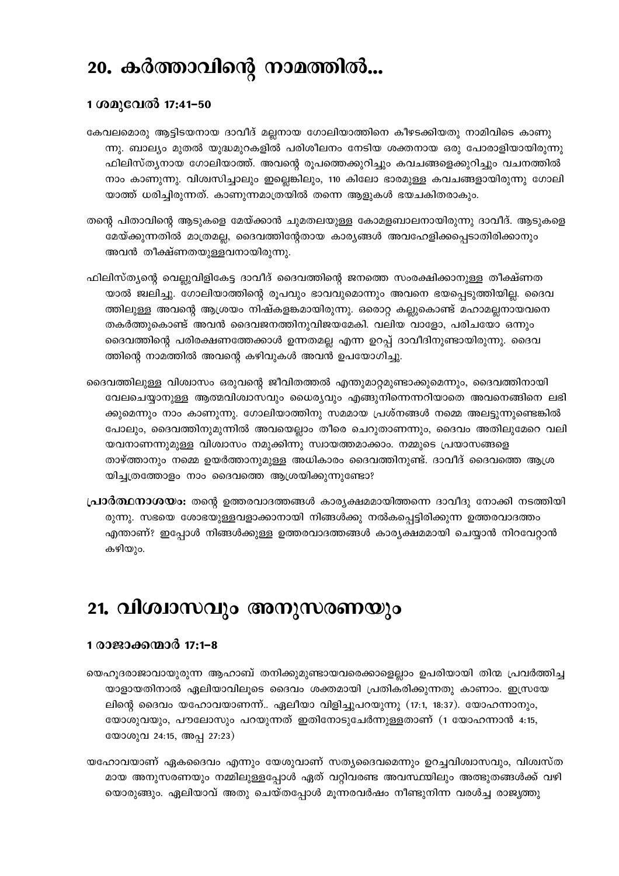# 20. കർത്താവിന്റെ നാമത്തിൽ...

#### 1 ശമുവേൽ 17:41–50

- കേവലമൊരു ആട്ടിടയനായ ദാവീദ് മല്ലനായ ഗോലിയാത്തിനെ കീഴടക്കിയതു നാമിവിടെ കാണു ന്നു. ബാല്യം മുതൽ യുദ്ധമുറകളിൽ പരിശീലനം നേടിയ ശക്തനായ ഒരു പോരാളിയായിരുന്നു ഫിലിസ്ത്യനായ ഗോലിയാത്ത്. അവന്റെ രൂപത്തെക്കുറിച്ചും കവചങ്ങളെക്കുറിച്ചും വചനത്തിൽ നാം കാണുന്നു. വിശ്വസിച്ചാലും ഇല്ലെങ്കിലും, 110 കിലോ ഭാരമുള്ള കവചങ്ങളായിരുന്നു ഗോലി യാത്ത് ധരിച്ചിരുന്നത്. കാണുന്നമാത്രയിൽ തന്നെ ആളുകൾ ഭയചകിതരാകും.
- തന്റെ പിതാവിന്റെ ആടുകളെ മേയ്ക്കാൻ ചുമതലയുള്ള കോമളബാലനായിരുന്നു ദാവീദ്. ആടുകളെ മേയ്ക്കുന്നതിൽ മാത്രമല്ല, ദൈവത്തിന്റേതായ കാര്യങ്ങൾ അവഹേളിക്കപ്പെടാതിരിക്കാനും അവൻ തീക്ഷ്ണതയുള്ളവനായിരുന്നു.
- ഫിലിസ്ത്യന്റെ വെല്ലുവിളികേട്ട ദാവീദ് ദൈവത്തിന്റെ ജനത്തെ സംരക്ഷിക്കാനുള്ള തീക്ഷ്ണത യാൽ ജ്വലിച്ചു. ഗോലിയാത്തിന്റെ രൂപവും ഭാവവുമൊന്നും അവനെ ഭയപ്പെടുത്തിയില്ല. ദൈവ ത്തിലുള്ള അവന്റെ ആശ്രയം നിഷ്കളങ്കമായിരുന്നു. ഒരൊറ്റ കല്ലുകൊണ്ട് മഹാമല്ലനായവനെ തകർത്തുകൊണ്ട് അവൻ ദൈവജനത്തിനുവിജയമേകി. വലിയ വാളോ, പരിചയോ ഒന്നും ദൈവത്തിന്റെ പരിരക്ഷണത്തേക്കാൾ ഉന്നതമല്ല എന്ന ഉറപ്പ് ദാവീദിനുണ്ടായിരുന്നു. ദൈവ ത്തിന്റെ നാമത്തിൽ അവന്റെ കഴിവുകൾ അവൻ ഉപയോഗിച്ചു.
- ദൈവത്തിലുള്ള വിശ്വാസം ഒരുവന്റെ ജീവിതത്തൽ എന്തുമാറ്റമുണ്ടാക്കുമെന്നും, ദൈവത്തിനായി വേലചെയ്യാനുള്ള ആത്മവിശ്വാസവും ധൈര്യവും എങ്ങുനിന്നെന്നറിയാതെ അവനെങ്ങിനെ ലഭി ക്കുമെന്നും നാം കാണുന്നു. ഗോലിയാത്തിനു സമമായ പ്രശ്നങ്ങൾ നമ്മെ അലട്ടുന്നുണ്ടെങ്കിൽ പോലും, ദൈവത്തിനുമുന്നിൽ അവയെല്ലാം തീരെ ചെറുതാണന്നും, ദൈവം അതിലുമേറെ വലി യവനാണന്നുമുള്ള വിശ്വാസം നമുക്കിന്നു സ്വായത്തമാക്കാം. നമ്മുടെ പ്രയാസങ്ങളെ താഴ്ത്താനും നമ്മെ ഉയർത്താനുമുള്ള അധികാരം ദൈവത്തിനുണ്ട്. ദാവീദ് ദൈവത്തെ ആശ്ര യിച്ചത്രത്തോളം നാം ദൈവത്തെ ആശ്രയിക്കുന്നുണ്ടോ?
- **പ്രാർത്ഥനാശയം:** തന്റെ ഉത്തരവാദത്തങ്ങൾ കാര്യക്ഷമമായിത്തന്നെ ദാവീദു നോക്കി നടത്തിയി രുന്നു. സഭയെ ശോഭയുള്ളവളാക്കാനായി നിങ്ങൾക്കു നൽകപ്പെട്ടിരിക്കുന്ന ഉത്തരവാദത്തം എന്താണ്? ഇപ്പോൾ നിങ്ങൾക്കുള്ള ഉത്തരവാദത്തങ്ങൾ കാര്യക്ഷമമായി ചെയ്യാൻ നിറവേറ്റാൻ കഴിയും.

### 21. വിശ്വാസവും അനുസരണയും

#### 1 രാജാക്കന്മാർ 17:1–8

- യെഹൂദരാജാവായുരുന്ന ആഹാബ് തനിക്കുമുണ്ടായവരെക്കാളെല്ലാം ഉപരിയായി തിന്മ പ്രവർത്തിച്ച യാളായതിനാൽ ഏലിയാവിലൂടെ ദൈവം ശക്തമായി പ്രതികരിക്കുന്നതു കാണാം. ഇസ്രയേ ലിന്റെ ദൈവം യഹോവയാണന്ന്.. ഏലീയാ വിളിച്ചുപറയുന്നു (17:1, 18:37). യോഹന്നാനും, യോശുവയും, പൗലോസും പറയുന്നത് ഇതിനോടുചേർന്നുള്ളതാണ് (1 യോഹന്നാൻ 4:15, യോശുവ 24:15, അപ്പ 27:23)
- യഹോവയാണ് ഏകദൈവം എന്നും യേശുവാണ് സത്യദൈവമെന്നും ഉറച്ചവിശ്വാസവും, വിശ്വസ്ത മായ അനുസരണയും നമ്മിലുള്ളപ്പോൾ ഏത് വറ്റിവരണ്ട അവസ്ഥയിലും അത്ഭുതങ്ങൾക്ക് വഴി യൊരുങ്ങും. ഏലിയാവ് അതു ചെയ്തപ്പോൾ മുന്നരവർഷം നീണ്ടുനിന്ന വരൾച്ച രാജ്യത്തു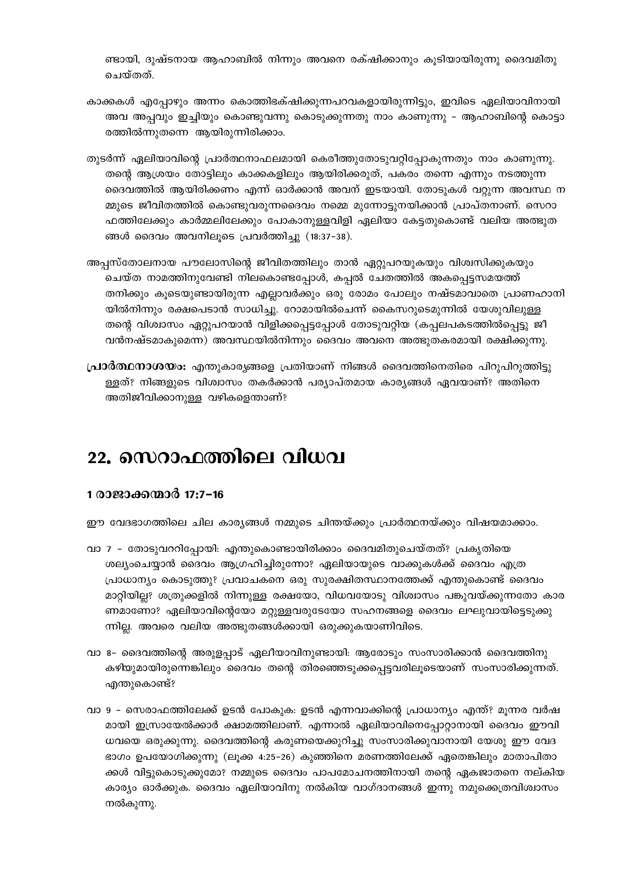ണ്ടായി, ദുഷ്ടനായ ആഹാബിൽ നിന്നും അവനെ രക്ഷിക്കാനും കൂടിയായിരുന്നു ദൈവമിതു ചെയ്തത്.

- കാക്കകൾ എപ്പോഴും അന്നം കൊത്തിഭക്ഷിക്കുന്നപറവകളായിരുന്നിട്ടും, ഇവിടെ ഏലിയാവിനായി അവ അപ്പവും ഇച്ചിയും കൊണ്ടുവന്നു കൊടുക്കുന്നതു നാം കാണുന്നു – ആഹാബിന്റെ കൊട്ടാ രത്തിൽന്നുതന്നെ ആയിരുന്നിരിക്കാം.
- തുടർന്ന് ഏലിയാവിന്റെ പ്രാർത്ഥനാഫലമായി കെരീത്തുതോടുവറ്റിപ്പോകുന്നതും നാം കാണുന്നു. തന്റെ ആശ്രയം തോട്ടിലും കാക്കകളിലും ആയിരിക്കരുത്, പകരം തന്നെ എന്നും നടത്തുന്ന ദൈവത്തിൽ ആയിരിക്കണം എന്ന് ഓർക്കാൻ അവന് ഇടയായി. തോടുകൾ വറുന്ന അവസ്ഥ ന മ്മുടെ ജീവിതത്തിൽ കൊണ്ടുവരുന്നദൈവം നമ്മെ മുന്നോട്ടുനയിക്കാൻ പ്രാപ്തനാണ്. സെറാ ഫത്തിലേക്കും കാർമ്മലിലേക്കും പോകാനുള്ളവിളി ഏലിയാ കേട്ടതുകൊണ്ട് വലിയ അത്ഭുത ങ്ങൾ ദൈവം അവനിലൂടെ പ്രവർത്തിച്ചു (18:37-38).
- അപ്പസ്തോലനായ പൗലോസിന്റെ ജീവിതത്തിലും താൻ ഏറ്റുപറയുകയും വിശ്വസിക്കുകയും ചെയ്ത നാമത്തിനുവേണ്ടി നിലകൊണ്ടപ്പോൾ, കപ്പൽ ചേതത്തിൽ അകപ്പെട്ടസമയത്ത് തനിക്കും കൂടെയുണ്ടായിരുന്ന എല്ലാവർക്കും ഒരു രോമം പോലും നഷ്ടമാവാതെ പ്രാണഹാനി യിൽനിന്നും രക്ഷപെടാൻ സാധിച്ചു. റോമായിൽചെന്ന് കൈസറുടെമുന്നിൽ യേശുവിലുള്ള തന്റെ വിശ്വാസം ഏറ്റുപറയാൻ വിളിക്കപ്പെട്ടപ്പോൾ തോടുവറ്റിയ (കപ്പലപകടത്തിൽപ്പെട്ടു ജീ വൻനഷ്ടമാകുമെന്ന) അവസ്ഥയിൽനിന്നും ദൈവം അവനെ അത്ഭുതകരമായി രക്ഷിക്കുന്നു.
- **പ്രാർത്ഥനാശയം:** എന്തുകാര്യങ്ങളെ പ്രതിയാണ് നിങ്ങൾ ദൈവത്തിനെതിരെ പിറുപിറുത്തിട്ടു ള്ളത്? നിങ്ങളുടെ വിശ്വാസം തകർക്കാൻ പര്യാപ്തമായ കാര്യങ്ങൾ ഏവയാണ്? അതിനെ അതിജീവിക്കാനുള്ള വഴികളെന്താണ്?

### 22. സെറാഫത്തിലെ വിധവ

#### 1 രാജാക്കന്മാർ 17:7-16

ഈ വേദഭാഗത്തിലെ ചില കാര്യങ്ങൾ നമ്മുടെ ചിന്തയ്ക്കും പ്രാർത്ഥനയ്ക്കും വിഷയമാക്കാം.

- വാ 7 തോടുവററിപ്പോയി: എന്തുകൊണ്ടായിരിക്കാം ദൈവമിതുചെയ്തത്? പ്രകൃതിയെ ശല്യംചെയ്യാൻ ദൈവം ആഗ്രഹിച്ചിരുന്നോ? ഏലിയായുടെ വാക്കുകൾക്ക് ദൈവം എത്ര പ്രാധാന്യം കൊടുത്തു? പ്രവാചകനെ ഒരു സുരക്ഷിതസ്ഥാനത്തേക്ക് എന്തുകൊണ്ട് ദൈവം മാറ്റിയില്ല? ശത്രുക്കളിൽ നിന്നുള്ള രക്ഷയോ, വിധവയോടു വിശ്വാസം പങ്കുവയ്ക്കുന്നതോ കാര ണമാണോ? ഏലിയാവിന്റെയോ മറ്റുള്ളവരുടേയോ സഹനങ്ങളെ ദൈവം ലഘുവായിട്ടെടുക്കു ന്നില്ല. അവരെ വലിയ അത്ഭുതങ്ങൾക്കായി ഒരുക്കുകയാണിവിടെ.
- വാ 8– ദൈവത്തിന്റെ അരുളപ്പാട് ഏലീയാവിനുണ്ടായി. ആരോടും സംസാരിക്കാൻ ദൈവത്തിനു കഴിയുമായിരുന്നെങ്കിലും ദൈവം തന്റെ തിരഞ്ഞെടുക്കപ്പെട്ടവരിലൂടെയാണ് സംസാരിക്കുന്നത്. എന്തുകൊണ്ട്?
- വാ 9 സെരാഫത്തിലേക്ക് ഉടൻ പോകുക: ഉടൻ എന്നവാക്കിന്റെ പ്രാധാന്യം എന്ത്? മൂന്നര വർഷ മായി ഇസ്രായേൽക്കാർ ക്ഷാമത്തിലാണ്. എന്നാൽ ഏലിയാവിനെപ്പോറ്റാനായി ദൈവം ഈവി ധവയെ ഒരുക്കുന്നു. ദൈവത്തിന്റെ കരുണയെക്കുറിച്ചു സംസാരിക്കുവാനായി യേശു ഈ വേദ ഭാഗം ഉപയോഗിക്കുന്നു (ലൂക്ക 4:25–26) കുഞ്ഞിനെ മരണത്തിലേക്ക് ഏതെങ്കിലും മാതാപിതാ ക്കൾ വിട്ടുകൊടുക്കുമോ? നമ്മുടെ ദൈവം പാപമോചനത്തിനായി തന്റെ ഏകജാതനെ നല്കിയ കാര്യം ഓർക്കുക. ദൈവം ഏലിയാവിനു നൽകിയ വാഗ്ദാനങ്ങൾ ഇന്നു നമുക്കെത്രവിശ്വാസം നൽകുന്നു.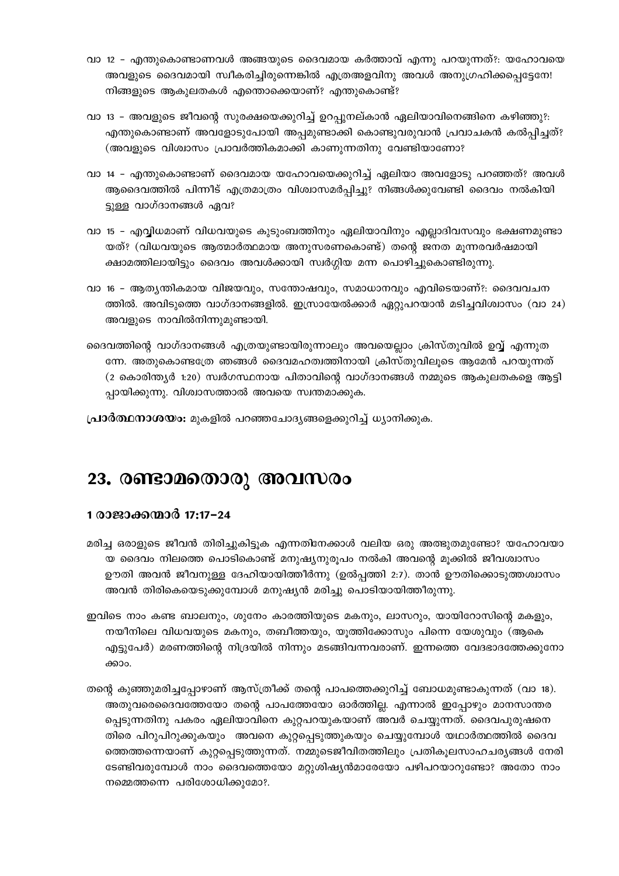- വാ 12 എന്തുകൊണ്ടാണവൾ അങ്ങയുടെ ദൈവമായ കർത്താവ് എന്നു പറയുന്നത്?: യഹോവയെ അവളുടെ ദൈവമായി സ്വീകരിച്ചിരുന്നെങ്കിൽ എത്രഅളവിനു അവൾ അനുഗ്രഹിക്കപ്പെട്ടേനേ! നിങ്ങളുടെ ആകുലതകൾ എന്തൊക്കെയാണ്? എന്തുകൊണ്ട്?
- വാ 13 അവളുടെ ജീവന്റെ സുരക്ഷയെക്കുറിച്ച് ഉറപ്പുനല്കാൻ ഏലിയാവിനെങ്ങിനെ കഴിഞ്ഞു?: എന്തുകൊണ്ടാണ് അവളോടുപോയി അപ്പമുണ്ടാക്കി കൊണ്ടുവരുവാൻ പ്രവാചകൻ കൽപ്പിച്ചത്? (അവളുടെ വിശ്വാസം പ്രാവർത്തികമാക്കി കാണുന്നതിനു വേണ്ടിയാണോ?
- വാ 14 എന്തുകൊണ്ടാണ് ദൈവമായ യഹോവയെക്കുറിച്ച് ഏലിയാ അവളോടു പറഞ്ഞത്? അവൾ ആദൈവത്തിൽ പിന്നീട് എത്രമാത്രം വിശ്വാസമർപ്പിച്ചു? നിങ്ങൾക്കുവേണ്ടി ദൈവം നൽകിയി ട്ടുള്ള വാഗ്ദാനങ്ങൾ ഏവ?
- വാ 15 എവ്വിധമാണ് വിധവയുടെ കുടുംബത്തിനും ഏലിയാവിനും എല്ലാദിവസവും ഭക്ഷണമുണ്ടാ യത്? (വിധവയുടെ ആത്മാർത്ഥമായ അനുസരണകൊണ്ട്) തന്റെ ജനത മൂന്നരവർഷമായി ക്ഷാമത്തിലായിട്ടും ദൈവം അവൾക്കായി സ്വർഗ്ഗിയ മന്ന പൊഴിച്ചുകൊണ്ടിരുന്നു.
- വാ 16 ആതൃന്തികമായ വിജയവും, സന്തോഷവും, സമാധാനവും എവിടെയാണ്?: ദൈവവചന ത്തിൽ. അവിടുത്തെ വാഗ്ദാനങ്ങളിൽ. ഇസ്രായേൽക്കാർ ഏറ്റുപറയാൻ മടിച്ചവിശ്വാസം (വാ 24) അവളുടെ നാവിൽനിന്നുമുണ്ടായി.
- ദൈവത്തിന്റെ വാഗ്ദാനങ്ങൾ എത്രയുണ്ടായിരുന്നാലും അവയെല്ലാം ക്രിസ്തുവിൽ ഉവ്വ് എന്നുത ന്നേ. അതുകൊണ്ടത്രേ ഞങ്ങൾ ദൈവമഹത്വത്തിനായി ക്രിസ്തുവിലൂടെ ആമേൻ പറയുന്നത് (2 കൊരിന്ത്യർ 1:20) സ്വർഗസ്ഥനായ പിതാവിന്റെ വാഗ്ദാനങ്ങൾ നമ്മുടെ ആകുലതകളെ ആട്ടി പ്പായിക്കുന്നു. വിശ്വാസത്താൽ അവയെ സ്വന്തമാക്കുക.

പ്രാർത്ഥനാശയം: മുകളിൽ പറഞ്ഞചോദൃങ്ങളെക്കുറിച്ച് ധ്യാനിക്കുക.

### 23. രണ്ടാമതൊരു അവസരം

#### 1 രാജാക്കന്മാർ 17:17–24

- മരിച്ച ഒരാളുടെ ജീവൻ തിരിച്ചുകിട്ടുക എന്നതിനേക്കാൾ വലിയ ഒരു അത്ഭുതമുണ്ടോ? യഹോവയാ യ ദൈവം നിലത്തെ പൊടികൊണ്ട് മനുഷ്യനുരൂപം നൽകി അവന്റെ മൂക്കിൽ ജീവശ്വാസം ഊതി അവൻ ജീവനുള്ള ദേഹിയായിത്തീർന്നു (ഉൽപ്പത്തി 2:7). താൻ ഊതിക്കൊടുത്തശ്വാസം അവൻ തിരികെയെടുക്കുമ്പോൾ മനുഷ്യൻ മരിച്ചു പൊടിയായിത്തീരുന്നു.
- ഇവിടെ നാം കണ്ട ബാലനും, ശുനേം കാരത്തിയുടെ മകനും, ലാസറും, യായിറോസിന്റെ മകളും, നയീനിലെ വിധവയുടെ മകനും, തബീത്തയും, യൂത്തിക്കോസും പിന്നെ യേശുവും (ആകെ എട്ടുപേർ) മരണത്തിന്റെ നിദ്രയിൽ നിന്നും മടങ്ങിവന്നവരാണ്. ഇന്നത്തെ വേദഭാദത്തേക്കുനോ ക്കാം.
- തന്റെ കുഞ്ഞുമരിച്ചപ്പോഴാണ് ആസ്ത്രീക്ക് തന്റെ പാപത്തെക്കുറിച്ച് ബോധമുണ്ടാകുന്നത് (വാ 18). അതുവരെദൈവത്തേയോ തന്റെ പാപത്തേയോ ഓർത്തില്ല. എന്നാൽ ഇപ്പോഴും മാനസാന്തര പ്പെടുന്നതിനു പകരം ഏലിയാവിനെ കുറ്റപറയുകയാണ് അവർ ചെയ്യുന്നത്. ദൈവപുരുഷനെ തിരെ പിറുപിറുക്കുകയും അവനെ കുറ്റപ്പെടുത്തുകയും ചെയ്യുമ്പോൾ യഥാർത്ഥത്തിൽ ദൈവ ത്തെത്തന്നെയാണ് കുറ്റപ്പെടുത്തുന്നത്. നമ്മുടെജീവിതത്തിലും പ്രതികൂലസാഹചര്യങ്ങൾ നേരി ടേണ്ടിവരുമ്പോൾ നാം ദൈവത്തെയോ മറ്റുശിഷ്യൻമാരേയോ പഴിപറയാറുണ്ടോ? അതോ നാം നമ്മെത്തന്നെ പരിശോധിക്കുമോ?.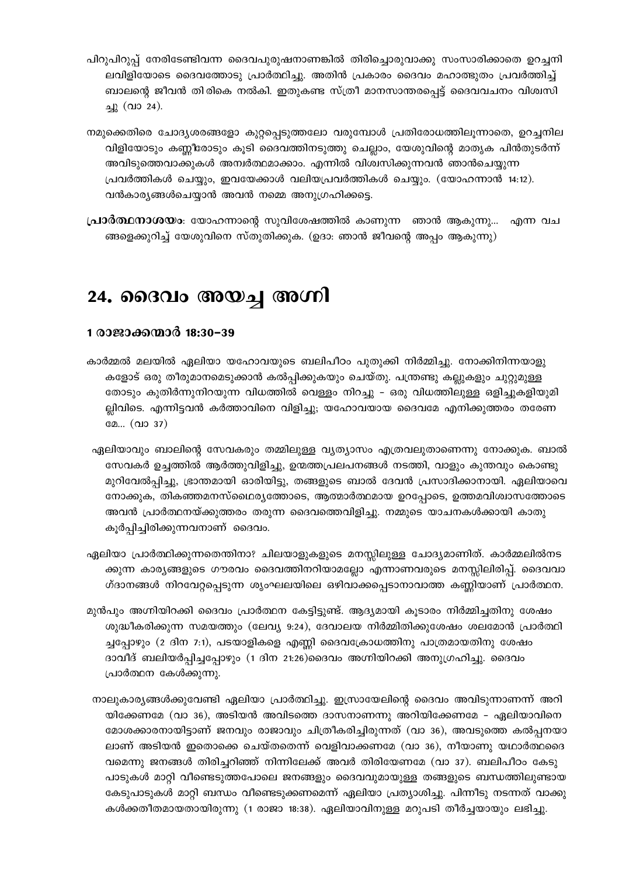പിറുപിറുപ്പ് നേരിടേണ്ടിവന്ന ദൈവപുരുഷനാണങ്കിൽ തിരിച്ചൊരുവാക്കു സംസാരിക്കാതെ ഉറച്ചനി ലവിളിയോടെ ദൈവത്തോടു പ്രാർത്ഥിച്ചു. അതിൻ പ്രകാരം ദൈവം മഹാത്ഭുതം പ്രവർത്തിച്ച് ബാലന്റെ ജീവൻ തിരികെ നൽകി. ഇതുകണ്ട സ്ത്രീ മാനസാന്തരപ്പെട്ട് ദൈവവചനം വിശ്വസി ച്ചു (വാ 24).

നമുക്കെതിരെ ചോദ്യശരങ്ങളോ കുറ്റപ്പെടുത്തലോ വരുമ്പോൾ പ്രതിരോധത്തിലൂന്നാതെ, ഉറച്ചനില വിളിയോടും കണ്ണീരോടും കൂടി ദൈവത്തിനടുത്തു ചെല്ലാം, യേശുവിന്റെ മാതൃക പിൻതുടർന്ന് അവിടുത്തെവാക്കുകൾ അമ്പർത്ഥമാക്കാം. എന്നിൽ വിശ്വസിക്കുന്നവൻ ഞാൻചെയ്യുന്ന പ്രവർത്തികൾ ചെയ്യും, ഇവയേക്കാൾ വലിയപ്രവർത്തികൾ ചെയ്യും. (യോഹന്നാൻ 14:12). വൻകാര്യങ്ങൾചെയ്യാൻ അവൻ നമ്മെ അനുഗ്രഹിക്കട്ടെ.

**പ്രാർത്ഥനാശയം**: യോഹന്നാന്റെ സുവിശേഷത്തിൽ കാണുന്ന ഞാൻ ആകുന്നു... എന്ന വച ങ്ങളെക്കുറിച്ച് യേശുവിനെ സ്തുതിക്കുക. (ഉദാ: ഞാൻ ജീവന്റെ അപ്പം ആകുന്നു)

### 24. ദൈവം അയച്ച അഗ്നി

#### 1 രാജാക്കന്മാർ 18:30–39

- കാർമ്മൽ മലയിൽ ഏലിയാ യഹോവയുടെ ബലിപീഠം പുതുക്കി നിർമ്മിച്ചു. നോക്കിനിന്നയാളു കളോട് ഒരു തീരുമാനമെടുക്കാൻ കൽപ്പിക്കുകയും ചെയ്തു. പന്ത്രണ്ടു കല്ലുകളും ചുറ്റുമുള്ള തോടും കുതിർന്നുനിറയുന്ന വിധത്തിൽ വെള്ളം നിറച്ചു - ഒരു വിധത്തിലുള്ള ഒളിച്ചുകളിയുമി ല്പിവിടെ. എന്നിട്ടവൻ കർത്താവിനെ വിളിച്ചു. യഹോവയായ ദൈവമേ എനിക്കുത്തരം തരേണ മേ... (വാ 37)
- ഏലിയാവും ബാലിന്റെ സേവകരും തമ്മിലുള്ള വൃത്യാസം എത്രവലുതാണെന്നു നോക്കുക. ബാൽ സേവകർ ഉച്ചത്തിൽ ആർത്തുവിളിച്ചു, ഉന്മത്തപ്രലപനങ്ങൾ നടത്തി, വാളും കുന്തവും കൊണ്ടു മുറിവേൽപ്പിച്ചു, ഭ്രാന്തമായി ഓരിയിട്ടു, തങ്ങളുടെ ബാൽ ദേവൻ പ്രസാദിക്കാനായി. ഏലിയാവെ നോക്കുക, തികഞ്ഞമനസ്ഥൈര്യത്തോടെ, ആത്മാർത്ഥമായ ഉറപ്പോടെ, ഉത്തമവിശ്വാസത്തോടെ അവൻ പ്രാർത്ഥനയ്ക്കുത്തരം തരുന്ന ദൈവത്തെവിളിച്ചു. നമ്മുടെ യാചനകൾക്കായി കാതു കൂർപ്പിച്ചിരിക്കുന്നവനാണ് ദൈവം.
- ഏലിയാ പ്രാർത്ഥിക്കുന്നതെന്തിനാ? ചിലയാളുകളുടെ മനസ്സിലുള്ള ചോദ്യമാണിത്. കാർമ്മലിൽനട ക്കുന്ന കാര്യങ്ങളുടെ ഗൗരവം ദൈവത്തിനറിയാമല്ലോ എന്നാണവരുടെ മനസ്സിലിരിപ്പ്. ദൈവവാ ഗ്ദാനങ്ങൾ നിറവേറ്റപ്പെടുന്ന ശൃംഘലയിലെ ഒഴിവാക്കപ്പെടാനാവാത്ത കണ്ണിയാണ് പ്രാർത്ഥന.
- മുൻപും അഗ്നിയിറക്കി ദൈവം പ്രാർത്ഥന കേട്ടിട്ടുണ്ട്. ആദ്യമായി കൂടാരം നിർമ്മിച്ചതിനു ശേഷം ശുദ്ധീകരിക്കുന്ന സമയത്തും (ലേവ്യ 9:24), ദേവാലയ നിർമ്മിതിക്കുശേഷം ശലമോൻ പ്രാർത്ഥി ച്ചപ്പോഴും (2 ദിന 7:1), പടയാളികളെ എണ്ണി ദൈവക്രോധത്തിനു പാത്രമായതിനു ശേഷം ദാവീദ് ബലിയർപ്പിച്ചപ്പോഴും (1 ദിന 21:26)ദൈവം അഗ്നിയിറക്കി അനുഗ്രഹിച്ചു. ദൈവം പ്രാർത്ഥന കേൾക്കുന്നു.
- നാലുകാര്യങ്ങൾക്കുവേണ്ടി ഏലിയാ പ്രാർത്ഥിച്ചു. ഇസ്രായേലിന്റെ ദൈവം അവിടുന്നാണന്ന് അറി യിക്കേണമേ (വാ 36), അടിയൻ അവിടത്തെ ദാസനാണന്നു അറിയിക്കേണമേ – ഏലിയാവിനെ മോശക്കാരനായിട്ടാണ് ജനവും രാജാവും ചിത്രീകരിച്ചിരുന്നത് (വാ 36), അവടുത്തെ കൽപ്പനയാ ലാണ് അടിയൻ ഇതൊക്കെ ചെയ്തതെന്ന് വെളിവാക്കണമേ (വാ 36), നീയാണു യഥാർത്ഥദൈ വമെന്നു ജനങ്ങൾ തിരിച്ചറിഞ്ഞ് നിന്നിലേക്ക് അവർ തിരിയേണമേ (വാ 37). ബലിപീഠം കേടു പാടുകൾ മാറ്റി വീണ്ടെടുത്തപോലെ ജനങ്ങളും ദൈവവുമായുള്ള തങ്ങളുടെ ബന്ധത്തിലുണ്ടായ കേടുപാടുകൾ മാറ്റി ബന്ധം വീണ്ടെടുക്കണമെന്ന് ഏലിയാ പ്രത്യാശിച്ചു. പിന്നീടു നടന്നത് വാക്കു കൾക്കതീതമായതായിരുന്നു (1 രാജാ 18:38). ഏലിയാവിനുള്ള മറുപടി തീർച്ചയായും ലഭിച്ചു.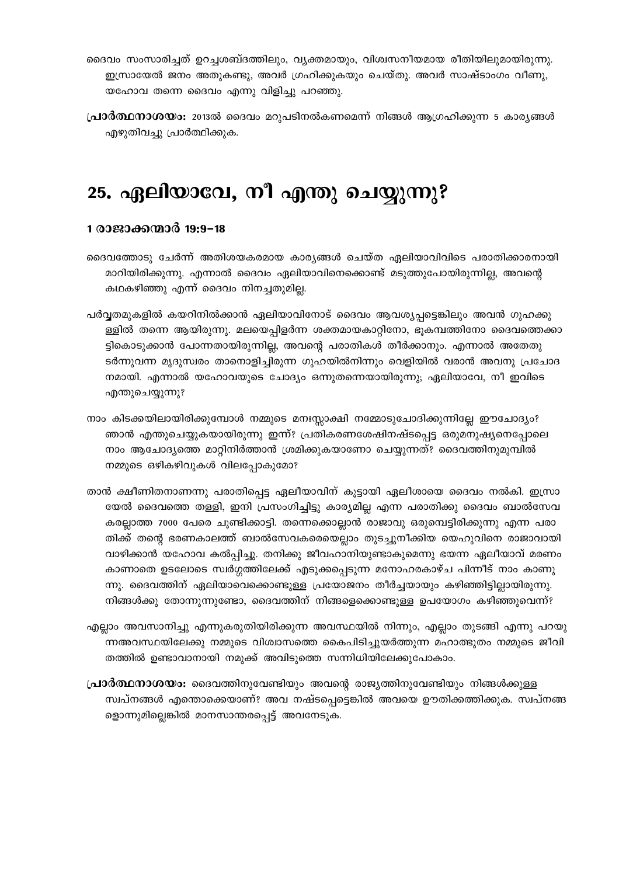- ദൈവം സംസാരിച്ചത് ഉറച്ചശബ്ദത്തിലും, വ്യക്തമായും, വിശ്വസനീയമായ രീതിയിലുമായിരുന്നു. ഇസ്രായേൽ ജനം അതുകണ്ടു, അവർ ഗ്രഹിക്കുകയും ചെയ്തു. അവർ സാഷ്ടാംഗം വീണു, യഹോവ തന്നെ ദൈവം എന്നു വിളിച്ചു പറഞ്ഞു.
- **പ്രാർത്ഥനാശയം:** 2013ൽ ദൈവം മറുപടിനൽകണമെന്ന് നിങ്ങൾ ആഗ്രഹിക്കുന്ന 5 കാര്യങ്ങൾ എഴുതിവച്ചു പ്രാർത്ഥിക്കുക.

### 25. ഏലിയാവേ, നീ എന്തു ചെയ്യുന്നു?

#### 1 രാജാക്കന്മാർ 19:9-18

- ദൈവത്തോടു ചേർന്ന് അതിശയകരമായ കാര്യങ്ങൾ ചെയ്ത ഏലിയാവിവിടെ പരാതിക്കാരനായി മാറിയിരിക്കുന്നു. എന്നാൽ ദൈവം ഏലിയാവിനെക്കൊണ്ട് മടുത്തുപോയിരുന്നില്ല, അവന്റെ കഥകഴിഞ്ഞു എന്ന് ദൈവം നിനച്ചതുമില്ല.
- പർവ്വതമുകളിൽ കയറിനിൽക്കാൻ ഏലിയാവിനോട് ദൈവം ആവശ്യപ്പട്ടെങ്കിലും അവൻ ഗുഹക്കു ള്ളിൽ തന്നെ ആയിരുന്നു. മലയെപ്പിളർന്ന ശക്തമായകാറ്റിനോ, ഭൂകമ്പത്തിനോ ദൈവത്തെക്കാ ട്ടികൊടുക്കാൻ പോന്നതായിരുന്നില്ല, അവന്റെ പരാതികൾ തീർക്കാനും. എന്നാൽ അതേതു ടർന്നുവന്ന മൃദുസ്വരം താനൊളിച്ചിരുന്ന ഗുഹയിൽനിന്നും വെളിയിൽ വരാൻ അവനു പ്രചോദ നമായി. എന്നാൽ യഹോവയുടെ ചോദ്യം ഒന്നുതന്നെയായിരുന്നു; ഏലിയാവേ, നീ ഇവിടെ എന്തുചെയ്യുന്നു?
- നാം കിടക്കയിലായിരിക്കുമ്പോൾ നമ്മുടെ മനഃസ്സാക്ഷി നമ്മോടുചോദിക്കുന്നില്ലേ ഈചോദ്യം? ഞാൻ എന്തുചെയ്യുകയായിരുന്നു ഇന്ന്? പ്രതികരണശേഷിനഷ്ടപ്പെട്ട ഒരുമനുഷ്യനെപ്പോലെ നാം ആചോദ്യത്തെ മാറ്റിനിർത്താൻ ശ്രമിക്കുകയാണോ ചെയ്യുന്നത്? ദൈവത്തിനുമുമ്പിൽ നമ്മുടെ ഒഴികഴിവുകൾ വിലപ്പോകുമോ?
- താൻ ക്ഷീണിതനാണന്നു പരാതിപ്പെട്ട ഏലീയാവിന് കൂട്ടായി ഏലീശായെ ദൈവം നൽകി. ഇസ്രാ യേൽ ദൈവത്തെ തള്ളി, ഇനി പ്രസംഗിച്ചിട്ടു കാര്യമില്ല എന്ന പരാതിക്കു ദൈവം ബാൽസേവ കരല്ലാത്ത 7000 പേരെ ചൂണ്ടിക്കാട്ടി. തന്നെക്കൊല്ലാൻ രാജാവു ഒരുമ്പെട്ടിരിക്കുന്നു എന്ന പരാ തിക്ക് തന്റെ ഭരണകാലത്ത് ബാൽസേവകരെയെല്ലാം തുടച്ചുനീക്കിയ യെഹുവിനെ രാജാവായി വാഴിക്കാൻ യഹോവ കൽപ്പിച്ചു. തനിക്കു ജീവഹാനിയുണ്ടാകുമെന്നു ഭയന്ന ഏലീയാവ് മരണം കാണാതെ ഉടലോടെ സ്വർഗ്ഗത്തിലേക്ക് എടുക്കപ്പെടുന്ന മനോഹരകാഴ്ച പിന്നീട് നാം കാണു ന്നു. ദൈവത്തിന് ഏലിയാവെക്കൊണ്ടുള്ള പ്രയോജനം തീർച്ചയായും കഴിഞ്ഞിട്ടില്ലായിരുന്നു. നിങ്ങൾക്കു തോന്നുന്നുണ്ടോ, ദൈവത്തിന് നിങ്ങളെക്കൊണ്ടുള്ള ഉപയോഗം കഴിഞ്ഞുവെന്ന്?
- എല്ലാം അവസാനിച്ചു എന്നുകരുതിയിരിക്കുന്ന അവസ്ഥയിൽ നിന്നും, എല്ലാം തുടങ്ങി എന്നു പറയു ന്നഅവസ്ഥയിലേക്കു നമ്മുടെ വിശ്വാസത്തെ കൈപിടിച്ചുയർത്തുന്ന മഹാത്ഭുതം നമ്മുടെ ജീവി തത്തിൽ ഉണ്ടാവാനായി നമുക്ക് അവിടുത്തെ സന്നിധിയിലേക്കുപോകാം.
- **പ്രാർത്ഥനാശയം:** ദൈവത്തിനുവേണ്ടിയും അവന്റെ രാജ്യത്തിനുവേണ്ടിയും നിങ്ങൾക്കുള്ള സ്വപ്നങ്ങൾ എന്തൊക്കെയാണ്? അവ നഷ്ടപ്പെട്ടെങ്കിൽ അവയെ ഊതിക്കത്തിക്കുക. സ്വപ്നങ്ങ ളൊന്നുമില്ലെങ്കിൽ മാനസാന്തരപ്പെട്ട് അവനേടുക.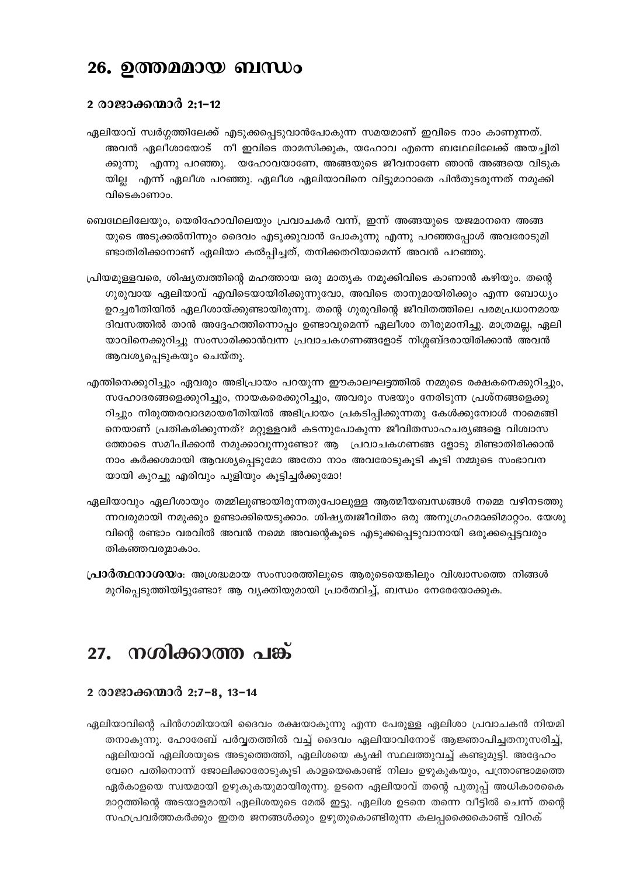### 26. ഉത്തമമായ ബന്ധം

#### 2 രാജാക്കന്മാർ 2:1-12

- ഏലിയാവ് സ്വർഗ്ഗത്തിലേക്ക് എടുക്കപ്പെടുവാൻപോകുന്ന സമയമാണ് ഇവിടെ നാം കാണുന്നത്. അവൻ ഏലീശായോട് നീ ഇവിടെ താമസിക്കുക, യഹോവ എന്നെ ബഥേലിലേക്ക് അയച്ചിരി ക്കുന്നു എന്നു പറഞ്ഞു. യഹോവയാണേ, അങ്ങയുടെ ജീവനാണേ ഞാൻ അങ്ങയെ വിടുക യില്ല എന്ന് ഏലീശ പറഞ്ഞു. ഏലീശ ഏലിയാവിനെ വിട്ടുമാറാതെ പിൻതുടരുന്നത് നമുക്കി വിടെകാണാം.
- ബെഥേലിലേയും, യെരിഹോവിലെയും പ്രവാചകർ വന്ന്, ഇന്ന് അങ്ങയുടെ യജമാനനെ അങ്ങ യുടെ അടുക്കൽനിന്നും ദൈവം എടുക്കുവാൻ പോകുന്നു എന്നു പറഞ്ഞപ്പോൾ അവരോടുമി ണ്ടാതിരിക്കാനാണ് ഏലിയാ കൽപ്പിച്ചത്, തനിക്കതറിയാമെന്ന് അവൻ പറഞ്ഞു.
- പ്രിയമുള്ളവരെ, ശിഷ്യത്വത്തിന്റെ മഹത്തായ ഒരു മാതൃക നമുക്കിവിടെ കാണാൻ കഴിയും. തന്റെ ഗുരുവായ ഏലിയാവ് എവിടെയായിരിക്കുന്നുവോ, അവിടെ താനുമായിരിക്കും എന്ന ബോധ്യം ഉറച്ചരീതിയിൽ ഏലീശായ്ക്കുണ്ടായിരുന്നു. തന്റെ ഗുരുവിന്റെ ജീവിതത്തിലെ പരമപ്രധാനമായ ദിവസത്തിൽ താൻ അദ്ദേഹത്തിന്നൊപ്പം ഉണ്ടാവുമെന്ന് ഏലീശാ തീരുമാനിച്ചു. മാത്രമല്ല, ഏലി യാവിനെക്കുറിച്ചു സംസാരിക്കാൻവന്ന പ്രവാചകഗണങ്ങളോട് നിശ്ശബ്ദരായിരിക്കാൻ അവൻ ആവശ്യപ്പെടുകയും ചെയ്തു.
- എന്തിനെക്കുറിച്ചും ഏവരും അഭിപ്രായം പറയുന്ന ഈകാലഘട്ടത്തിൽ നമ്മുടെ രക്ഷകനെക്കുറിച്ചും, സഹോദരങ്ങളെക്കുറിച്ചും, നായകരെക്കുറിച്ചും, അവരും സഭയും നേരിടുന്ന പ്രശ്നങ്ങളെക്കു റിച്ചും നിരുത്തരവാദമായരീതിയിൽ അഭിപ്രായം പ്രകടിപ്പിക്കുന്നതു കേൾക്കുമ്പോൾ നാമെങ്ങി നെയാണ് പ്രതികരിക്കുന്നത്? മറ്റുള്ളവർ കടന്നുപോകുന്ന ജീവിതസാഹചര്യങ്ങളെ വിശ്വാസ ത്തോടെ സമീപിക്കാൻ നമുക്കാവുന്നുണ്ടോ? ആ പ്രവാചകഗണങ്ങ ളോടു മിണ്ടാതിരിക്കാൻ നാം കർക്കശമായി ആവശ്യപ്പെടുമോ അതോ നാം അവരോടുകൂടി കൂടി നമ്മുടെ സംഭാവന യായി കുറച്ചു എരിവും പുളിയും കൂട്ടിച്ചർക്കുമോ!
- ഏലിയാവും ഏലീശായും തമ്മിലുണ്ടായിരുന്നതുപോലുള്ള ആത്മീയബന്ധങ്ങൾ നമ്മെ വഴിനടത്തു ന്നവരുമായി നമുക്കും ഉണ്ടാക്കിയെടുക്കാം. ശിഷ്യത്വജീവിതം ഒരു അനുഗ്രഹമാക്കിമാറ്റാം. യേശു വിന്റെ രണ്ടാം വരവിൽ അവൻ നമ്മെ അവന്റെകൂടെ എടുക്കപ്പെടുവാനായി ഒരുക്കപ്പെട്ടവരും തികഞ്ഞവരുമാകാം.
- പ്രാർത്ഥനാശയം: അശ്രദ്ധമായ സംസാരത്തിലൂടെ ആരുടെയെങ്കിലും വിശ്വാസത്തെ നിങ്ങൾ മുറിപ്പെടുത്തിയിട്ടുണ്ടോ? ആ വ്യക്തിയുമായി പ്രാർത്ഥിച്ച്, ബന്ധം നേരേയോക്കുക.

### 27. നശിക്കാത്ത പങ്ക്

#### 2 രാജാക്കന്മാർ 2:7-8, 13-14

ഏലിയാവിന്റെ പിൻഗാമിയായി ദൈവം രക്ഷയാകുന്നു എന്ന പേരുള്ള ഏലിശാ പ്രവാചകൻ നിയമി തനാകുന്നു. ഹോരേബ് പർവ്വതത്തിൽ വച്ച് ദൈവം ഏലിയാവിനോട് ആജ്ഞാപിച്ചതനുസരിച്ച്, ഏലിയാവ് ഏലിശയുടെ അടുത്തെത്തി, ഏലിശയെ കൃഷി സ്ഥലത്തുവച്ച് കണ്ടുമുട്ടി. അദ്ദേഹം വേറെ പതിനൊന്ന് ജോലിക്കാരോടുകൂടി കാളയെകൊണ്ട് നിലം ഉഴുകുകയും, പന്ത്രാണ്ടാമത്തെ ഏർകാളയെ സ്വയമായി ഉഴുകുകയുമായിരുന്നു. ഉടനെ ഏലിയാവ് തന്റെ പുതുപ്പ് അധികാരകൈ മാറ്റത്തിന്റെ അടയാളമായി ഏലിശയുടെ മേൽ ഇട്ടു. ഏലിശ ഉടനെ തന്നെ വീട്ടിൽ ചെന്ന് തന്റെ സഹപ്രവർത്തകർക്കും ഇതര ജനങ്ങൾക്കും ഉഴുതുകൊണ്ടിരുന്ന കലപ്പക്കൈകൊണ്ട് വിറക്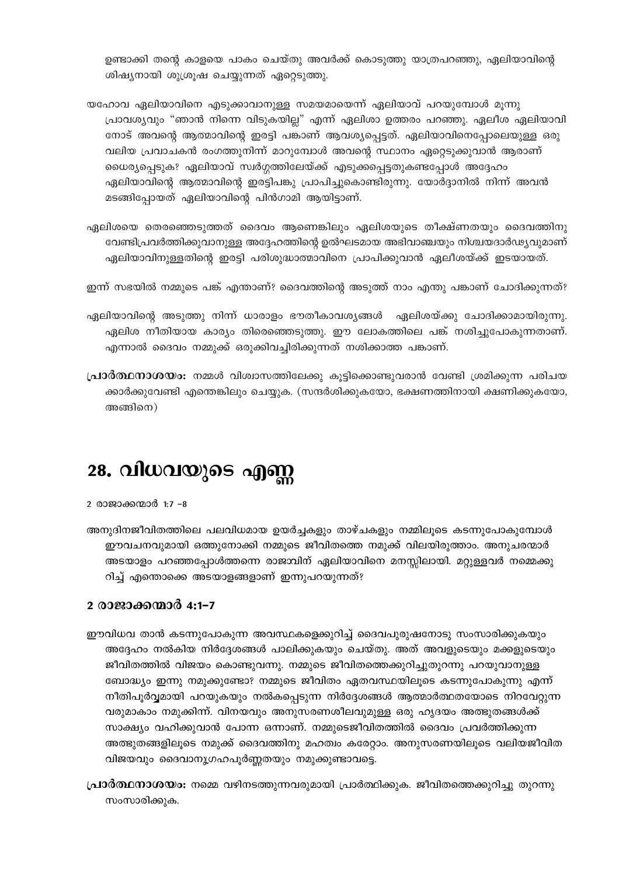ഉണ്ടാക്കി തന്റെ കാളയെ പാകം ചെയ്തു അവർക്ക് കൊടുത്തു യാത്രപറഞ്ഞു, ഏലിയാവിന്റെ ശിഷ്യനായി ശുശ്രൂഷ ചെയ്യുന്നത് ഏറ്റെടുത്തു.

യഹോവ ഏലിയാവിനെ എടുക്കാവാനുള്ള സമയമായെന്ന് ഏലിയാവ് പറയുമ്പോൾ മൂന്നു പ്രാവശ്യവും "ഞാൻ നിന്നെ വിടുകയില്ല" എന്ന് ഏലിശാ ഉത്തരം പറഞ്ഞു. ഏലീശ ഏലിയാവി നോട് അവന്റെ ആത്മാവിന്റെ ഇരട്ടി പങ്കാണ് ആവശ്യപ്പെട്ടത്. ഏലിയാവിനെപ്പോലെയുള്ള ഒരു വലിയ പ്രവാചകൻ രംഗത്തുനിന്ന് മാറുമ്പോൾ അവന്റെ സ്ഥാനം ഏറ്റെടുക്കുവാൻ ആരാണ് ധൈര്യപ്പെടുക? ഏലിയാവ് സ്വർഗ്ഗത്തിലേയ്ക്ക് എടുക്കപ്പെട്ടതുകണ്ടപ്പോൾ അദ്ദേഹം ഏലിയാവിന്റെ ആത്മാവിന്റെ ഇരട്ടിപങ്കു പ്രാപിച്ചുകൊണ്ടിരുന്നു. യോർദ്ദാനിൽ നിന്ന് അവൻ മടങ്ങിപ്പോയത് ഏലിയാവിന്റെ പിൻഗാമി ആയിട്ടാണ്.

ഏലിശയെ തെരഞ്ഞെടുത്തത് ദൈവം ആണെങ്കിലും ഏലിശയുടെ തീക്ഷ്ണതയും ദൈവത്തിനു വേണ്ടിപ്രവർത്തിക്കുവാനുള്ള അദ്ദേഹത്തിന്റെ ഉൽഘടമായ അഭിവാഞ്ചയും നിശ്ചയദാർഢ്യവുമാണ് ഏലിയാവിനുള്ളതിന്റെ ഇരട്ടി പരിശുദ്ധാത്മാവിനെ പ്രാപിക്കുവാൻ ഏലീശയ്ക്ക് ഇടയായത്.

ഇന്ന് സഭയിൽ നമ്മുടെ പങ്ക് എന്താണ്? ദൈവത്തിന്റെ അടുത്ത് നാം എന്തു പങ്കാണ് ചോദിക്കുന്നത്?

ഏലിയാവിന്റെ അടുത്തു നിന്ന് ധാരാളം ഭൗതീകാവശ്യങ്ങൾ ഏലിശയ്ക്കു ചോദിക്കാമായിരുന്നു. ഏലിശ നീതിയായ കാര്യം തിരെഞ്ഞെടുത്തു. ഈ ലോകത്തിലെ പങ്ക് നശിച്ചുപോകുന്നതാണ്. എന്നാൽ ദൈവം നമ്മുക്ക് ഒരുക്കിവച്ചിരിക്കുന്നത് നശിക്കാത്ത പങ്കാണ്.

**പ്രാർത്ഥനാശയം:** നമ്മൾ വിശ്വാസത്തിലേക്കു കൂട്ടിക്കൊണ്ടുവരാൻ വേണ്ടി ശ്രമിക്കുന്ന പരിചയ ക്കാർക്കുവേണ്ടി എന്തെങ്കിലും ചെയ്യുക. (സന്ദർശിക്കുകയോ, ഭക്ഷണത്തിനായി ക്ഷണിക്കുകയോ,  $\cos\theta$ 

# 28. വിധവയുടെ എണ്ണ

2 രാജാക്കന്മാർ 1:7 -8

അനുദിനജീവിതത്തിലെ പലവിധമായ ഉയർച്ചകളും താഴ്ചകളും നമ്മിലൂടെ കടന്നുപോകുമ്പോൾ ഈവചനവുമായി ഒത്തുനോക്കി നമ്മുടെ ജീവിതത്തെ നമുക്ക് വിലയിരുത്താം. അനുചരന്മാർ അടയാളം പറഞ്ഞപ്പോൾത്തന്നെ രാജാ്വിന് ഏലിയാവിനെ മനസ്സിലായി. മറ്റുള്ളവർ നമ്മെക്കു റിച്ച് എന്തൊക്കെ അടയാളങ്ങളാണ് ഇന്നുപറയുന്നത്?

#### <u>2 രാജാക്കന്മാർ 4:1–7</u>

- ഈവിധവ താൻ കടന്നുപോകുന്ന അവസ്ഥകളെക്കുറിച്ച് ദൈവപുരുഷനോടു സംസാരിക്കുകയും അദ്ദേഹം നൽകിയ നിർദ്ദേശങ്ങൾ പാലിക്കുകയും ചെയ്തു. അത് അവളുടെയും മക്കളുടെയും ജീവിതത്തിൽ വിജയം കൊണ്ടുവന്നു. നമ്മുടെ ജീവിതത്തെക്കുറിച്ചുതുറന്നു പറയുവാനുള്ള ബോദ്ധ്യം ഇന്നു നമുക്കുണ്ടോ? നമ്മുടെ ജീവിതം ഏതവസ്ഥയിലൂടെ കടന്നുപോകുന്നു എന്ന് നീതിപൂർവ്വമായി പറയുകയും നൽകപ്പെടുന്ന നിർദ്ദേശങ്ങൾ ആത്മാർത്ഥതയോടെ നിറവേറ്റുന്ന വരുമാകാം നമുക്കിന്ന്. വിനയവും അനുസരണശീലവുമുള്ള ഒരു ഹൃദയം അത്ഭുതങ്ങൾക്ക് സാക്ഷ്യം വഹിക്കുവാൻ പോന്ന ഒന്നാണ്. നമ്മുടെജീവിതത്തിൽ ദൈവം പ്രവർത്തിക്കുന്ന അത്ഭുതങ്ങളിലൂടെ നമുക്ക് ദൈവത്തിനു മഹത്വം കരേറ്റാം. അനുസരണയിലൂടെ വലിയജീവിത വിജയവും ദൈവാനൂഗഹപൂർണ്ണതയും നമുക്കുണ്ടാവട്ടെ.
- **പ്രാർത്ഥനാശയം:** നമ്മെ വഴിനടത്തുന്നവരുമായി പ്രാർത്ഥിക്കുക. ജീവിതത്തെക്കുറിച്ചു തുറന്നു സംസാരിക്കുക.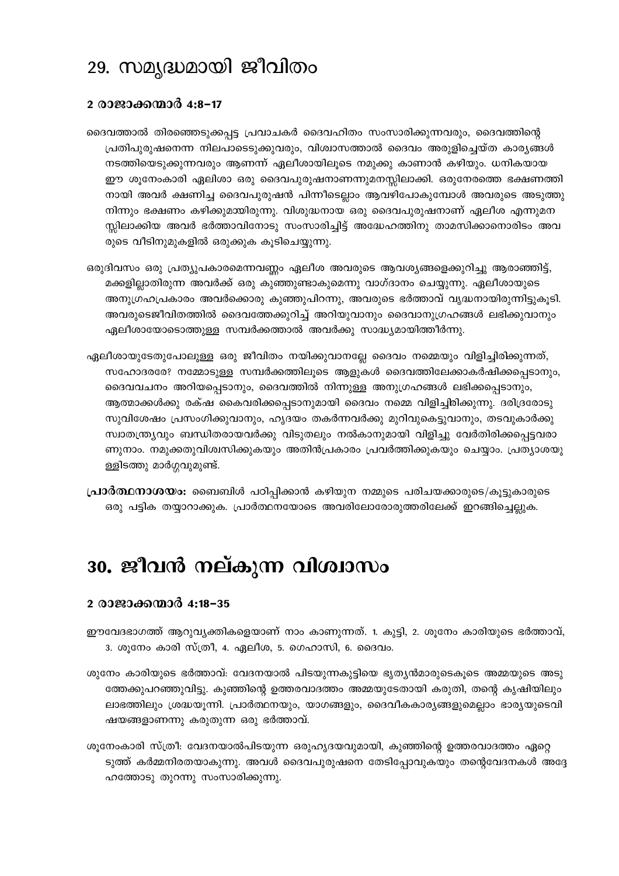### 29. സമൃദ്ധമായി ജീവിതം

#### 2 രാജാക്കന്മാർ 4:8-17

- ദൈവത്താൽ തിരഞ്ഞെടുക്കപ്പട്ട പ്രവാചകർ ദൈവഹിതം സംസാരിക്കുന്നവരും, ദൈവത്തിന്റെ പ്രതിപുരുഷനെന്ന നിലപാടെടുക്കുവരും, വിശ്വാസത്താൽ ദൈവം അരുളിച്ചെയ്ത കാര്യങ്ങൾ നടത്തിയെടുക്കുന്നവരും ആണന്ന് ഏലീശായിലൂടെ നമുക്കു കാണാൻ കഴിയും. ധനികയായ ഈ ശുനേംകാരി ഏലിശാ ഒരു ദൈവപുരുഷനാണന്നുമനസ്സിലാക്കി. ഒരുനേരത്തെ ഭക്ഷണത്തി നായി അവർ ക്ഷണിച്ച ദൈവപുരുഷൻ പിന്നീടെല്ലാം ആവഴിപോകുമ്പോൾ അവരുടെ അടുത്തു നിന്നും ഭക്ഷണം കഴിക്കുമായിരുന്നു. വിശുദ്ധനായ ഒരു ദൈവപുരുഷനാണ് ഏലീശ എന്നുമന സ്സിലാക്കിയ അവർ ഭർത്താവിനോടു സംസാരിച്ചിട്ട് അദ്ധേഹത്തിനു താമസിക്കാനൊരിടം അവ രുടെ വീടിനുമുകളിൽ ഒരുക്കുക കൂടിചെയ്യുന്നു.
- ഒരുദിവസം ഒരു പ്രത്യുപകാരമെന്നവണ്ണം ഏലീശ അവരുടെ ആവശ്യങ്ങളെക്കുറിച്ചു ആരാഞ്ഞിട്ട്, മക്കളില്ലാതിരുന്ന അവർക്ക് ഒരു കുഞ്ഞുണ്ടാകുമെന്നു വാഗ്ദാനം ചെയ്യുന്നു. ഏലീശായുടെ അനുഗ്രഹപ്രകാരം അവർക്കൊരു കുഞ്ഞുപിറന്നു, അവരുടെ ഭർത്താവ് വൃദ്ധനായിരുന്നിട്ടുകൂടി. അവരുടെജീവിതത്തിൽ ദൈവത്തേക്കുറിച്ച് അറിയുവാനും ദൈവാനുഗ്രഹങ്ങൾ ലഭിക്കുവാനും ഏലീശായോടൊത്തുള്ള സമ്പർക്കത്താൽ അവർക്കു സാദ്ധ്യമായിത്തീർന്നു.
- ഏലീശായുടേതുപോലുള്ള ഒരു ജീവിതം നയിക്കുവാനല്ലേ ദൈവം നമ്മെയും വിളിച്ചിരിക്കുന്നത്, സഹോദരരേ? നമ്മോടുള്ള സമ്പർക്കത്തിലൂടെ ആളുകൾ ദൈവത്തിലേക്കാകർഷിക്കപ്പെടാനും, ദൈവവചനം അറിയപ്പെടാനും, ദൈവത്തിൽ നിന്നുള്ള അനുഗ്രഹങ്ങൾ ലഭിക്കപ്പെടാനും, ആത്മാക്കൾക്കു രക്ഷ കൈവരിക്കപ്പെടാനുമായി ദൈവം നമ്മെ വിളിച്ചിരിക്കുന്നു. ദരിദ്രരോടു സുവിശേഷം പ്രസംഗിക്കുവാനും, ഹൃദയം തകർന്നവർക്കു മുറിവുകെട്ടുവാനും, തടവുകാർക്കു സ്വാതന്ത്ര്യവും ബന്ധിതരായവർക്കു വിടുതലും നൽകാനുമായി വിളിച്ചു വേർതിരിക്കപ്പെട്ടവരാ ണുനാം. നമുക്കതുവിശ്വസിക്കുകയും അതിൻപ്രകാരം പ്രവർത്തിക്കുകയും ചെയ്യാം. പ്രത്യാശയു ള്ളിടത്തു മാർഗ്ഗവുമുണ്ട്.
- **പ്രാർത്ഥനാശയം:** ബൈബിൾ പഠിപ്പിക്കാൻ കഴിയുന നമ്മുടെ പരിചയക്കാരുടെ/കൂട്ടുകാരുടെ ഒരു പട്ടിക തയ്യാറാക്കുക. പ്രാർത്ഥനയോടെ അവരിലോരോരുത്തരിലേക്ക് ഇറങ്ങിച്ചെല്ലുക.

### 30. ജീവൻ നല്കുന്ന വിശ്വാസം

#### <u>2 രാജാക്കന്മാർ 4:18-35</u>

ഈവേദഭാഗത്ത് ആറുവ്യക്തികളെയാണ് നാം കാണുന്നത്. 1. കൂട്ടി, 2. ശൂനേം കാരിയുടെ ഭർത്താവ്, 3. ശുനേം കാരി സ്ത്രീ, 4. ഏലീശ, 5. ഗെഹാസി, 6. ദൈവം.

- ശുനേം കാരിയുടെ ഭർത്താവ്: വേദനയാൽ പിടയുന്നകുട്ടിയെ ഭൃത്യൻമാരുടെകൂടെ അമ്മയുടെ അടു ത്തേക്കുപറഞ്ഞുവിട്ടു. കുഞ്ഞിന്റെ ഉത്തരവാദത്തം അമ്മയുടേതായി കരുതി, തന്റെ കൃഷിയിലും ലാഭത്തിലും ശ്രദ്ധയൂന്നി. പ്രാർത്ഥനയും, യാഗങ്ങളും, ദൈവീകകാര്യങ്ങളുമെല്ലാം ഭാര്യയുടെവി ഷയങ്ങളാണന്നു കരുതുന്ന ഒരു ഭർത്താവ്.
- ശുനേംകാരി സ്ത്രീ: വേദനയാൽപിടയുന്ന ഒരുഹൃദയവുമായി, കുഞ്ഞിന്റെ ഉത്തരവാദത്തം ഏറ്റെ ടുത്ത് കർമ്മനിരതയാകുന്നു. അവൾ ദൈവപുരുഷനെ തേടിപ്പോവുകയും തന്റെവേദനകൾ അദ്ദേ ഹത്തോടു തുറന്നു സംസാരിക്കുന്നു.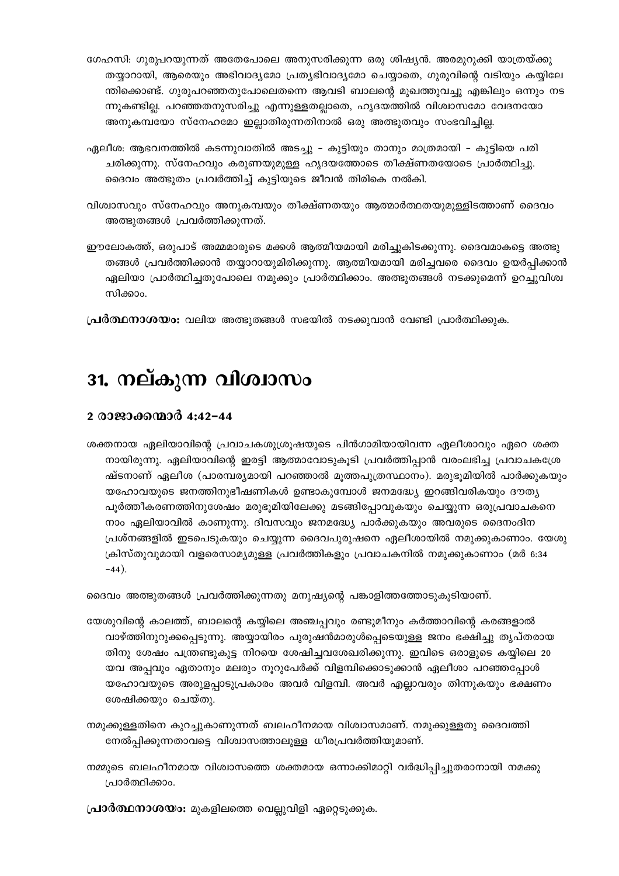- ഗേഹസി: ഗുരുപറയുന്നത് അതേപോലെ അനുസരിക്കുന്ന ഒരു ശിഷ്യൻ. അരമുറുക്കി യാത്രയ്ക്കു തയ്യാറായി, ആരെയും അഭിവാദ്യമോ പ്രത്യഭിവാദ്യമോ ചെയ്യാതെ, ഗുരുവിന്റെ വടിയും കയ്യിലേ ന്തിക്കൊണ്ട്. ഗുരുപറഞ്ഞതുപോലെതന്നെ ആവടി ബാലന്റെ മുഖത്തുവച്ചു എങ്കിലും ഒന്നും നട ന്നുകണ്ടില്ല. പറഞ്ഞതനുസരിച്ചു എന്നുള്ളതല്ലാതെ, ഹൃദയത്തിൽ വിശ്വാസമോ വേദനയോ അനുകമ്പയോ സ്നേഹമോ ഇല്ലാതിരുന്നതിനാൽ ഒരു അത്ഭുതവും സംഭവിച്ചില്ല.
- ഏലീശ: ആഭവനത്തിൽ കടന്നുവാതിൽ അടച്ചു കുട്ടിയും താനും മാത്രമായി കുട്ടിയെ പരി ചരിക്കുന്നു. സ്നേഹവും കരുണയുമുള്ള ഹൃദയത്തോടെ തീക്ഷ്ണതയോടെ പ്രാർത്ഥിച്ചു. ദൈവം അത്ഭുതം പ്രവർത്തിച്ച് കുട്ടിയുടെ ജീവൻ തിരികെ നൽകി.
- വിശ്വാസവും സ്നേഹവും അനുകമ്പയും തീക്ഷ്ണതയും ആത്മാർത്ഥതയുമുള്ളിടത്താണ് ദൈവം അത്ഭുതങ്ങൾ പ്രവർത്തിക്കുന്നത്.
- ഈലോകത്ത്, ഒരുപാട് അമ്മമാരുടെ മക്കൾ ആത്മീയമായി മരിച്ചുകിടക്കുന്നു. ദൈവമാകട്ടെ അത്ഭു തങ്ങൾ പ്രവർത്തിക്കാൻ തയ്യാറായുമിരിക്കുന്നു. ആത്മീയമായി മരിച്ചവരെ ദൈവം ഉയർപ്പിക്കാൻ ഏലിയാ പ്രാർത്ഥിച്ചതുപോലെ നമുക്കും പ്രാർത്ഥിക്കാം. അത്ഭുതങ്ങൾ നടക്കുമെന്ന് ഉറച്ചുവിശ്വ സിക്കാം.
- **പ്രർത്ഥനാശയം:** വലിയ അത്ഭുതങ്ങൾ സഭയിൽ നടക്കുവാൻ വേണ്ടി പ്രാർത്ഥിക്കുക.

# 31. നല്കുന്ന വിശ്വാസം

#### 2 രാജാക്കന്മാർ 4:42-44

ശക്തനായ ഏലിയാവിന്റെ പ്രവാചകശുശ്രൂഷയുടെ പിൻഗാമിയായിവന്ന ഏലീശാവും ഏറെ ശക്ത നായിരുന്നു. ഏലിയാവിന്റെ ഇരട്ടി ആത്മാവോടുകൂടി പ്രവർത്തിപ്പാൻ വരംലഭിച്ച പ്രവാചകശ്രേ ഷ്ടനാണ് ഏലീശ (പാരമ്പര്യമായി പറഞ്ഞാൽ മൂത്തപുത്രസ്ഥാനം). മരുഭൂമിയിൽ പാർക്കുകയും യഹോവയുടെ ജനത്തിനുഭീഷണികൾ ഉണ്ടാകുമ്പോൾ ജനമദ്ധ്യേ ഇറങ്ങിവരികയും ദൗത്യ പൂർത്തീകരണത്തിനുശേഷം മരുഭൂമിയിലേക്കു മടങ്ങിപ്പോവുകയും ചെയ്യുന്ന ഒരുപ്രവാചകനെ നാം ഏലിയാവിൽ കാണുന്നു. ദിവസവും ജനമദ്ധ്യേ പാർക്കുകയും അവരുടെ ദൈനംദിന പ്രശ്നങ്ങളിൽ ഇടപെടുകയും ചെയ്യുന്ന ദൈവപുരുഷനെ ഏലീശായിൽ നമുക്കുകാണാം. യേശു ക്രിസ്തുവുമായി വളരെസാമ്യമുള്ള പ്രവർത്തികളും പ്രവാചകനിൽ നമുക്കുകാണാം (മർ 6:34  $-44$ ).

ദൈവം അത്ഭുതങ്ങൾ പ്രവർത്തിക്കുന്നതു മനുഷ്യന്റെ പങ്കാളിത്തത്തോടുകൂടിയാണ്.

- യേശുവിന്റെ കാലത്ത്, ബാലന്റെ കയ്യിലെ അഞ്ചപ്പവും രണ്ടുമീനും കർത്താവിന്റെ കരങ്ങളാൽ വാഴ്ത്തിനുറുക്കപ്പെടുന്നു. അയ്യായിരം പുരുഷൻമാരുൾപ്പെടെയുള്ള ജനം ഭക്ഷിച്ചു തൃപ്തരായ തിനു ശേഷം പന്ത്രണ്ടുകുട്ട നിറയെ ശേഷിച്ചവശേഖരിക്കുന്നു. ഇവിടെ ഒരാളുടെ കയ്യിലെ 20 യവ അപ്പവും ഏതാനും മലരും നൂറുപേർക്ക് വിളമ്പിക്കൊടുക്കാൻ ഏലീശാ പറഞ്ഞപ്പോൾ യഹോവയുടെ അരുളപ്പാടുപ്രകാരം അവർ വിളമ്പി. അവർ എല്ലാവരും തിന്നുകയും ഭക്ഷണം ശേഷിക്കയും ചെയ്തു.
- നമുക്കുള്ളതിനെ കുറച്ചുകാണുന്നത് ബലഹീനമായ വിശ്വാസമാണ്. നമുക്കുള്ളതു ദൈവത്തി നേൽപ്പിക്കുന്നതാവട്ടെ വിശ്വാസത്താലുള്ള ധീരപ്രവർത്തിയുമാണ്.
- നമ്മുടെ ബലഹീനമായ വിശ്വാസത്തെ ശക്തമായ ഒന്നാക്കിമാറ്റി വർദ്ധിപ്പിച്ചുതരാനായി നമക്കു പ്രാർത്ഥിക്കാം.

പ്രാർത്ഥനാശയം: മുകളിലത്തെ വെല്ലുവിളി ഏറ്റെടുക്കുക.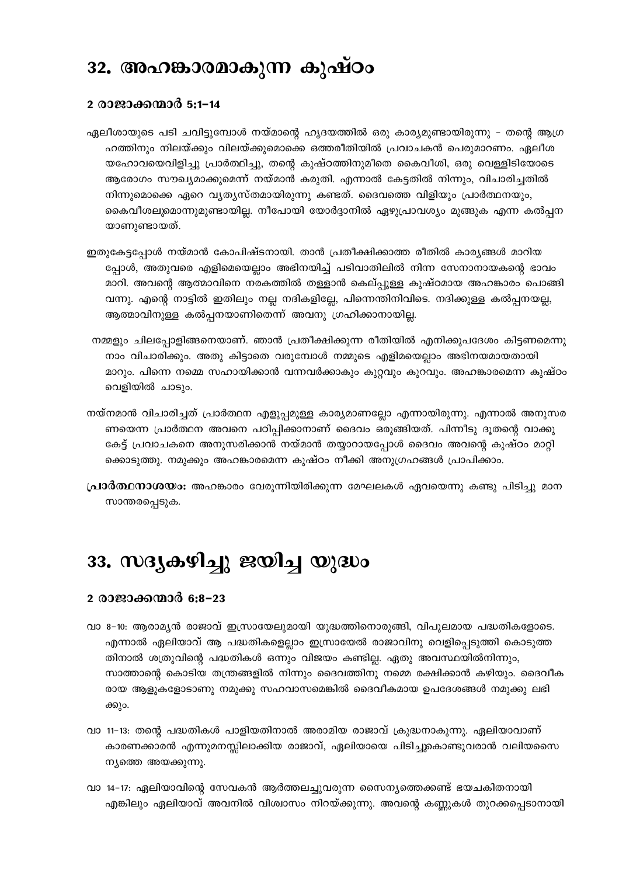### 32. അഹങ്കാരമാകുന്ന കുഷ്ഠം

#### 2 രാജാക്കന്മാർ 5:1–14

- ഏലീശായുടെ പടി ചവിട്ടുമ്പോൾ നയ്മാന്റെ ഹൃദയത്തിൽ ഒരു കാര്യമുണ്ടായിരുന്നു തന്റെ ആഗ്ര ഹത്തിനും നിലയ്ക്കും വിലയ്ക്കുമൊക്കെ ഒത്തരീതിയിൽ പ്രവാചകൻ പെരുമാറണം. ഏലീശ യഹോവയെവിളിച്ചു പ്രാർത്ഥിച്ചു, തന്റെ കുഷ്ഠത്തിനുമീതെ കൈവീശി, ഒരു വെള്ളിടിയോടെ ആരോഗം സൗഖ്യമാക്കുമെന്ന് നയ്മാൻ കരുതി. എന്നാൽ കേട്ടതിൽ നിന്നും, വിചാരിച്ചതിൽ നിന്നുമൊക്കെ ഏറെ വ്യത്യസ്തമായിരുന്നു കണ്ടത്. ദൈവത്തെ വിളിയും പ്രാർത്ഥനയും, കൈവീശലുമൊന്നുമുണ്ടായില്ല. നീപോയി യോർദ്ദാനിൽ ഏഴുപ്രാവശ്യം മുങ്ങുക എന്ന കൽപ്പന യാണുണ്ടായത്.
- ഇതുകേട്ടപ്പോൾ നയ്മാൻ കോപിഷ്ടനായി. താൻ പ്രതീക്ഷിക്കാത്ത രീതിൽ കാര്യങ്ങൾ മാറിയ പ്പോൾ, അതുവരെ എളിമെയെല്ലാം അഭിനയിച്ച് പടിവാതിലിൽ നിന്ന സേനാനായകന്റെ ഭാവം മാറി. അവന്റെ ആത്മാവിനെ നരകത്തിൽ തള്ളാൻ കെല്പ്പുള്ള കുഷ്ഠമായ അഹങ്കാരം പൊങ്ങി വന്നു. എന്റെ നാട്ടിൽ ഇതിലും നല്ല നദികളില്ലേ, പിന്നെന്തിനിവിടെ. നദിക്കുള്ള കൽപ്പനയല്ല, ആത്മാവിനുള്ള കൽപ്പനയാണിതെന്ന് അവനു ഗ്രഹിക്കാനായില്ല.
- നമ്മളും ചിലപ്പോളിങ്ങനെയാണ്. ഞാൻ പ്രതീക്ഷിക്കുന്ന രീതിയിൽ എനിക്കുപദേശം കിട്ടണമെന്നു നാം വിചാരിക്കും. അതു കിട്ടാതെ വരുമ്പോൾ നമ്മുടെ എളിമയെല്ലാം അഭിനയമായതായി മാറും. പിന്നെ നമ്മെ സഹായിക്കാൻ വന്നവർക്കാകും കുറ്റവും കുറവും. അഹങ്കാരമെന്ന കുഷ്ഠം വെളിയിൽ ചാടും.
- നയ്നമാൻ വിചാരിച്ചത് പ്രാർത്ഥന എളുപ്പമുള്ള കാര്യമാണല്ലോ എന്നായിരുന്നു. എന്നാൽ അനുസര ണയെന്ന പ്രാർത്ഥന അവനെ പഠിപ്പിക്കാനാണ് ദൈവം ഒരുങ്ങിയത്. പിന്നീടു ദുതന്റെ വാക്കു കേട്ട് പ്രവാചകനെ അനുസരിക്കാൻ നയ്മാൻ തയ്യാറായപ്പോൾ ദൈവം അവന്റെ കുഷ്ഠം മാറ്റി ക്കൊടുത്തു. നമുക്കും അഹങ്കാരമെന്ന കുഷ്ഠം നീക്കി അനുഗ്രഹങ്ങൾ പ്രാപിക്കാം.
- **പ്രാർത്ഥനാശയം:** അഹങ്കാരം വേരുന്നിയിരിക്കുന്ന മേഘലകൾ ഏവയെന്നു കണ്ടു പിടിച്ചു മാന സാന്തരപ്പെടുക.

# 33. സദൃകഴിച്ചു ജയിച്ച യുദ്ധം

#### 2 രാജാക്കന്മാർ 6:8-23

- വാ 8–10: ആരാമ്യൻ രാജാവ് ഇസ്രായേലുമായി യുദ്ധത്തിനൊരുങ്ങി, വിപുലമായ പദ്ധതികളോടെ. എന്നാൽ ഏലിയാവ് ആ പദ്ധതികളെല്ലാം ഇസ്രായേൽ രാജാവിനു വെളിപ്പെടുത്തി കൊടുത്ത തിനാൽ ശത്രുവിന്റെ പദ്ധതികൾ ഒന്നും വിജയം കണ്ടില്ല. ഏതു അവസ്ഥയിൽനിന്നും, സാത്താന്റെ കൊടിയ തന്ത്രങ്ങളിൽ നിന്നും ദൈവത്തിനു നമ്മെ രക്ഷിക്കാൻ കഴിയും. ദൈവീക രായ ആളുകളോടാണു നമുക്കു സഹവാസമെങ്കിൽ ദൈവീകമായ ഉപദേശങ്ങൾ നമുക്കു ലഭി ക്കും.
- വാ 11–13: തന്റെ പദ്ധതികൾ പാളിയതിനാൽ അരാമിയ രാജാവ് ക്രുദ്ധനാകുന്നു. ഏലിയാവാണ് കാരണക്കാരൻ എന്നുമനസ്സിലാക്കിയ രാജാവ്, ഏലിയായെ പിടിച്ചുകൊണ്ടുവരാൻ വലിയസൈ ന്യത്തെ അയക്കുന്നു.
- വാ 14–17: ഏലിയാവിന്റെ സേവകൻ ആർത്തലച്ചുവരുന്ന സൈന്യത്തെക്കണ്ട് ഭയചകിതനായി എങ്കിലും ഏലിയാവ് അവനിൽ വിശ്വാസം നിറയ്ക്കുന്നു. അവന്റെ കണ്ണുകൾ തുറക്കപ്പെടാനായി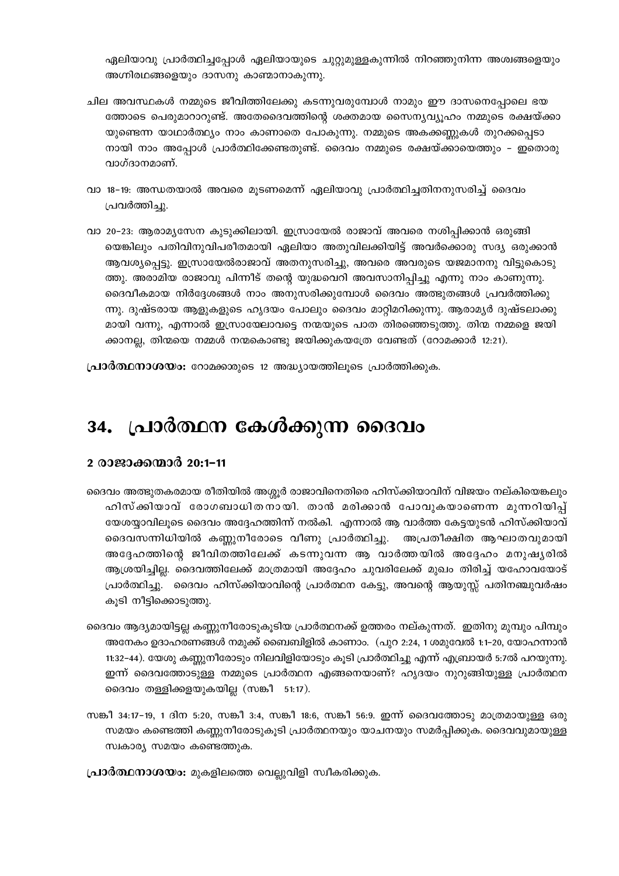ഏലിയാവു പ്രാർത്ഥിച്ചപ്പോൾ ഏലിയായുടെ ചുറ്റുമുള്ളകുന്നിൽ നിറഞ്ഞുനിന്ന അശ്വങ്ങളെയും അഗ്നിരഥങ്ങളെയും ദാസനു കാണ്മാനാകുന്നു.

- ചില അവസ്ഥകൾ നമ്മുടെ ജീവിത്തിലേക്കു കടന്നുവരുമ്പോൾ നാമും ഈ ദാസനെപ്പോലെ ഭയ ത്തോടെ പെരുമാറാറുണ്ട്. അതേദൈവത്തിന്റെ ശക്തമായ സൈന്യവ്യൂഹം നമ്മുടെ രക്ഷയ്ക്കാ യുണ്ടെന്ന യാഥാർത്ഥ്യം നാം കാണാതെ പോകുന്നു. നമ്മുടെ അകക്കണ്ണുകൾ തുറക്കപ്പെടാ നായി നാം അപ്പോൾ പ്രാർത്ഥിക്കേണ്ടതുണ്ട്. ദൈവം നമ്മുടെ രക്ഷയ്ക്കായെത്തും – ഇതൊരു വാഗ്ദാനമാണ്.
- വാ 18-19: അന്ധതയാൽ അവരെ മുടണമെന്ന് ഏലിയാവു പ്രാർത്ഥിച്ചതിനനുസരിച്ച് ദൈവം പ്രവർത്തിച്ചു.
- വാ 20–23: ആരാമൃസേന കുടുക്കിലായി. ഇസ്രായേൽ രാജാവ് അവരെ നശിപ്പിക്കാൻ ഒരുങ്ങി യെങ്കിലും പതിവിനുവിപരീതമായി ഏലിയാ അതുവിലക്കിയിട്ട് അവർക്കൊരു സദ്യ ഒരുക്കാൻ ആവശ്യപ്പെട്ടു. ഇസ്രായേൽരാജാവ് അതനുസരിച്ചു, അവരെ അവരുടെ യജമാനനു വിട്ടുകൊടു ത്തു. അരാമിയ രാജാവു പിന്നീട് തന്റെ യുദ്ധവെറി അവസാനിപ്പിച്ചു എന്നു നാം കാണുന്നു. ദൈവീകമായ നിർദ്ദേശങ്ങൾ നാം അനുസരിക്കുമ്പോൾ ദൈവം അത്ഭുതങ്ങൾ പ്രവർത്തിക്കു ന്നു. ദുഷ്ടരായ ആളുകളുടെ ഹൃദയം പോലും ദൈവം മാറ്റിമറിക്കുന്നു. ആരാമ്യർ ദുഷ്ടലാക്കു മായി വന്നു, എന്നാൽ ഇസ്രായേലാവട്ടെ നന്മയുടെ പാത തിരഞ്ഞെടുത്തു. തിന്മ നമ്മളെ ജയി ക്കാനല്ല, തിന്മയെ നമ്മൾ നന്മകൊണ്ടു ജയിക്കുകയത്രേ വേണ്ടത് (റോമക്കാർ 12:21).

**പ്രാർത്ഥനാശയം:** റോമക്കാരുടെ 12 അദ്ധ്യായത്തിലൂടെ പ്രാർത്തിക്കുക.

#### പ്രാർത്ഥന കേൾക്കുന്ന ദൈവം 34.

#### 2 രാജാക്കന്മാർ 20:1-11

- ദൈവം അത്ഭുതകരമായ രീതിയിൽ അശ്ശൂർ രാജാവിനെതിരെ ഹിസ്ക്കിയാവിന് വിജയം നല്കിയെങ്കലും ഹിസ്ക്കിയാവ് രോഗബാധിതനായി. താൻ മരിക്കാൻ പോവുകയാണെന്ന മുന്നറിയിപ്പ് യേശയ്യാവിലൂടെ ദൈവം അദ്ദേഹത്തിന്ന് നൽകി. എന്നാൽ ആ വാർത്ത കേട്ടയുടൻ ഹിസ്ക്കിയാവ് ദൈവസന്നിധിയിൽ കണ്ണുനീരോടെ വീണു പ്രാർത്ഥിച്ചു. അപ്രതീക്ഷിത ആഘാതവുമായി അദ്ദേഹത്തിന്റെ ജീവിതത്തിലേക്ക് കടന്നുവന്ന ആ വാർത്തയിൽ അദ്ദേഹം മനുഷ്യരിൽ ആശ്രയിച്ചില്ല. ദൈവത്തിലേക്ക് മാത്രമായി അദ്ദേഹം ചുവരിലേക്ക് മുഖം തിരിച്ച് യഹോവയോട് പ്രാർത്ഥിച്ചു. ദൈവം ഹിസ്ക്കിയാവിന്റെ പ്രാർത്ഥന കേട്ടു, അവന്റെ ആയുസ്സ് പതിനഞ്ചുവർഷം കുടി നീട്ടിക്കൊടുത്തു.
- ദൈവം ആദ്യമായിട്ടല്ല കണ്ണുനീരോടുകൂടിയ പ്രാർത്ഥനക്ക് ഉത്തരം നല്കുന്നത്. ഇതിനു മുമ്പും പിമ്പും അനേകം ഉദാഹരണങ്ങൾ നമുക്ക് ബൈബിളിൽ കാണാം. (പുറ 2:24, 1 ശമുവേൽ 1:1-20, യോഹന്നാൻ 11:32–44). യേശു കണ്ണുനീരോടും നിലവിളിയോടും കൂടി പ്രാർത്ഥിച്ചു എന്ന് എബ്രായർ 5:7ൽ പറയുന്നു. ഇന്ന് ദൈവത്തോടുള്ള നമ്മുടെ പ്രാർത്ഥന എങ്ങനെയാണ്? ഹൃദയം നുറുങ്ങിയുള്ള പ്രാർത്ഥന ദൈവം തള്ളിക്കളയുകയില്ല (സങ്കീ 51:17).
- സങ്കീ 34:17-19, 1 ദിന 5:20, സങ്കീ 3:4, സങ്കീ 18:6, സങ്കീ 56:9. ഇന്ന് ദൈവത്തോടു മാത്രമായുള്ള ഒരു സമയം കണ്ടെത്തി കണ്ണുനീരോടുകൂടി പ്രാർത്ഥനയും യാചനയും സമർപ്പിക്കുക. ദൈവവുമായുള്ള സ്വകാര്യ സമയം കണ്ടെത്തുക.
- **പ്രാർത്ഥനാശയം:** മുകളിലത്തെ വെല്ലുവിളി സ്വീകരിക്കുക.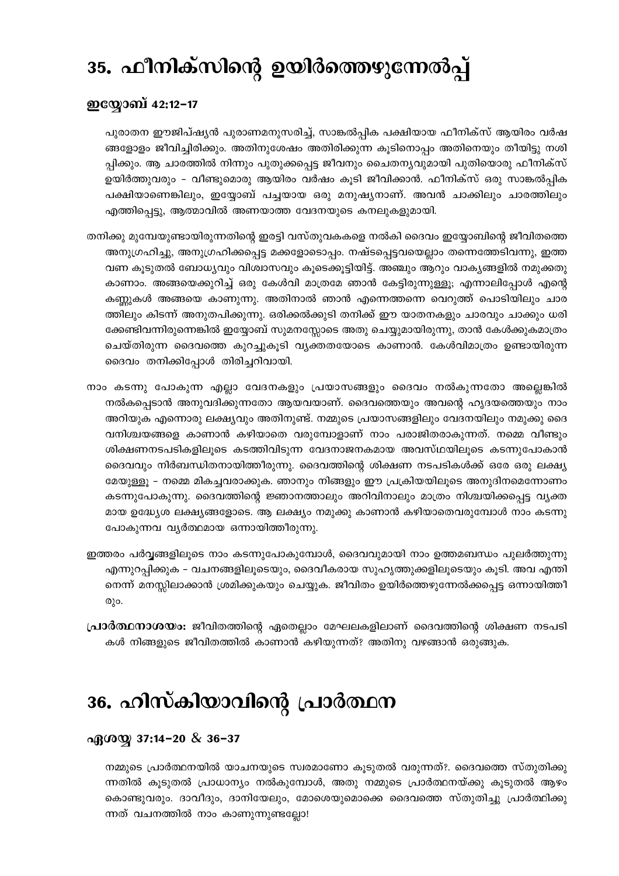# 35. ഫീനിക്സിന്റെ ഉയിർത്തെഴുന്നേൽപ്പ്

#### ഇയ്യോബ് 42:12–17

പുരാതന ഈജിപ്ഷ്യൻ പുരാണമനുസരിച്ച്, സാങ്കൽപ്പിക പക്ഷിയായ ഫീനിക്സ് ആയിരം വർഷ ങ്ങളോളം ജീവിച്ചിരിക്കും. അതിനുശേഷം അതിരിക്കുന്ന കൂടിനൊപ്പം അതിനെയും തീയിട്ടു നശി പ്പിക്കും. ആ ചാരത്തിൽ നിന്നും പുതുക്കപ്പെട്ട ജീവനും ചൈതന്യവുമായി പുതിയൊരു ഫീനിക്സ് ഉയിർത്തുവരും - വീണ്ടുമൊരു ആയിരം വർഷം കൂടി ജീവിക്കാൻ. ഫീനിക്സ് ഒരു സാങ്കൽപ്പിക പക്ഷിയാണെങ്കിലും, ഇയ്യോബ് പച്ചയായ ഒരു മനുഷ്യനാണ്. അവൻ ചാക്കിലും ചാരത്തിലും എത്തിപ്പെട്ടു, ആത്മാവിൽ അണയാത്ത വേദനയുടെ കനലുകളുമായി.

- തനിക്കു മുമ്പേയുണ്ടായിരുന്നതിന്റെ ഇരട്ടി വസ്തുവകകളെ നൽകി ദൈവം ഇയ്യോബിന്റെ ജീവിതത്തെ അനുഗ്രഹിച്ചു, അനുഗ്രഹിക്കപ്പെട്ട മക്കളോടൊപ്പം. നഷ്ടപ്പെട്ടവയെല്ലാം തന്നെത്തേടിവന്നു, ഇത്ത വണ കൂടുതൽ ബോധ്യവും വിശ്വാസവും കൂടെക്കൂട്ടിയിട്ട്. അഞ്ചും ആറും വാകൃങ്ങളിൽ നമുക്കതു കാണാം. അങ്ങയെക്കുറിച്ച് ഒരു കേൾവി മാത്രമേ ഞാൻ കേട്ടിരുന്നുള്ളു; എന്നാലിപ്പോൾ എന്റെ കണ്ണുകൾ അങ്ങയെ കാണുന്നു. അതിനാൽ ഞാൻ എന്നെത്തന്നെ വെറുത്ത് പൊടിയിലും ചാര ത്തിലും കിടന്ന് അനുതപിക്കുന്നു. ഒരിക്കൽക്കുടി തനിക്ക് ഈ യാതനകളും ചാരവും ചാക്കും ധരി ക്കേണ്ടിവന്നിരുന്നെങ്കിൽ ഇയ്യോബ് സുമനസ്സോടെ അതു ചെയ്യുമായിരുന്നു, താൻ കേൾക്കുകമാത്രം ചെയ്തിരുന്ന ദൈവത്തെ കുറച്ചുകൂടി വ്യക്തതയോടെ കാണാൻ. കേൾവിമാത്രം ഉണ്ടായിരുന്ന ദൈവം തനിക്കിപ്പോൾ തിരിച്ചറിവായി.
- നാം കടന്നു പോകുന്ന എല്ലാ വേദനകളും പ്രയാസങ്ങളും ദൈവം നൽകുന്നതോ അല്ലെങ്കിൽ നൽകപ്പെടാൻ അനുവദിക്കുന്നതോ ആയവയാണ്. ദൈവത്തെയും അവന്റെ ഹൃദയത്തെയും നാം അറിയുക എന്നൊരു ലക്ഷ്യവും അതിനുണ്ട്. നമ്മുടെ പ്രയാസങ്ങളിലും വേദനയിലും നമുക്കു ദൈ വനിശ്ചയങ്ങളെ കാണാൻ കഴിയാതെ വരുമ്പോളാണ് നാം പരാജിതരാകുന്നത്. നമ്മെ വീണ്ടും ശിക്ഷണനടപടികളിലൂടെ കടത്തിവിടുന്ന വേദനാജനകമായ അവസ്ഥയിലൂടെ കടന്നുപോകാൻ ദൈവവും നിർബന്ധിതനായിത്തീരുന്നു. ദൈവത്തിന്റെ ശിക്ഷണ നടപടികൾക്ക് ഒരേ ഒരു ലക്ഷ്യ മേയുള്ളൂ – നമ്മെ മികച്ചവരാക്കുക. ഞാനും നിങ്ങളും ഈ പ്രക്രിയയിലൂടെ അനുദിനമെന്നോണം കടന്നുപോകുന്നു. ദൈവത്തിന്റെ ജ്ഞാനത്താലും അറിവിനാലും മാത്രം നിശ്ചയിക്കപ്പെട്ട വൃക്ത മായ ഉദ്ധ്യേശ ലക്ഷ്യങ്ങളോടെ. ആ ലക്ഷ്യം നമുക്കു കാണാൻ കഴിയാതെവരുമ്പോൾ നാം കടന്നു പോകുന്നവ വ്യർത്ഥമായ ഒന്നായിത്തീരുന്നു.
- ഇത്തരം പർവ്വങ്ങളിലൂടെ നാം കടന്നുപോകുമ്പോൾ, ദൈവവുമായി നാം ഉത്തമബന്ധം പുലർത്തുന്നു എന്നുറപ്പിക്കുക - വചനങ്ങളിലൂടെയും, ദൈവീകരായ സുഹൃത്തുക്കളിലൂടെയും കൂടി. അവ എന്തി നെന്ന് മനസ്സിലാക്കാൻ ശ്രമിക്കുകയും ചെയ്യുക. ജീവിതം ഉയിർത്തെഴുന്നേൽക്കപ്പെട്ട ഒന്നായിത്തീ  $@$ λο.
- **പ്രാർത്ഥനാശയം:** ജീവിതത്തിന്റെ ഏതെല്ലാം മേഘലകളിലാണ് ദൈവത്തിന്റെ ശിക്ഷണ നടപടി കൾ നിങ്ങളുടെ ജീവിതത്തിൽ കാണാൻ കഴിയുന്നത്? അതിനു വഴങ്ങാൻ ഒരുങ്ങുക.

# 36. ഹിസ്കിയാവിന്റെ പ്രാർത്ഥന

#### $\alpha$ <sub>0</sub>( $\alpha$ <sup>o</sup>) 37:14-20 & 36-37

നമ്മുടെ പ്രാർത്ഥനയിൽ യാചനയുടെ സ്വരമാണോ കൂടുതൽ വരുന്നത്?. ദൈവത്തെ സ്തുതിക്കു ന്നതിൽ കൂടുതൽ പ്രാധാന്യം നൽകുമ്പോൾ, അതു നമ്മുടെ പ്രാർത്ഥനയ്ക്കു കൂടുതൽ ആഴം കൊണ്ടുവരും. ദാവീദും, ദാനിയേലും, മോശെയുമൊക്കെ ദൈവത്തെ സ്തുതിച്ചു പ്രാർത്ഥിക്കു ന്നത് വചനത്തിൽ നാം കാണുന്നുണ്ടല്ലോ!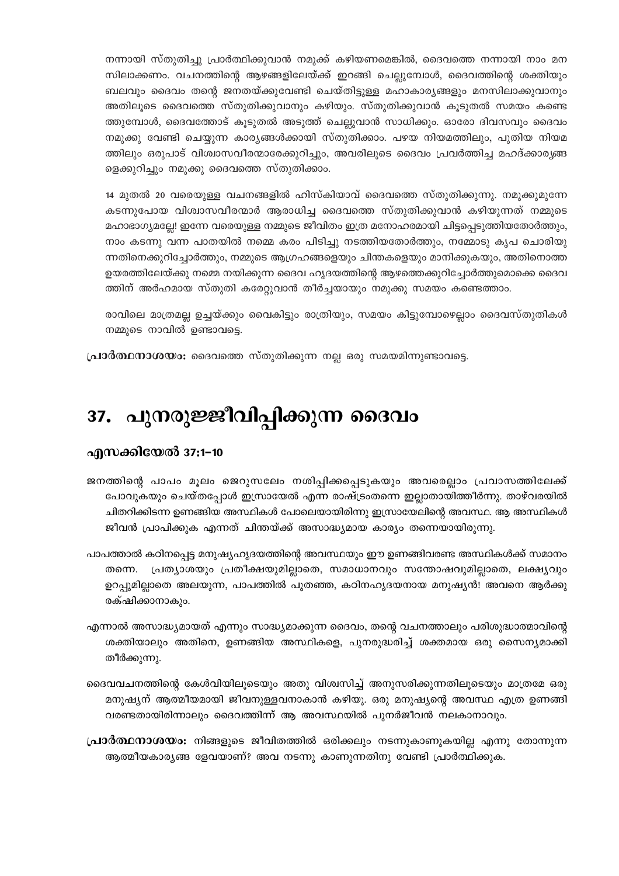നന്നായി സ്തുതിച്ചു പ്രാർത്ഥിക്കുവാൻ നമുക്ക് കഴിയണമെങ്കിൽ, ദൈവത്തെ നന്നായി നാം മന സിലാക്കണം. വചനത്തിന്റെ ആഴങ്ങളിലേയ്ക്ക് ഇറങ്ങി ചെല്ലുമ്പോൾ, ദൈവത്തിന്റെ ശക്തിയും ബലവും ദൈവം തന്റെ ജനതയ്ക്കുവേണ്ടി ചെയ്തിട്ടുള്ള മഹാകാര്യങ്ങളും മനസിലാക്കുവാനും അതിലൂടെ ദൈവത്തെ സ്തുതിക്കുവാനും കഴിയും. സ്തുതിക്കുവാൻ കൂടുതൽ സമയം കണ്ടെ ത്തുമ്പോൾ, ദൈവത്തോട് കൂടുതൽ അടുത്ത് ചെല്ലുവാൻ സാധിക്കും. ഓരോ ദിവസവും ദൈവം നമുക്കു വേണ്ടി ചെയ്യുന്ന കാര്യങ്ങൾക്കായി സ്തുതിക്കാം. പഴയ നിയമത്തിലും, പുതിയ നിയമ ത്തിലും ഒരുപാട് വിശ്വാസവീരന്മാരേക്കുറിച്ചും, അവരിലൂടെ ദൈവം പ്രവർത്തിച്ച മഹദ്ക്കാരൃങ്ങ ളെക്കുറിച്ചും നമുക്കു ദൈവത്തെ സ്തുതിക്കാം.

14 മുതൽ 20 വരെയുള്ള വചനങ്ങളിൽ ഹിസ്കിയാവ് ദൈവത്തെ സ്തുതിക്കുന്നു. നമുക്കുമുന്നേ കടന്നുപോയ വിശ്വാസവീരന്മാർ ആരാധിച്ച ദൈവത്തെ സ്തുതിക്കുവാൻ കഴിയുന്നത് നമ്മുടെ മഹാഭാഗ്യമല്ലേ! ഇന്നേ വരെയുള്ള നമ്മുടെ ജീവിതം ഇത്ര മനോഹരമായി ചിട്ടപ്പെടുത്തിയതോർത്തും, നാം കടന്നു വന്ന പാതയിൽ നമ്മെ കരം പിടിച്ചു നടത്തിയതോർത്തും, നമ്മോടു കൃപ ചൊരിയു ന്നതിനെക്കുറിച്ചോർത്തും, നമ്മുടെ ആഗ്രഹങ്ങളെയും ചിന്തകളെയും മാനിക്കുകയും, അതിനൊത്ത ഉയരത്തിലേയ്ക്കു നമ്മെ നയിക്കുന്ന ദൈവ ഹൃദയത്തിന്റെ ആഴത്തെക്കുറിച്ചോർത്തുമൊക്കെ ദൈവ ത്തിന് അർഹമായ സ്തുതി കരേറ്റുവാൻ തീർച്ചയായും നമുക്കു സമയം കണ്ടെത്താം.

രാവിലെ മാത്രമല്ല ഉച്ചയ്ക്കും വൈകിട്ടും രാത്രിയും, സമയം കിട്ടുമ്പോഴെല്ലാം ദൈവസ്തുതികൾ നമ്മുടെ നാവിൽ ഉണ്ടാവട്ടെ.

**പ്രാർത്ഥനാശയം:** ദൈവത്തെ സ്തുതിക്കുന്ന നല്ല ഒരു സമയമിന്നുണ്ടാവട്ടെ.

# 37. പുനരുജ്ജീവിപ്പിക്കുന്ന ദൈവം

#### എസക്കിയേൽ 37:1-10

- ജനത്തിന്റെ പാപം മൂലം ജെറുസലേം നശിപ്പിക്കപ്പെടുകയും അവരെല്ലാം പ്രവാസത്തിലേക്ക് പോവുകയും ചെയ്തപ്പോൾ ഇസ്രായേൽ എന്ന രാഷ്ട്രംതന്നെ ഇല്ലാതായിത്തീർന്നു. താഴ്വരയിൽ ചിതറിക്കിടന്ന ഉണങ്ങിയ അസ്ഥികൾ പോലെയായിരിന്നു ഇസ്രായേലിന്റെ അവസ്ഥ. ആ അസ്ഥികൾ ജീവൻ പ്രാപിക്കുക എന്നത് ചിന്തയ്ക്ക് അസാദ്ധ്യമായ കാര്യം തന്നെയായിരുന്നു.
- പാപത്താൽ കഠിനപ്പെട്ട മനുഷ്യഹൃദയത്തിന്റെ അവസ്ഥയും ഈ ഉണങ്ങിവരണ്ട അസ്ഥികൾക്ക് സമാനം പ്രത്യാശയും പ്രതീക്ഷയുമില്ലാതെ, സമാധാനവും സന്തോഷവുമില്ലാതെ, ലക്ഷ്യവും തന്നെ. ഉറപ്പുമില്ലാതെ അലയുന്ന, പാപത്തിൽ പുതഞ്ഞ, കഠിനഹൃദയനായ മനുഷ്യൻ! അവനെ ആർക്കു രക്ഷിക്കാനാകും.
- എന്നാൽ അസാദ്ധ്യമായത് എന്നും സാദ്ധ്യമാക്കുന്ന ദൈവം, തന്റെ വചനത്താലും പരിശുദ്ധാത്മാവിന്റെ ശക്തിയാലും അതിനെ, ഉണങ്ങിയ അസ്ഥികളെ, പുനരുദ്ധരിച്ച് ശക്തമായ ഒരു സൈന്യമാക്കി തീർക്കുന്നു.
- ദൈവവചനത്തിന്റെ കേൾവിയിലൂടെയും അതു വിശ്വസിച്ച് അനുസരിക്കുന്നതിലൂടെയും മാത്രമേ ഒരു മനുഷ്യന് ആത്മീയമായി ജീവനുള്ളവനാകാൻ കഴിയൂ. ഒരു മനുഷ്യന്റെ അവസ്ഥ എത്ര ഉണങ്ങി വരണ്ടതായിരിന്നാലും ദൈവത്തിന്ന് ആ അവസ്ഥയിൽ പുനർജീവൻ നലകാനാവും.
- **പ്രാർത്ഥനാശയം:** നിങ്ങളുടെ ജീവിതത്തിൽ ഒരിക്കലും നടന്നുകാണുകയില്ല എന്നു തോന്നുന്ന ആത്മീയകാര്യങ്ങ ളേവയാണ്? അവ നടന്നു കാണുന്നതിനു വേണ്ടി പ്രാർത്ഥിക്കുക.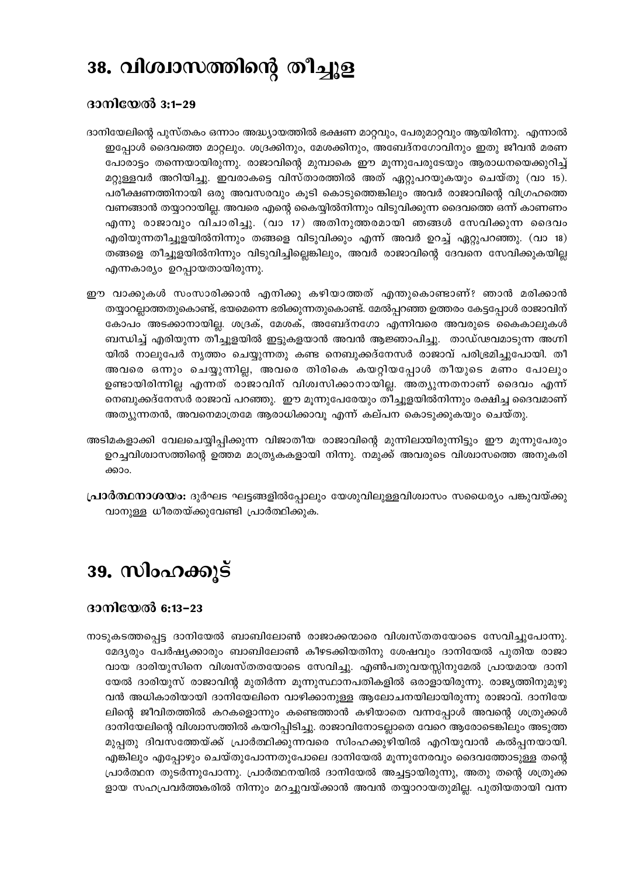# 38. വിശ്വാസത്തിന്റെ തീച്ചൂള

#### ദാനിയേൽ 3:1-29

- ദാനിയേലിന്റെ പുസ്തകം ഒന്നാം അദ്ധ്യായത്തിൽ ഭക്ഷണ മാറ്റവും, പേരുമാറ്റവും ആയിരിന്നു. എന്നാൽ ഇപ്പോൾ ദൈവത്തെ മാറ്റലും. ശദ്രക്കിനും, മേശക്കിനും, അബേദ്നഗോവിനും ഇതു ജീവൻ മരണ പോരാട്ടം തന്നെയായിരുന്നു. രാജാവിന്റെ മുമ്പാകെ ഈ മൂന്നുപേരുടേയും ആരാധനയെക്കുറിച്ച് മറ്റുള്ളവർ അറിയിച്ചു. ഇവരാകട്ടെ വിസ്താരത്തിൽ അത് ഏറ്റുപറയുകയും ചെയ്തു (വാ 15). പരീക്ഷണത്തിനായി ഒരു അവസരവും കൂടി കൊടുത്തെങ്കിലും അവർ രാജാവിന്റെ വിഗ്രഹത്തെ വണങ്ങാൻ തയ്യാറായില്ല. അവരെ എന്റെ കൈയ്യിൽനിന്നും വിടുവിക്കുന്ന ദൈവത്തെ ഒന്ന് കാണണം എന്നു രാജാവും വിചാരിച്ചു. (വാ 17) അതിനുത്തരമായി ഞങ്ങൾ സേവിക്കുന്ന ദൈവം എരിയുന്നതീച്ചൂളയിൽനിന്നും തങ്ങളെ വിടുവിക്കും എന്ന് അവർ ഉറച്ച് ഏറ്റുപറഞ്ഞു. (വാ 18) തങ്ങളെ തീച്ചൂളയിൽനിന്നും വിടുവിച്ചില്ലെങ്കിലും, അവർ രാജാവിന്റെ ദേവനെ സേവിക്കുകയില്ല എന്നകാര്യം ഉറപ്പായതായിരുന്നു.
- ഈ വാക്കുകൾ സംസാരിക്കാൻ എനിക്കു കഴിയാത്തത് എന്തുകൊണ്ടാണ്? ഞാൻ മരിക്കാൻ തയ്യാറല്ലാത്തതുകൊണ്ട്, ഭയമെന്നെ ഭരിക്കുന്നതുകൊണ്ട്. മേൽപ്പറഞ്ഞ ഉത്തരം കേട്ടപ്പോൾ രാജാവിന് കോപം അടക്കാനായില്ല. ശദ്രക്, മേശക്, അബേദ്നഗോ എന്നിവരെ അവരുടെ കൈകാലുകൾ ബന്ധിച്ച് എരിയുന്ന തീച്ചൂളയിൽ ഇട്ടുകളയാൻ അവൻ ആജ്ഞാപിച്ചു. താഡ്ഢവമാടുന്ന അഗ്നി യിൽ നാലുപേർ നൃത്തം ചെയ്യുന്നതു കണ്ട നെബുക്കദ്നേസർ രാജാവ് പരിഭ്രമിച്ചുപോയി. തീ അവരെ ഒന്നും ചെയ്യുന്നില്ല, അവരെ തിരികെ കയറ്റിയപ്പോൾ തീയുടെ മണം പോലും ഉണ്ടായിരിന്നില്ല എന്നത് രാജാവിന് വിശ്വസിക്കാനായില്ല. അത്യുന്നതനാണ് ദൈവം എന്ന് നെബുക്കദ്നേസർ രാജാവ് പറഞ്ഞു. ഈ മൂന്നുപേരേയും തീച്ചൂളയിൽനിന്നും രക്ഷിച്ച ദൈവമാണ് അത്യുന്നതൻ, അവനെമാത്രമേ ആരാധിക്കാവൂ എന്ന് കല്പന കൊടുക്കുകയും ചെയ്തു.
- അടിമകളാക്കി വേലചെയ്യിപ്പിക്കുന്ന വിജാതീയ രാജാവിന്റെ മുന്നിലായിരുന്നിട്ടും ഈ മൂന്നുപേരും ഉറച്ചവിശ്വാസത്തിന്റെ ഉത്തമ മാത്ര്യകകളായി നിന്നു. നമുക്ക് അവരുടെ വിശ്വാസത്തെ അനുകരി ക്കാം.
- **പ്രാർത്ഥനാശയം:** ദുർഘട ഘട്ടങ്ങളിൽപോലും യേശുവിലുള്ളവിശ്വാസം സധൈര്യം പങ്കുവയ്ക്കു വാനുള്ള ധീരതയ്ക്കുവേണ്ടി പ്രാർത്ഥിക്കുക.

### 39. സിംഹക്കുട്

#### ദാനിയേൽ 6:13-23

നാടുകടത്തപ്പെട്ട ദാനിയേൽ ബാബിലോൺ രാജാക്കന്മാരെ വിശ്വസ്തതയോടെ സേവിച്ചുപോന്നു. മേദ്യരും പേർഷ്യക്കാരും ബാബിലോൺ കീഴടക്കിയതിനു ശേഷവും ദാനിയേൽ പുതിയ രാജാ വായ ദാരിയുസിനെ വിശ്വസ്തതയോടെ സേവിച്ചു. എൺപതുവയസ്സിനുമേൽ പ്രായമായ ദാനി യേൽ ദാരിയുസ് രാജാവിന്റ മുതിർന്ന മൂന്നുസ്ഥാനപതികളിൽ ഒരാളായിരുന്നു. രാജ്യത്തിനുമുഴു വൻ അധികാരിയായി ദാനിയേലിനെ വാഴിക്കാനുള്ള ആലോചനയിലായിരുന്നു രാജാവ്. ദാനിയേ ലിന്റെ ജീവിതത്തിൽ കറകളൊന്നും കണ്ടെത്താൻ കഴിയാതെ വന്നപ്പോൾ അവന്റെ ശത്രുക്കൾ ദാനിയേലിന്റെ വിശ്വാസത്തിൽ കയറിപ്പിടിച്ചു. രാജാവിനോടല്ലാതെ വേറെ ആരോടെങ്കിലും അടുത്ത മുപ്പതു ദിവസത്തേയ്ക്ക് പ്രാർത്ഥിക്കുന്നവരെ സിംഹക്കുഴിയിൽ എറിയുവാൻ കൽപ്പനയായി. എങ്കിലും എപ്പോഴും ചെയ്തുപോന്നതുപോലെ ദാനിയേൽ മുന്നുനേരവും ദൈവത്തോടുള്ള തന്റെ പ്രാർത്ഥന തുടർന്നുപോന്നു. പ്രാർത്ഥനയിൽ ദാനിയേൽ അച്ചട്ടായിരുന്നു, അതു തന്റെ ശത്രുക്ക ളായ സഹപ്രവർത്തകരിൽ നിന്നും മറച്ചുവയ്ക്കാൻ അവൻ തയ്യാറായതുമില്ല. പുതിയതായി വന്ന